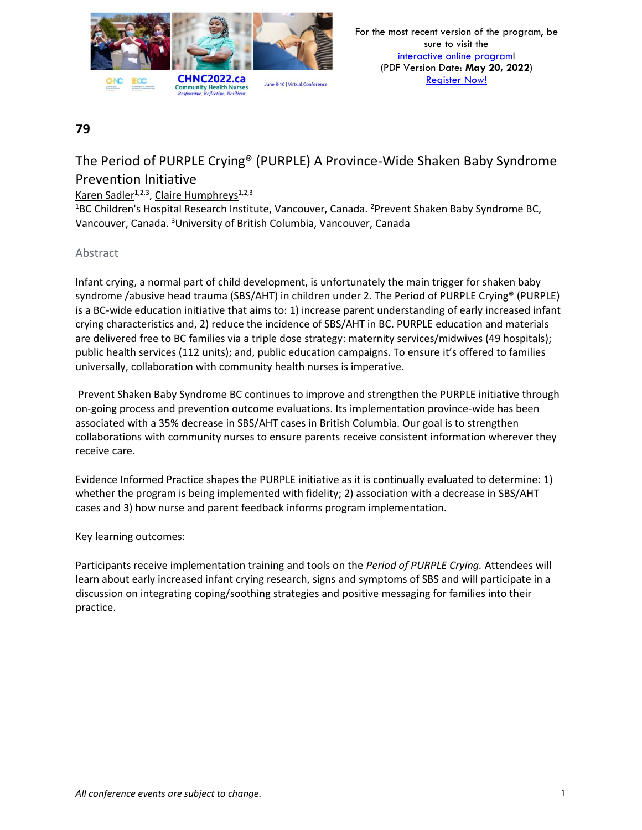

# The Period of PURPLE Crying® (PURPLE) A Province-Wide Shaken Baby Syndrome Prevention Initiative

### Karen Sadler<sup>1,2,3</sup>, Claire Humphreys<sup>1,2,3</sup>

<sup>1</sup>BC Children's Hospital Research Institute, Vancouver, Canada. <sup>2</sup>Prevent Shaken Baby Syndrome BC, Vancouver, Canada. <sup>3</sup>University of British Columbia, Vancouver, Canada

### Abstract

Infant crying, a normal part of child development, is unfortunately the main trigger for shaken baby syndrome /abusive head trauma (SBS/AHT) in children under 2. The Period of PURPLE Crying® (PURPLE) is a BC-wide education initiative that aims to: 1) increase parent understanding of early increased infant crying characteristics and, 2) reduce the incidence of SBS/AHT in BC. PURPLE education and materials are delivered free to BC families via a triple dose strategy: maternity services/midwives (49 hospitals); public health services (112 units); and, public education campaigns. To ensure it's offered to families universally, collaboration with community health nurses is imperative.

Prevent Shaken Baby Syndrome BC continues to improve and strengthen the PURPLE initiative through on-going process and prevention outcome evaluations. Its implementation province-wide has been associated with a 35% decrease in SBS/AHT cases in British Columbia. Our goal is to strengthen collaborations with community nurses to ensure parents receive consistent information wherever they receive care.

Evidence Informed Practice shapes the PURPLE initiative as it is continually evaluated to determine: 1) whether the program is being implemented with fidelity; 2) association with a decrease in SBS/AHT cases and 3) how nurse and parent feedback informs program implementation.

### Key learning outcomes:

Participants receive implementation training and tools on the *Period of PURPLE Crying.* Attendees will learn about early increased infant crying research, signs and symptoms of SBS and will participate in a discussion on integrating coping/soothing strategies and positive messaging for families into their practice.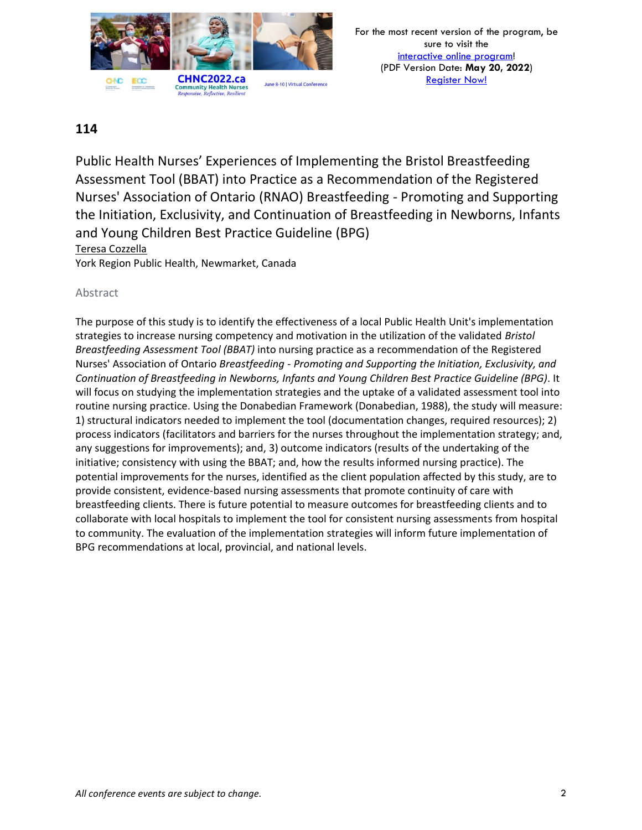

Public Health Nurses' Experiences of Implementing the Bristol Breastfeeding Assessment Tool (BBAT) into Practice as a Recommendation of the Registered Nurses' Association of Ontario (RNAO) Breastfeeding - Promoting and Supporting the Initiation, Exclusivity, and Continuation of Breastfeeding in Newborns, Infants and Young Children Best Practice Guideline (BPG) Teresa Cozzella York Region Public Health, Newmarket, Canada

### Abstract

The purpose of this study is to identify the effectiveness of a local Public Health Unit's implementation strategies to increase nursing competency and motivation in the utilization of the validated *Bristol Breastfeeding Assessment Tool (BBAT)* into nursing practice as a recommendation of the Registered Nurses' Association of Ontario *Breastfeeding - Promoting and Supporting the Initiation, Exclusivity, and Continuation of Breastfeeding in Newborns, Infants and Young Children Best Practice Guideline (BPG)*. It will focus on studying the implementation strategies and the uptake of a validated assessment tool into routine nursing practice. Using the Donabedian Framework (Donabedian, 1988), the study will measure: 1) structural indicators needed to implement the tool (documentation changes, required resources); 2) process indicators (facilitators and barriers for the nurses throughout the implementation strategy; and, any suggestions for improvements); and, 3) outcome indicators (results of the undertaking of the initiative; consistency with using the BBAT; and, how the results informed nursing practice). The potential improvements for the nurses, identified as the client population affected by this study, are to provide consistent, evidence-based nursing assessments that promote continuity of care with breastfeeding clients. There is future potential to measure outcomes for breastfeeding clients and to collaborate with local hospitals to implement the tool for consistent nursing assessments from hospital to community. The evaluation of the implementation strategies will inform future implementation of BPG recommendations at local, provincial, and national levels.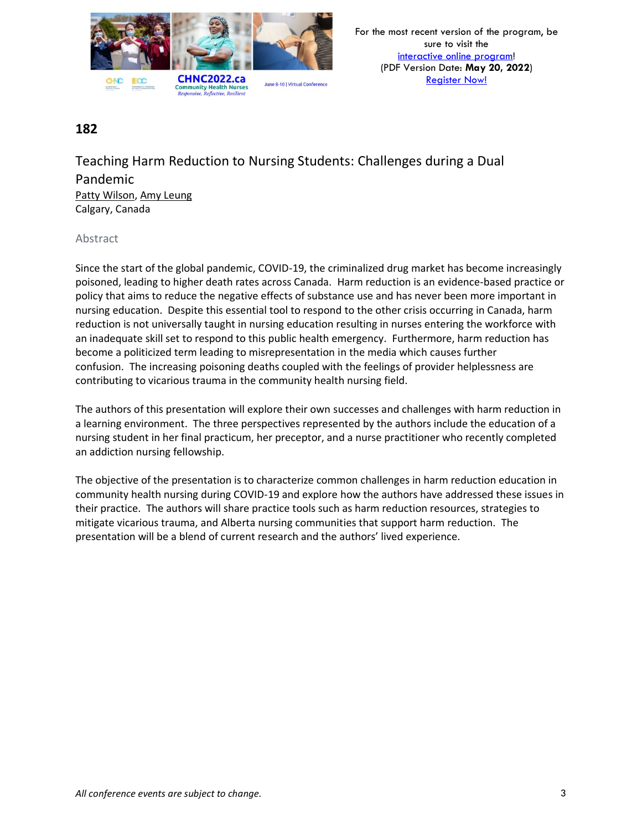

Teaching Harm Reduction to Nursing Students: Challenges during a Dual Pandemic Patty Wilson, Amy Leung Calgary, Canada

### Abstract

Since the start of the global pandemic, COVID-19, the criminalized drug market has become increasingly poisoned, leading to higher death rates across Canada. Harm reduction is an evidence-based practice or policy that aims to reduce the negative effects of substance use and has never been more important in nursing education. Despite this essential tool to respond to the other crisis occurring in Canada, harm reduction is not universally taught in nursing education resulting in nurses entering the workforce with an inadequate skill set to respond to this public health emergency. Furthermore, harm reduction has become a politicized term leading to misrepresentation in the media which causes further confusion. The increasing poisoning deaths coupled with the feelings of provider helplessness are contributing to vicarious trauma in the community health nursing field.

The authors of this presentation will explore their own successes and challenges with harm reduction in a learning environment. The three perspectives represented by the authors include the education of a nursing student in her final practicum, her preceptor, and a nurse practitioner who recently completed an addiction nursing fellowship.

The objective of the presentation is to characterize common challenges in harm reduction education in community health nursing during COVID-19 and explore how the authors have addressed these issues in their practice. The authors will share practice tools such as harm reduction resources, strategies to mitigate vicarious trauma, and Alberta nursing communities that support harm reduction. The presentation will be a blend of current research and the authors' lived experience.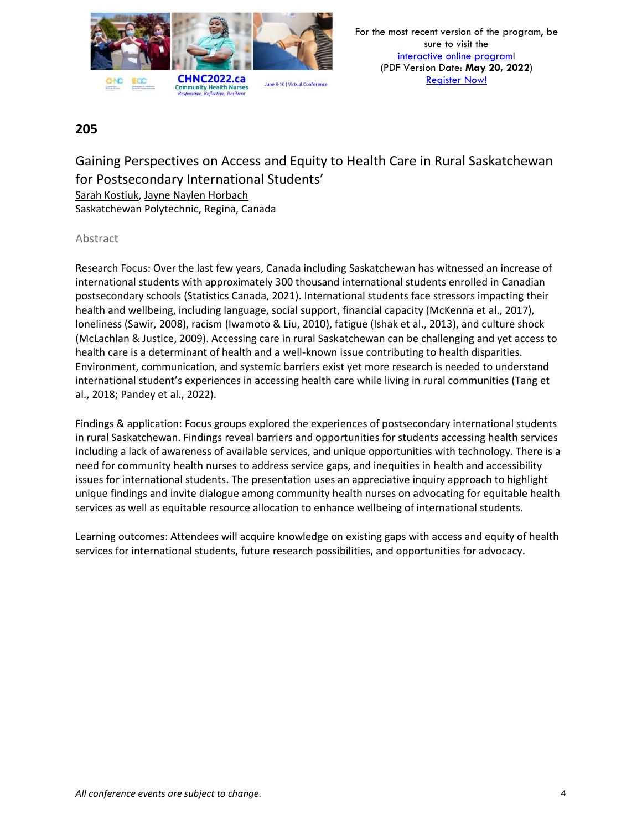

# Gaining Perspectives on Access and Equity to Health Care in Rural Saskatchewan for Postsecondary International Students'

Sarah Kostiuk, Jayne Naylen Horbach

Saskatchewan Polytechnic, Regina, Canada

### Abstract

Research Focus: Over the last few years, Canada including Saskatchewan has witnessed an increase of international students with approximately 300 thousand international students enrolled in Canadian postsecondary schools (Statistics Canada, 2021). International students face stressors impacting their health and wellbeing, including language, social support, financial capacity (McKenna et al., 2017), loneliness (Sawir, 2008), racism (Iwamoto & Liu, 2010), fatigue (Ishak et al., 2013), and culture shock (McLachlan & Justice, 2009). Accessing care in rural Saskatchewan can be challenging and yet access to health care is a determinant of health and a well-known issue contributing to health disparities. Environment, communication, and systemic barriers exist yet more research is needed to understand international student's experiences in accessing health care while living in rural communities (Tang et al., 2018; Pandey et al., 2022).

Findings & application: Focus groups explored the experiences of postsecondary international students in rural Saskatchewan. Findings reveal barriers and opportunities for students accessing health services including a lack of awareness of available services, and unique opportunities with technology. There is a need for community health nurses to address service gaps, and inequities in health and accessibility issues for international students. The presentation uses an appreciative inquiry approach to highlight unique findings and invite dialogue among community health nurses on advocating for equitable health services as well as equitable resource allocation to enhance wellbeing of international students.

Learning outcomes: Attendees will acquire knowledge on existing gaps with access and equity of health services for international students, future research possibilities, and opportunities for advocacy.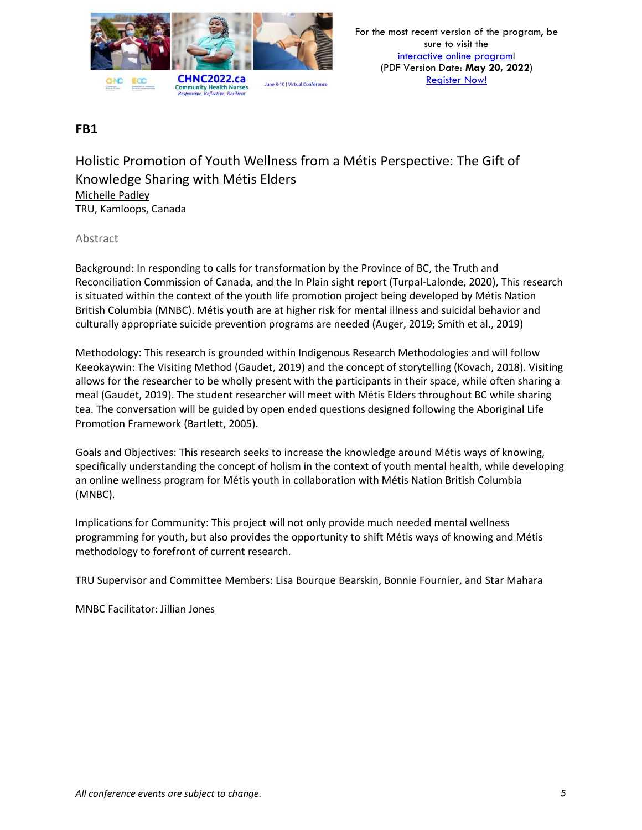

Holistic Promotion of Youth Wellness from a Métis Perspective: The Gift of Knowledge Sharing with Métis Elders Michelle Padley TRU, Kamloops, Canada

### Abstract

Background: In responding to calls for transformation by the Province of BC, the Truth and Reconciliation Commission of Canada, and the In Plain sight report (Turpal-Lalonde, 2020), This research is situated within the context of the youth life promotion project being developed by Métis Nation British Columbia (MNBC). Métis youth are at higher risk for mental illness and suicidal behavior and culturally appropriate suicide prevention programs are needed (Auger, 2019; Smith et al., 2019)

Methodology: This research is grounded within Indigenous Research Methodologies and will follow Keeokaywin: The Visiting Method (Gaudet, 2019) and the concept of storytelling (Kovach, 2018). Visiting allows for the researcher to be wholly present with the participants in their space, while often sharing a meal (Gaudet, 2019). The student researcher will meet with Métis Elders throughout BC while sharing tea. The conversation will be guided by open ended questions designed following the Aboriginal Life Promotion Framework (Bartlett, 2005).

Goals and Objectives: This research seeks to increase the knowledge around Métis ways of knowing, specifically understanding the concept of holism in the context of youth mental health, while developing an online wellness program for Métis youth in collaboration with Métis Nation British Columbia (MNBC).

Implications for Community: This project will not only provide much needed mental wellness programming for youth, but also provides the opportunity to shift Métis ways of knowing and Métis methodology to forefront of current research.

TRU Supervisor and Committee Members: Lisa Bourque Bearskin, Bonnie Fournier, and Star Mahara

MNBC Facilitator: Jillian Jones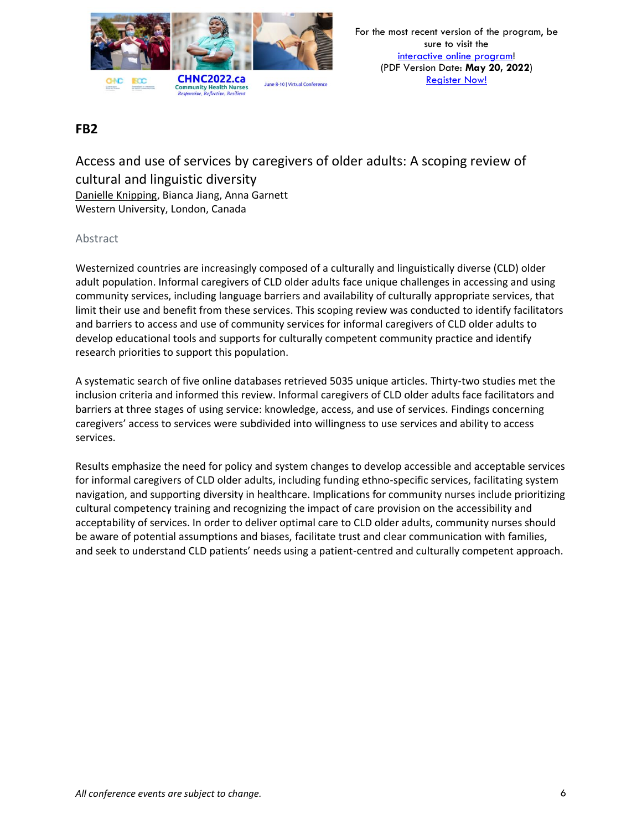

Access and use of services by caregivers of older adults: A scoping review of cultural and linguistic diversity Danielle Knipping, Bianca Jiang, Anna Garnett Western University, London, Canada

### Abstract

Westernized countries are increasingly composed of a culturally and linguistically diverse (CLD) older adult population. Informal caregivers of CLD older adults face unique challenges in accessing and using community services, including language barriers and availability of culturally appropriate services, that limit their use and benefit from these services. This scoping review was conducted to identify facilitators and barriers to access and use of community services for informal caregivers of CLD older adults to develop educational tools and supports for culturally competent community practice and identify research priorities to support this population.

A systematic search of five online databases retrieved 5035 unique articles. Thirty-two studies met the inclusion criteria and informed this review. Informal caregivers of CLD older adults face facilitators and barriers at three stages of using service: knowledge, access, and use of services. Findings concerning caregivers' access to services were subdivided into willingness to use services and ability to access services.

Results emphasize the need for policy and system changes to develop accessible and acceptable services for informal caregivers of CLD older adults, including funding ethno-specific services, facilitating system navigation, and supporting diversity in healthcare. Implications for community nurses include prioritizing cultural competency training and recognizing the impact of care provision on the accessibility and acceptability of services. In order to deliver optimal care to CLD older adults, community nurses should be aware of potential assumptions and biases, facilitate trust and clear communication with families, and seek to understand CLD patients' needs using a patient-centred and culturally competent approach.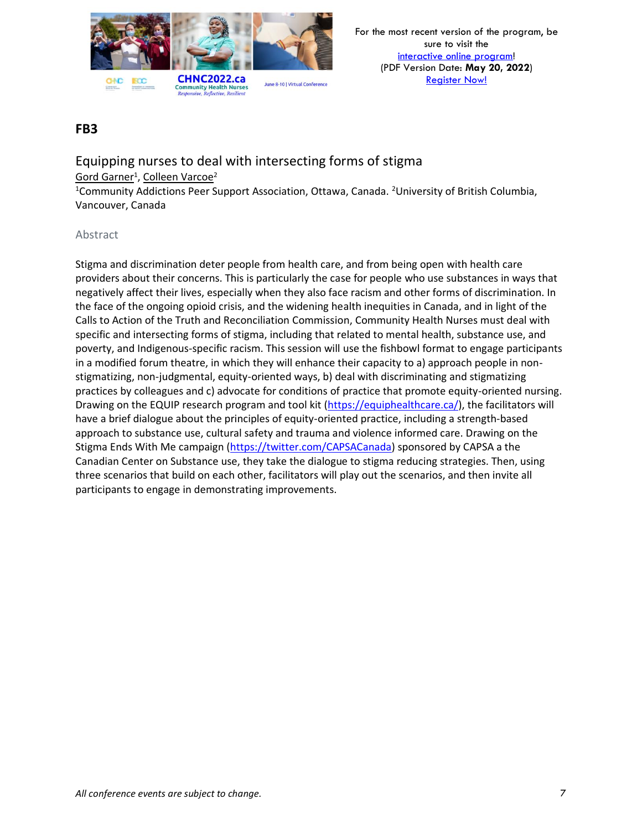

Equipping nurses to deal with intersecting forms of stigma <u>Gord Garner<sup>1</sup>, Colleen Varcoe<sup>2</sup></u> <sup>1</sup>Community Addictions Peer Support Association, Ottawa, Canada. <sup>2</sup>University of British Columbia,

Vancouver, Canada

### Abstract

Stigma and discrimination deter people from health care, and from being open with health care providers about their concerns. This is particularly the case for people who use substances in ways that negatively affect their lives, especially when they also face racism and other forms of discrimination. In the face of the ongoing opioid crisis, and the widening health inequities in Canada, and in light of the Calls to Action of the Truth and Reconciliation Commission, Community Health Nurses must deal with specific and intersecting forms of stigma, including that related to mental health, substance use, and poverty, and Indigenous-specific racism. This session will use the fishbowl format to engage participants in a modified forum theatre, in which they will enhance their capacity to a) approach people in nonstigmatizing, non-judgmental, equity-oriented ways, b) deal with discriminating and stigmatizing practices by colleagues and c) advocate for conditions of practice that promote equity-oriented nursing. Drawing on the EQUIP research program and tool kit [\(https://equiphealthcare.ca/\)](https://equiphealthcare.ca/), the facilitators will have a brief dialogue about the principles of equity-oriented practice, including a strength-based approach to substance use, cultural safety and trauma and violence informed care. Drawing on the Stigma Ends With Me campaign [\(https://twitter.com/CAPSACanada\)](https://twitter.com/CAPSACanada) sponsored by CAPSA a the Canadian Center on Substance use, they take the dialogue to stigma reducing strategies. Then, using three scenarios that build on each other, facilitators will play out the scenarios, and then invite all participants to engage in demonstrating improvements.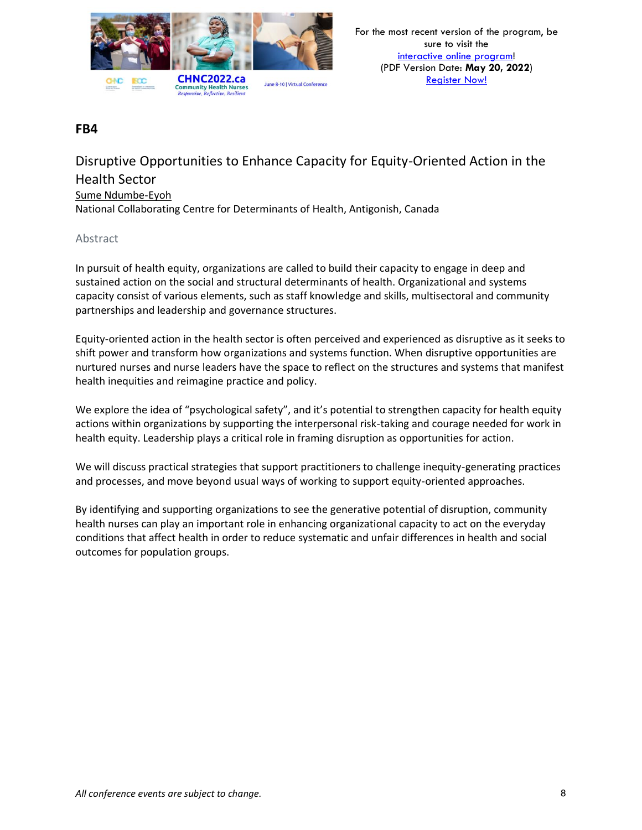

## Disruptive Opportunities to Enhance Capacity for Equity-Oriented Action in the Health Sector Sume Ndumbe-Eyoh National Collaborating Centre for Determinants of Health, Antigonish, Canada

### Abstract

In pursuit of health equity, organizations are called to build their capacity to engage in deep and sustained action on the social and structural determinants of health. Organizational and systems capacity consist of various elements, such as staff knowledge and skills, multisectoral and community partnerships and leadership and governance structures.

Equity-oriented action in the health sector is often perceived and experienced as disruptive as it seeks to shift power and transform how organizations and systems function. When disruptive opportunities are nurtured nurses and nurse leaders have the space to reflect on the structures and systems that manifest health inequities and reimagine practice and policy.

We explore the idea of "psychological safety", and it's potential to strengthen capacity for health equity actions within organizations by supporting the interpersonal risk-taking and courage needed for work in health equity. Leadership plays a critical role in framing disruption as opportunities for action.

We will discuss practical strategies that support practitioners to challenge inequity-generating practices and processes, and move beyond usual ways of working to support equity-oriented approaches.

By identifying and supporting organizations to see the generative potential of disruption, community health nurses can play an important role in enhancing organizational capacity to act on the everyday conditions that affect health in order to reduce systematic and unfair differences in health and social outcomes for population groups.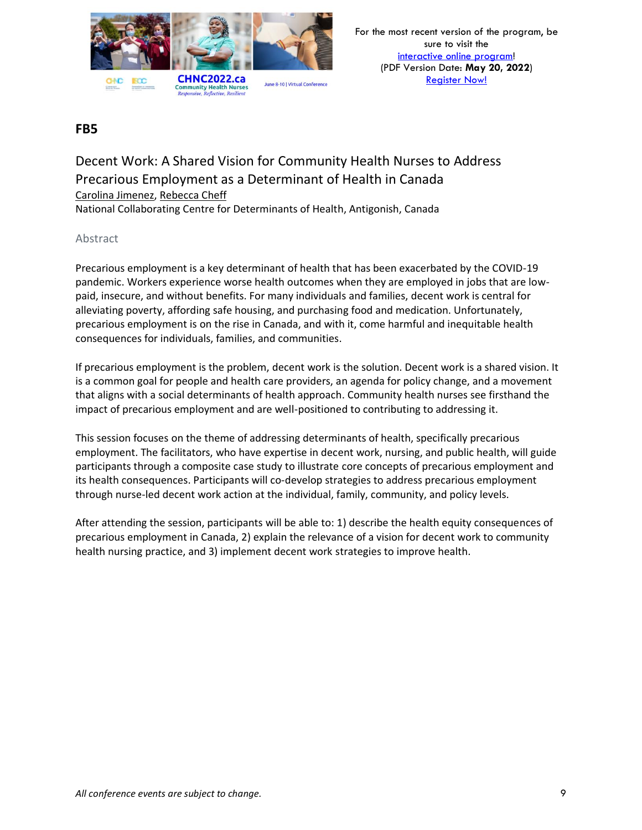

# Decent Work: A Shared Vision for Community Health Nurses to Address Precarious Employment as a Determinant of Health in Canada Carolina Jimenez, Rebecca Cheff

National Collaborating Centre for Determinants of Health, Antigonish, Canada

### Abstract

Precarious employment is a key determinant of health that has been exacerbated by the COVID-19 pandemic. Workers experience worse health outcomes when they are employed in jobs that are lowpaid, insecure, and without benefits. For many individuals and families, decent work is central for alleviating poverty, affording safe housing, and purchasing food and medication. Unfortunately, precarious employment is on the rise in Canada, and with it, come harmful and inequitable health consequences for individuals, families, and communities.

If precarious employment is the problem, decent work is the solution. Decent work is a shared vision. It is a common goal for people and health care providers, an agenda for policy change, and a movement that aligns with a social determinants of health approach. Community health nurses see firsthand the impact of precarious employment and are well-positioned to contributing to addressing it.

This session focuses on the theme of addressing determinants of health, specifically precarious employment. The facilitators, who have expertise in decent work, nursing, and public health, will guide participants through a composite case study to illustrate core concepts of precarious employment and its health consequences. Participants will co-develop strategies to address precarious employment through nurse-led decent work action at the individual, family, community, and policy levels.

After attending the session, participants will be able to: 1) describe the health equity consequences of precarious employment in Canada, 2) explain the relevance of a vision for decent work to community health nursing practice, and 3) implement decent work strategies to improve health.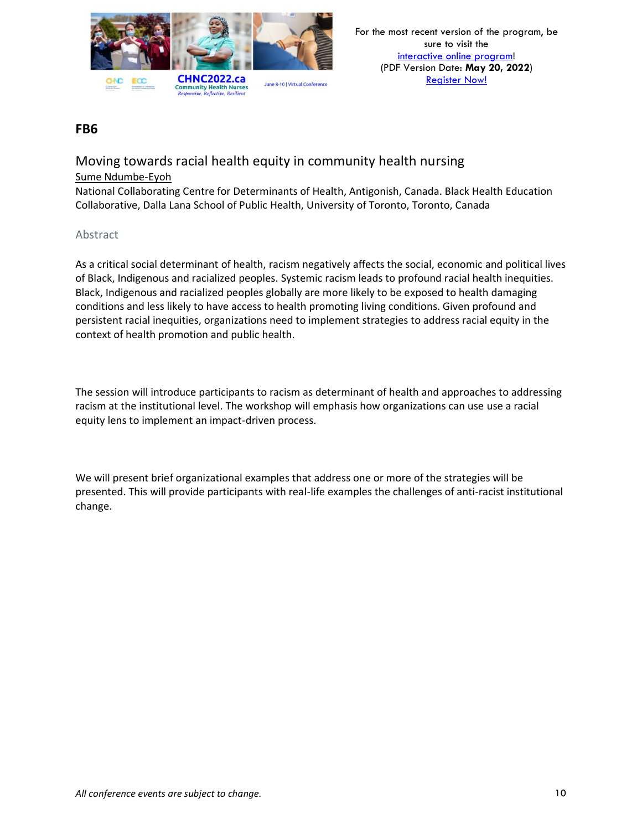

## Moving towards racial health equity in community health nursing Sume Ndumbe-Eyoh

National Collaborating Centre for Determinants of Health, Antigonish, Canada. Black Health Education Collaborative, Dalla Lana School of Public Health, University of Toronto, Toronto, Canada

### Abstract

As a critical social determinant of health, racism negatively affects the social, economic and political lives of Black, Indigenous and racialized peoples. Systemic racism leads to profound racial health inequities. Black, Indigenous and racialized peoples globally are more likely to be exposed to health damaging conditions and less likely to have access to health promoting living conditions. Given profound and persistent racial inequities, organizations need to implement strategies to address racial equity in the context of health promotion and public health.

The session will introduce participants to racism as determinant of health and approaches to addressing racism at the institutional level. The workshop will emphasis how organizations can use use a racial equity lens to implement an impact-driven process.

We will present brief organizational examples that address one or more of the strategies will be presented. This will provide participants with real-life examples the challenges of anti-racist institutional change.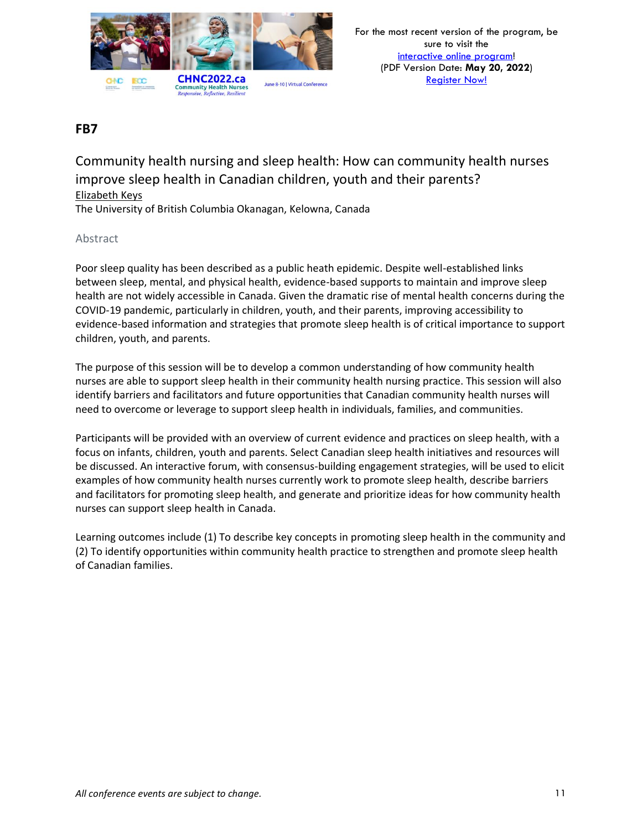

Community health nursing and sleep health: How can community health nurses improve sleep health in Canadian children, youth and their parents? Elizabeth Keys

The University of British Columbia Okanagan, Kelowna, Canada

### Abstract

Poor sleep quality has been described as a public heath epidemic. Despite well-established links between sleep, mental, and physical health, evidence-based supports to maintain and improve sleep health are not widely accessible in Canada. Given the dramatic rise of mental health concerns during the COVID-19 pandemic, particularly in children, youth, and their parents, improving accessibility to evidence-based information and strategies that promote sleep health is of critical importance to support children, youth, and parents.

The purpose of this session will be to develop a common understanding of how community health nurses are able to support sleep health in their community health nursing practice. This session will also identify barriers and facilitators and future opportunities that Canadian community health nurses will need to overcome or leverage to support sleep health in individuals, families, and communities.

Participants will be provided with an overview of current evidence and practices on sleep health, with a focus on infants, children, youth and parents. Select Canadian sleep health initiatives and resources will be discussed. An interactive forum, with consensus-building engagement strategies, will be used to elicit examples of how community health nurses currently work to promote sleep health, describe barriers and facilitators for promoting sleep health, and generate and prioritize ideas for how community health nurses can support sleep health in Canada.

Learning outcomes include (1) To describe key concepts in promoting sleep health in the community and (2) To identify opportunities within community health practice to strengthen and promote sleep health of Canadian families.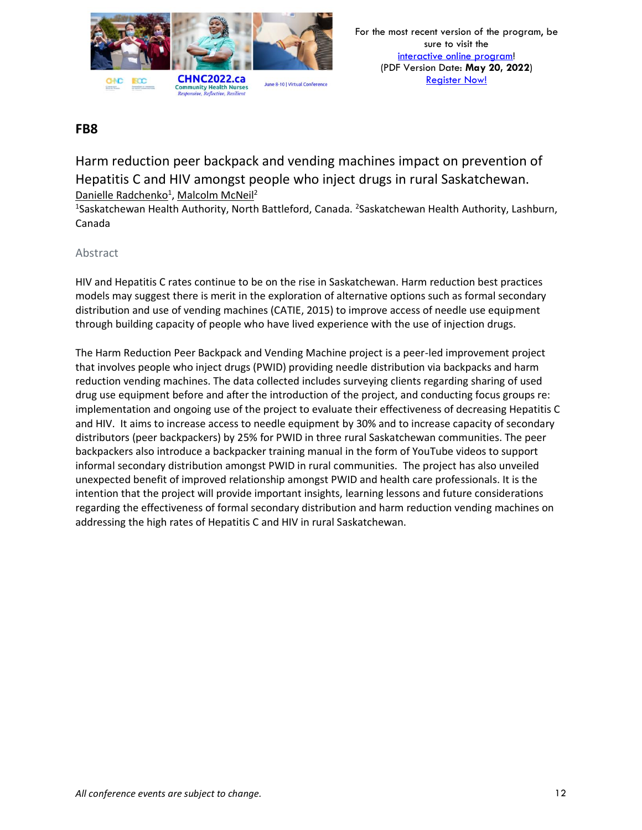

Harm reduction peer backpack and vending machines impact on prevention of Hepatitis C and HIV amongst people who inject drugs in rural Saskatchewan. Danielle Radchenko<sup>1</sup>, Malcolm McNeil<sup>2</sup>

<sup>1</sup>Saskatchewan Health Authority, North Battleford, Canada. <sup>2</sup>Saskatchewan Health Authority, Lashburn, Canada

### Abstract

HIV and Hepatitis C rates continue to be on the rise in Saskatchewan. Harm reduction best practices models may suggest there is merit in the exploration of alternative options such as formal secondary distribution and use of vending machines (CATIE, 2015) to improve access of needle use equipment through building capacity of people who have lived experience with the use of injection drugs.

The Harm Reduction Peer Backpack and Vending Machine project is a peer-led improvement project that involves people who inject drugs (PWID) providing needle distribution via backpacks and harm reduction vending machines. The data collected includes surveying clients regarding sharing of used drug use equipment before and after the introduction of the project, and conducting focus groups re: implementation and ongoing use of the project to evaluate their effectiveness of decreasing Hepatitis C and HIV. It aims to increase access to needle equipment by 30% and to increase capacity of secondary distributors (peer backpackers) by 25% for PWID in three rural Saskatchewan communities. The peer backpackers also introduce a backpacker training manual in the form of YouTube videos to support informal secondary distribution amongst PWID in rural communities. The project has also unveiled unexpected benefit of improved relationship amongst PWID and health care professionals. It is the intention that the project will provide important insights, learning lessons and future considerations regarding the effectiveness of formal secondary distribution and harm reduction vending machines on addressing the high rates of Hepatitis C and HIV in rural Saskatchewan.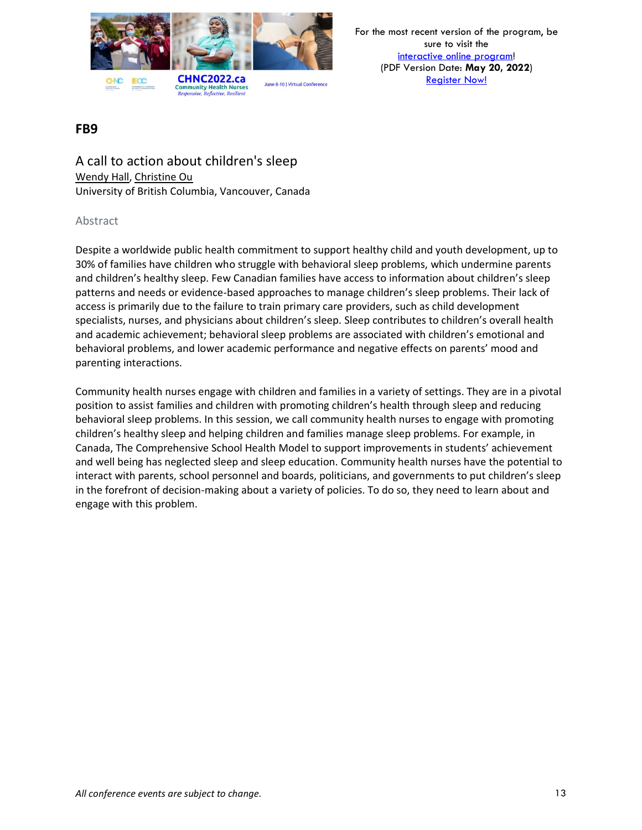

For the most recent version of the program, be sure to visit the [interactive online program!](https://virtual.oxfordabstracts.com/#/event/1204/program) (PDF Version Date: **May 20, 2022**) [Register Now!](https://chnc2022.ca/registration)

## **FB9**

A call to action about children's sleep Wendy Hall, Christine Ou University of British Columbia, Vancouver, Canada

### Abstract

Despite a worldwide public health commitment to support healthy child and youth development, up to 30% of families have children who struggle with behavioral sleep problems, which undermine parents and children's healthy sleep. Few Canadian families have access to information about children's sleep patterns and needs or evidence-based approaches to manage children's sleep problems. Their lack of access is primarily due to the failure to train primary care providers, such as child development specialists, nurses, and physicians about children's sleep. Sleep contributes to children's overall health and academic achievement; behavioral sleep problems are associated with children's emotional and behavioral problems, and lower academic performance and negative effects on parents' mood and parenting interactions.

Community health nurses engage with children and families in a variety of settings. They are in a pivotal position to assist families and children with promoting children's health through sleep and reducing behavioral sleep problems. In this session, we call community health nurses to engage with promoting children's healthy sleep and helping children and families manage sleep problems. For example, in Canada, The Comprehensive School Health Model to support improvements in students' achievement and well being has neglected sleep and sleep education. Community health nurses have the potential to interact with parents, school personnel and boards, politicians, and governments to put children's sleep in the forefront of decision-making about a variety of policies. To do so, they need to learn about and engage with this problem.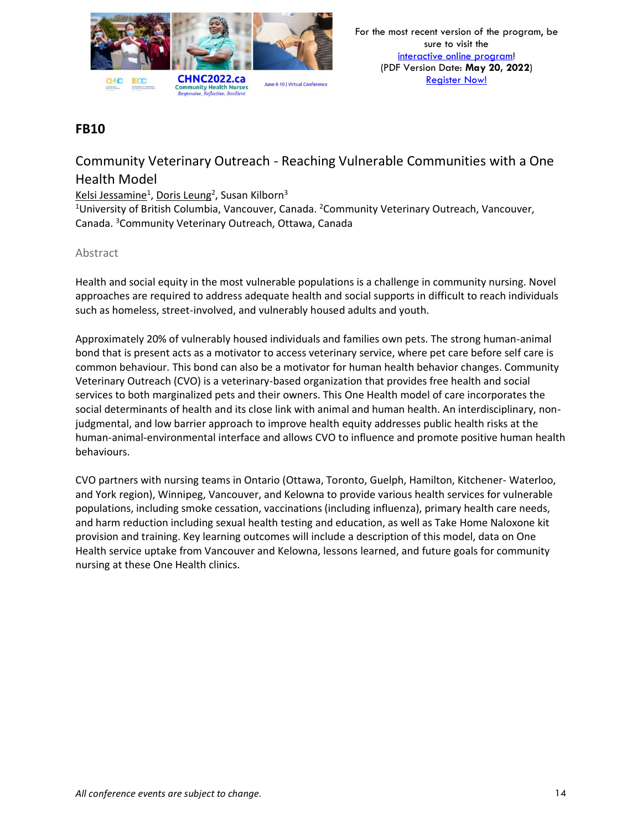

# Community Veterinary Outreach - Reaching Vulnerable Communities with a One Health Model

### Kelsi Jessamine<sup>1</sup>, Doris Leung<sup>2</sup>, Susan Kilborn<sup>3</sup>

<sup>1</sup>University of British Columbia, Vancouver, Canada. <sup>2</sup>Community Veterinary Outreach, Vancouver, Canada. <sup>3</sup>Community Veterinary Outreach, Ottawa, Canada

### Abstract

Health and social equity in the most vulnerable populations is a challenge in community nursing. Novel approaches are required to address adequate health and social supports in difficult to reach individuals such as homeless, street-involved, and vulnerably housed adults and youth.

Approximately 20% of vulnerably housed individuals and families own pets. The strong human-animal bond that is present acts as a motivator to access veterinary service, where pet care before self care is common behaviour. This bond can also be a motivator for human health behavior changes. Community Veterinary Outreach (CVO) is a veterinary-based organization that provides free health and social services to both marginalized pets and their owners. This One Health model of care incorporates the social determinants of health and its close link with animal and human health. An interdisciplinary, nonjudgmental, and low barrier approach to improve health equity addresses public health risks at the human-animal-environmental interface and allows CVO to influence and promote positive human health behaviours.

CVO partners with nursing teams in Ontario (Ottawa, Toronto, Guelph, Hamilton, Kitchener- Waterloo, and York region), Winnipeg, Vancouver, and Kelowna to provide various health services for vulnerable populations, including smoke cessation, vaccinations (including influenza), primary health care needs, and harm reduction including sexual health testing and education, as well as Take Home Naloxone kit provision and training. Key learning outcomes will include a description of this model, data on One Health service uptake from Vancouver and Kelowna, lessons learned, and future goals for community nursing at these One Health clinics.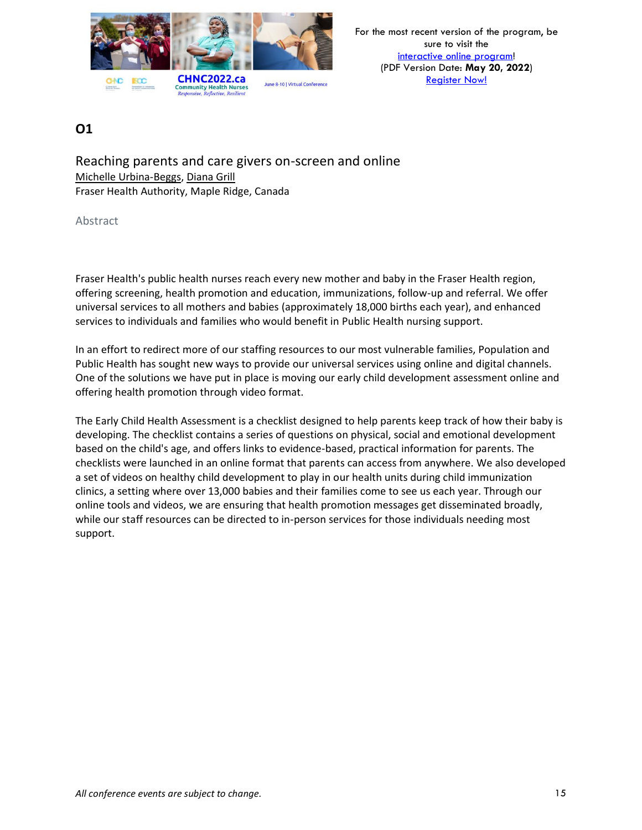

Reaching parents and care givers on-screen and online Michelle Urbina-Beggs, Diana Grill Fraser Health Authority, Maple Ridge, Canada

Abstract

Fraser Health's public health nurses reach every new mother and baby in the Fraser Health region, offering screening, health promotion and education, immunizations, follow-up and referral. We offer universal services to all mothers and babies (approximately 18,000 births each year), and enhanced services to individuals and families who would benefit in Public Health nursing support.

In an effort to redirect more of our staffing resources to our most vulnerable families, Population and Public Health has sought new ways to provide our universal services using online and digital channels. One of the solutions we have put in place is moving our early child development assessment online and offering health promotion through video format.

The Early Child Health Assessment is a checklist designed to help parents keep track of how their baby is developing. The checklist contains a series of questions on physical, social and emotional development based on the child's age, and offers links to evidence-based, practical information for parents. The checklists were launched in an online format that parents can access from anywhere. We also developed a set of videos on healthy child development to play in our health units during child immunization clinics, a setting where over 13,000 babies and their families come to see us each year. Through our online tools and videos, we are ensuring that health promotion messages get disseminated broadly, while our staff resources can be directed to in-person services for those individuals needing most support.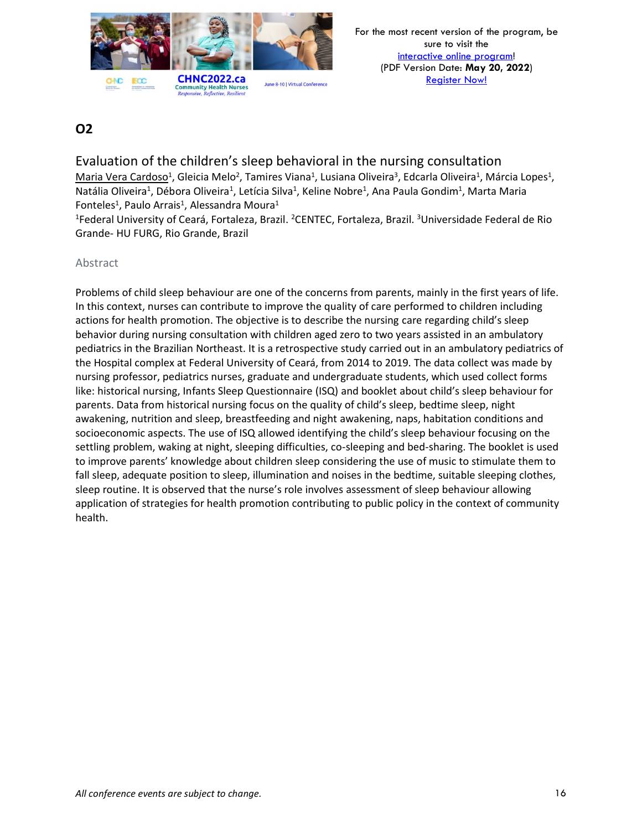

Evaluation of the children's sleep behavioral in the nursing consultation Maria Vera Cardoso<sup>1</sup>, Gleicia Melo<sup>2</sup>, Tamires Viana<sup>1</sup>, Lusiana Oliveira<sup>3</sup>, Edcarla Oliveira<sup>1</sup>, Márcia Lopes<sup>1</sup>, Natália Oliveira<sup>1</sup>, Débora Oliveira<sup>1</sup>, Letícia Silva<sup>1</sup>, Keline Nobre<sup>1</sup>, Ana Paula Gondim<sup>1</sup>, Marta Maria Fonteles<sup>1</sup>, Paulo Arrais<sup>1</sup>, Alessandra Moura<sup>1</sup>

<sup>1</sup>Federal University of Ceará, Fortaleza, Brazil. <sup>2</sup>CENTEC, Fortaleza, Brazil. <sup>3</sup>Universidade Federal de Rio Grande- HU FURG, Rio Grande, Brazil

### Abstract

Problems of child sleep behaviour are one of the concerns from parents, mainly in the first years of life. In this context, nurses can contribute to improve the quality of care performed to children including actions for health promotion. The objective is to describe the nursing care regarding child's sleep behavior during nursing consultation with children aged zero to two years assisted in an ambulatory pediatrics in the Brazilian Northeast. It is a retrospective study carried out in an ambulatory pediatrics of the Hospital complex at Federal University of Ceará, from 2014 to 2019. The data collect was made by nursing professor, pediatrics nurses, graduate and undergraduate students, which used collect forms like: historical nursing, Infants Sleep Questionnaire (ISQ) and booklet about child's sleep behaviour for parents. Data from historical nursing focus on the quality of child's sleep, bedtime sleep, night awakening, nutrition and sleep, breastfeeding and night awakening, naps, habitation conditions and socioeconomic aspects. The use of ISQ allowed identifying the child's sleep behaviour focusing on the settling problem, waking at night, sleeping difficulties, co-sleeping and bed-sharing. The booklet is used to improve parents' knowledge about children sleep considering the use of music to stimulate them to fall sleep, adequate position to sleep, illumination and noises in the bedtime, suitable sleeping clothes, sleep routine. It is observed that the nurse's role involves assessment of sleep behaviour allowing application of strategies for health promotion contributing to public policy in the context of community health.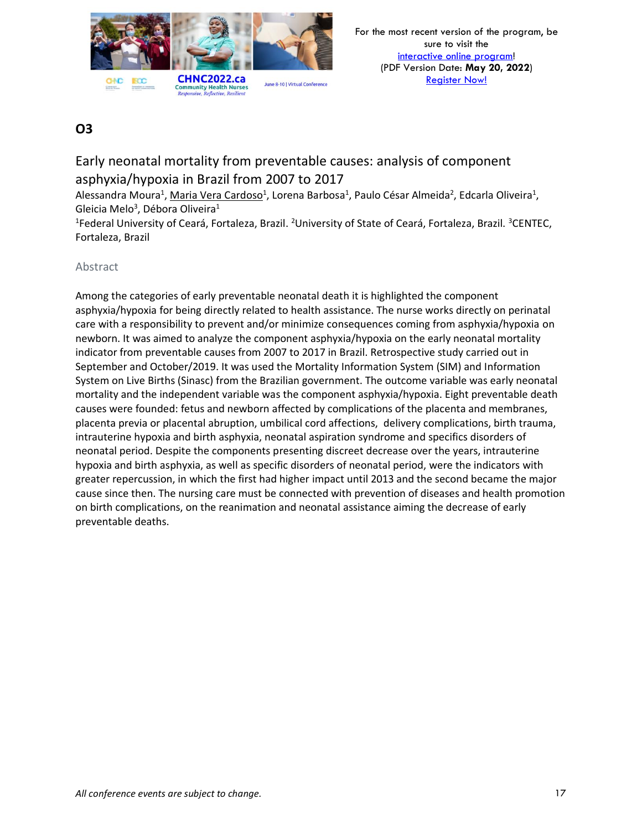

# Early neonatal mortality from preventable causes: analysis of component asphyxia/hypoxia in Brazil from 2007 to 2017

Alessandra Moura<sup>1</sup>, <u>Maria Vera Cardoso</u><sup>1</sup>, Lorena Barbosa<sup>1</sup>, Paulo César Almeida<sup>2</sup>, Edcarla Oliveira<sup>1</sup>, Gleicia Melo<sup>3</sup>, Débora Oliveira<sup>1</sup>

<sup>1</sup>Federal University of Ceará, Fortaleza, Brazil. <sup>2</sup>University of State of Ceará, Fortaleza, Brazil. <sup>3</sup>CENTEC, Fortaleza, Brazil

### Abstract

Among the categories of early preventable neonatal death it is highlighted the component asphyxia/hypoxia for being directly related to health assistance. The nurse works directly on perinatal care with a responsibility to prevent and/or minimize consequences coming from asphyxia/hypoxia on newborn. It was aimed to analyze the component asphyxia/hypoxia on the early neonatal mortality indicator from preventable causes from 2007 to 2017 in Brazil. Retrospective study carried out in September and October/2019. It was used the Mortality Information System (SIM) and Information System on Live Births (Sinasc) from the Brazilian government. The outcome variable was early neonatal mortality and the independent variable was the component asphyxia/hypoxia. Eight preventable death causes were founded: fetus and newborn affected by complications of the placenta and membranes, placenta previa or placental abruption, umbilical cord affections, delivery complications, birth trauma, intrauterine hypoxia and birth asphyxia, neonatal aspiration syndrome and specifics disorders of neonatal period. Despite the components presenting discreet decrease over the years, intrauterine hypoxia and birth asphyxia, as well as specific disorders of neonatal period, were the indicators with greater repercussion, in which the first had higher impact until 2013 and the second became the major cause since then. The nursing care must be connected with prevention of diseases and health promotion on birth complications, on the reanimation and neonatal assistance aiming the decrease of early preventable deaths.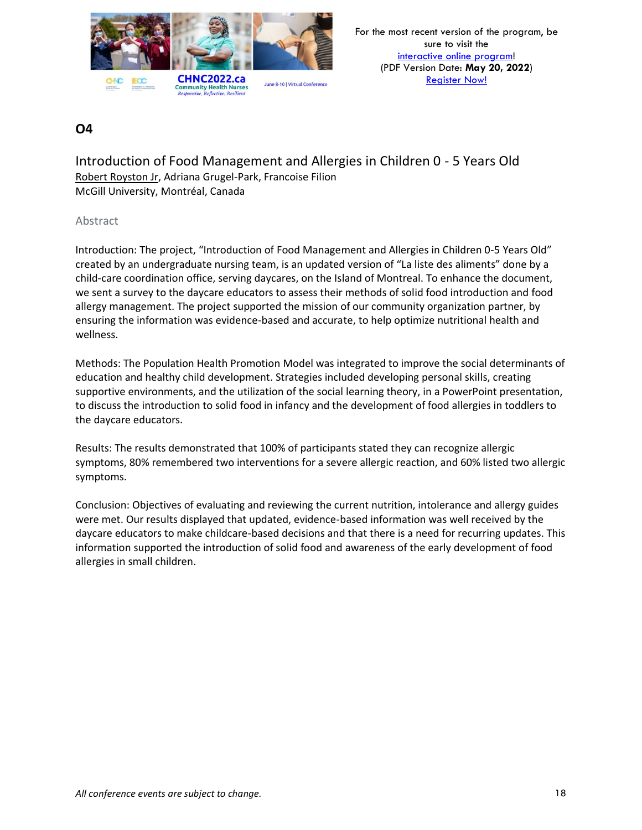

Introduction of Food Management and Allergies in Children 0 - 5 Years Old Robert Royston Jr, Adriana Grugel-Park, Francoise Filion McGill University, Montréal, Canada

### Abstract

Introduction: The project, "Introduction of Food Management and Allergies in Children 0-5 Years Old" created by an undergraduate nursing team, is an updated version of "La liste des aliments" done by a child-care coordination office, serving daycares, on the Island of Montreal. To enhance the document, we sent a survey to the daycare educators to assess their methods of solid food introduction and food allergy management. The project supported the mission of our community organization partner, by ensuring the information was evidence-based and accurate, to help optimize nutritional health and wellness.

Methods: The Population Health Promotion Model was integrated to improve the social determinants of education and healthy child development. Strategies included developing personal skills, creating supportive environments, and the utilization of the social learning theory, in a PowerPoint presentation, to discuss the introduction to solid food in infancy and the development of food allergies in toddlers to the daycare educators.

Results: The results demonstrated that 100% of participants stated they can recognize allergic symptoms, 80% remembered two interventions for a severe allergic reaction, and 60% listed two allergic symptoms.

Conclusion: Objectives of evaluating and reviewing the current nutrition, intolerance and allergy guides were met. Our results displayed that updated, evidence-based information was well received by the daycare educators to make childcare-based decisions and that there is a need for recurring updates. This information supported the introduction of solid food and awareness of the early development of food allergies in small children.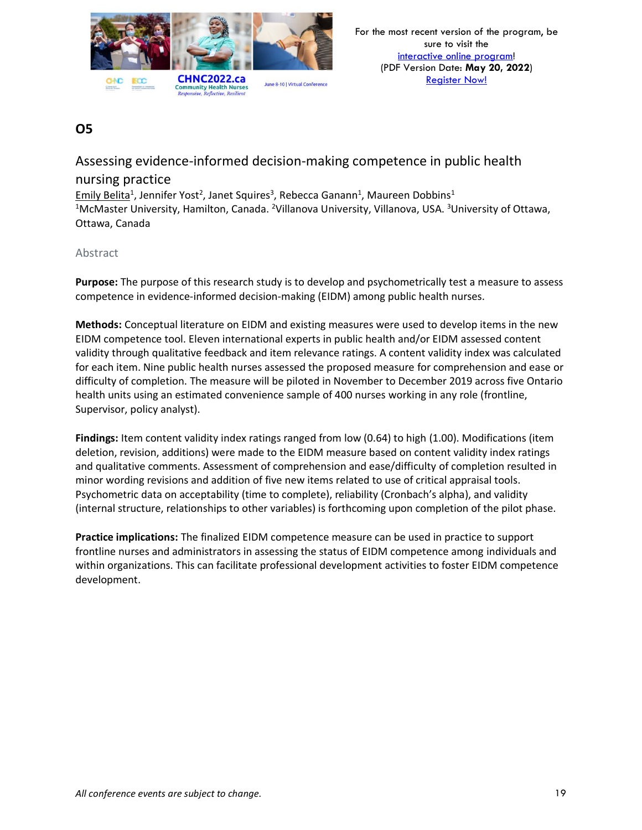

## Assessing evidence-informed decision-making competence in public health nursing practice

Emily Belita<sup>1</sup>, Jennifer Yost<sup>2</sup>, Janet Squires<sup>3</sup>, Rebecca Ganann<sup>1</sup>, Maureen Dobbins<sup>1</sup> <sup>1</sup>McMaster University, Hamilton, Canada. <sup>2</sup>Villanova University, Villanova, USA. <sup>3</sup>University of Ottawa, Ottawa, Canada

### Abstract

**Purpose:** The purpose of this research study is to develop and psychometrically test a measure to assess competence in evidence-informed decision-making (EIDM) among public health nurses.

**Methods:** Conceptual literature on EIDM and existing measures were used to develop items in the new EIDM competence tool. Eleven international experts in public health and/or EIDM assessed content validity through qualitative feedback and item relevance ratings. A content validity index was calculated for each item. Nine public health nurses assessed the proposed measure for comprehension and ease or difficulty of completion. The measure will be piloted in November to December 2019 across five Ontario health units using an estimated convenience sample of 400 nurses working in any role (frontline, Supervisor, policy analyst).

**Findings:** Item content validity index ratings ranged from low (0.64) to high (1.00). Modifications (item deletion, revision, additions) were made to the EIDM measure based on content validity index ratings and qualitative comments. Assessment of comprehension and ease/difficulty of completion resulted in minor wording revisions and addition of five new items related to use of critical appraisal tools. Psychometric data on acceptability (time to complete), reliability (Cronbach's alpha), and validity (internal structure, relationships to other variables) is forthcoming upon completion of the pilot phase.

**Practice implications:** The finalized EIDM competence measure can be used in practice to support frontline nurses and administrators in assessing the status of EIDM competence among individuals and within organizations. This can facilitate professional development activities to foster EIDM competence development.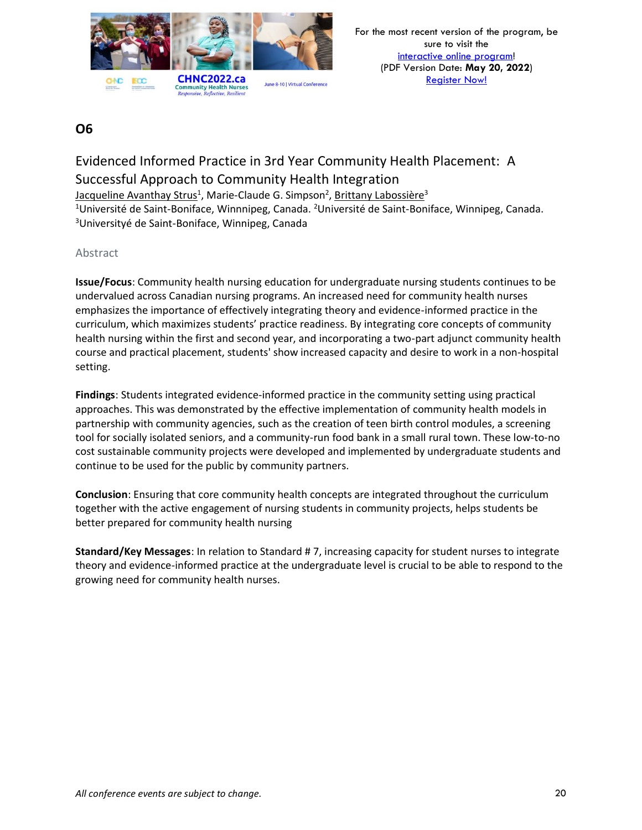

# Evidenced Informed Practice in 3rd Year Community Health Placement: A Successful Approach to Community Health Integration Jacqueline Avanthay Strus<sup>1</sup>, Marie-Claude G. Simpson<sup>2</sup>, <u>Brittany Labossière</u><sup>3</sup>

<sup>1</sup>Université de Saint-Boniface, Winnnipeg, Canada. <sup>2</sup>Université de Saint-Boniface, Winnipeg, Canada. <sup>3</sup>Universityé de Saint-Boniface, Winnipeg, Canada

### Abstract

**Issue/Focus**: Community health nursing education for undergraduate nursing students continues to be undervalued across Canadian nursing programs. An increased need for community health nurses emphasizes the importance of effectively integrating theory and evidence-informed practice in the curriculum, which maximizes students' practice readiness. By integrating core concepts of community health nursing within the first and second year, and incorporating a two-part adjunct community health course and practical placement, students' show increased capacity and desire to work in a non-hospital setting.

**Findings**: Students integrated evidence-informed practice in the community setting using practical approaches. This was demonstrated by the effective implementation of community health models in partnership with community agencies, such as the creation of teen birth control modules, a screening tool for socially isolated seniors, and a community-run food bank in a small rural town. These low-to-no cost sustainable community projects were developed and implemented by undergraduate students and continue to be used for the public by community partners.

**Conclusion**: Ensuring that core community health concepts are integrated throughout the curriculum together with the active engagement of nursing students in community projects, helps students be better prepared for community health nursing

**Standard/Key Messages**: In relation to Standard # 7, increasing capacity for student nurses to integrate theory and evidence-informed practice at the undergraduate level is crucial to be able to respond to the growing need for community health nurses.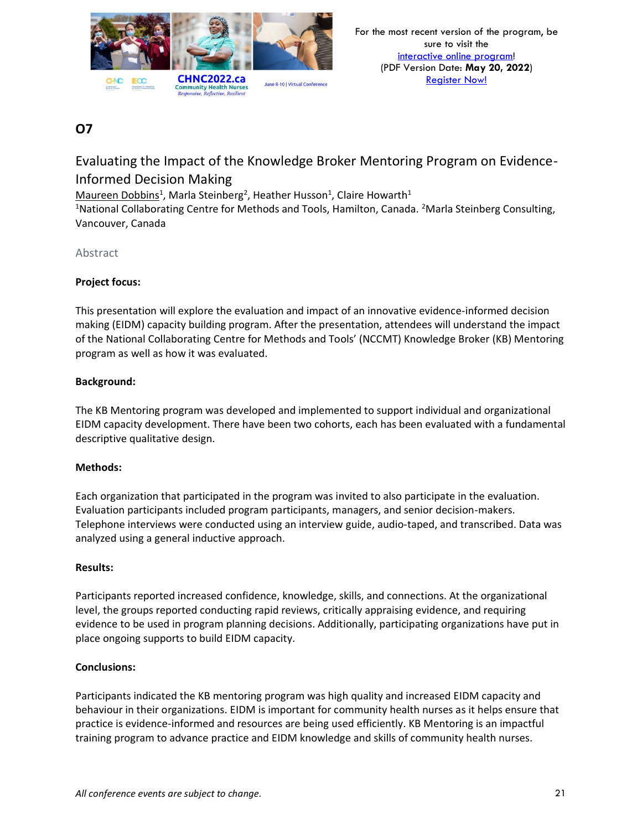

# Evaluating the Impact of the Knowledge Broker Mentoring Program on Evidence-Informed Decision Making

Maureen Dobbins<sup>1</sup>, Marla Steinberg<sup>2</sup>, Heather Husson<sup>1</sup>, Claire Howarth<sup>1</sup>

<sup>1</sup>National Collaborating Centre for Methods and Tools, Hamilton, Canada. <sup>2</sup>Marla Steinberg Consulting, Vancouver, Canada

### Abstract

### **Project focus:**

This presentation will explore the evaluation and impact of an innovative evidence-informed decision making (EIDM) capacity building program. After the presentation, attendees will understand the impact of the National Collaborating Centre for Methods and Tools' (NCCMT) Knowledge Broker (KB) Mentoring program as well as how it was evaluated.

### **Background:**

The KB Mentoring program was developed and implemented to support individual and organizational EIDM capacity development. There have been two cohorts, each has been evaluated with a fundamental descriptive qualitative design.

### **Methods:**

Each organization that participated in the program was invited to also participate in the evaluation. Evaluation participants included program participants, managers, and senior decision-makers. Telephone interviews were conducted using an interview guide, audio-taped, and transcribed. Data was analyzed using a general inductive approach.

### **Results:**

Participants reported increased confidence, knowledge, skills, and connections. At the organizational level, the groups reported conducting rapid reviews, critically appraising evidence, and requiring evidence to be used in program planning decisions. Additionally, participating organizations have put in place ongoing supports to build EIDM capacity.

### **Conclusions:**

Participants indicated the KB mentoring program was high quality and increased EIDM capacity and behaviour in their organizations. EIDM is important for community health nurses as it helps ensure that practice is evidence-informed and resources are being used efficiently. KB Mentoring is an impactful training program to advance practice and EIDM knowledge and skills of community health nurses.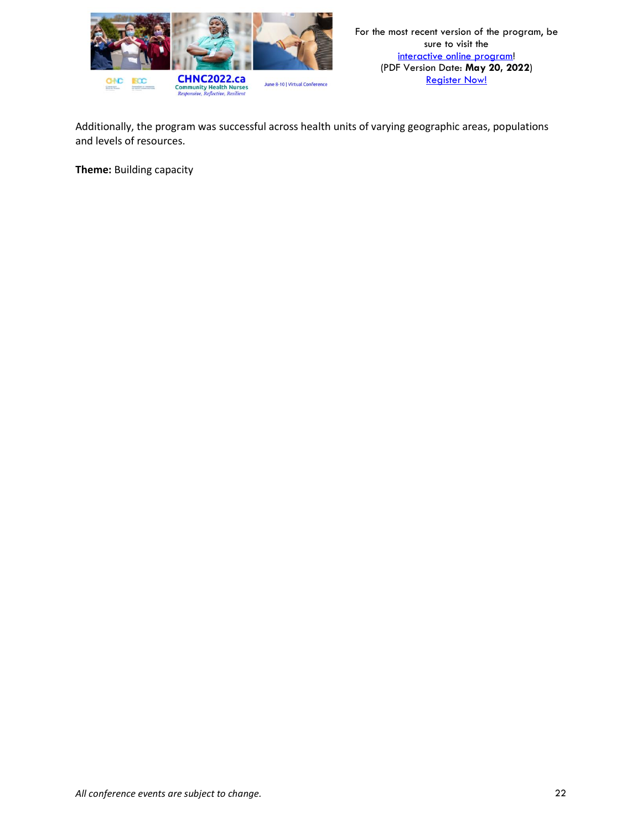

Additionally, the program was successful across health units of varying geographic areas, populations and levels of resources.

**Theme:** Building capacity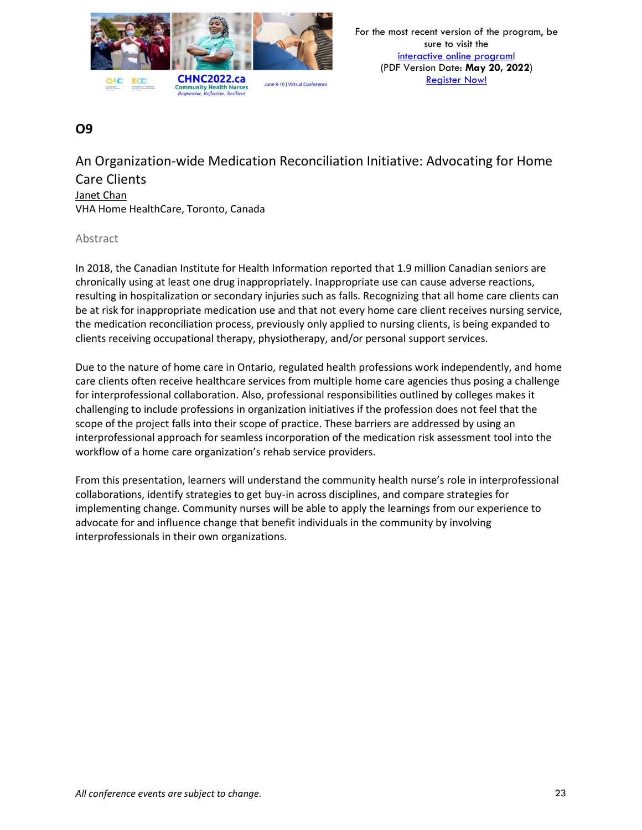

An Organization-wide Medication Reconciliation Initiative: Advocating for Home Care Clients Janet Chan VHA Home HealthCare, Toronto, Canada

### Abstract

In 2018, the Canadian Institute for Health Information reported that 1.9 million Canadian seniors are chronically using at least one drug inappropriately. Inappropriate use can cause adverse reactions, resulting in hospitalization or secondary injuries such as falls. Recognizing that all home care clients can be at risk for inappropriate medication use and that not every home care client receives nursing service, the medication reconciliation process, previously only applied to nursing clients, is being expanded to clients receiving occupational therapy, physiotherapy, and/or personal support services.

Due to the nature of home care in Ontario, regulated health professions work independently, and home care clients often receive healthcare services from multiple home care agencies thus posing a challenge for interprofessional collaboration. Also, professional responsibilities outlined by colleges makes it challenging to include professions in organization initiatives if the profession does not feel that the scope of the project falls into their scope of practice. These barriers are addressed by using an interprofessional approach for seamless incorporation of the medication risk assessment tool into the workflow of a home care organization's rehab service providers.

From this presentation, learners will understand the community health nurse's role in interprofessional collaborations, identify strategies to get buy-in across disciplines, and compare strategies for implementing change. Community nurses will be able to apply the learnings from our experience to advocate for and influence change that benefit individuals in the community by involving interprofessionals in their own organizations.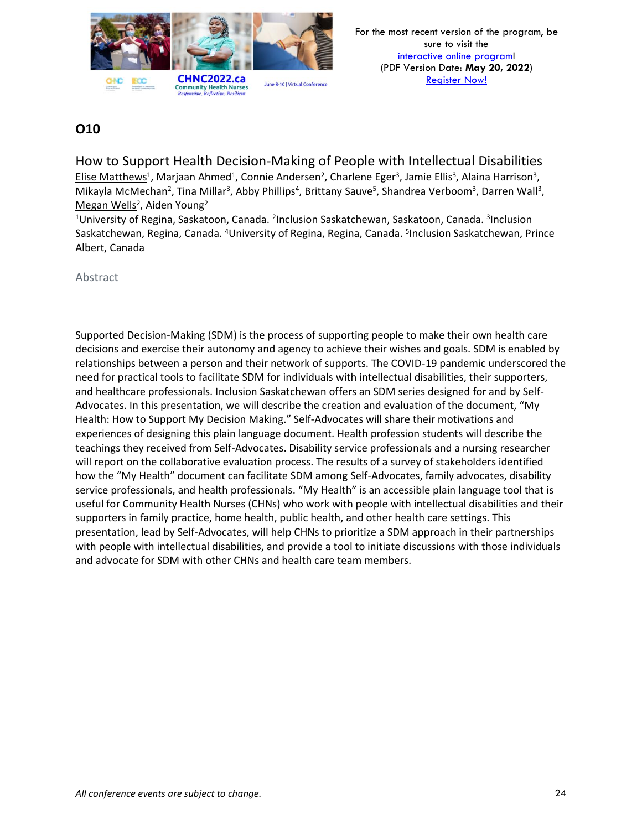

How to Support Health Decision-Making of People with Intellectual Disabilities Elise Matthews<sup>1</sup>, Marjaan Ahmed<sup>1</sup>, Connie Andersen<sup>2</sup>, Charlene Eger<sup>3</sup>, Jamie Ellis<sup>3</sup>, Alaina Harrison<sup>3</sup>, Mikayla McMechan<sup>2</sup>, Tina Millar<sup>3</sup>, Abby Phillips<sup>4</sup>, Brittany Sauve<sup>5</sup>, Shandrea Verboom<sup>3</sup>, Darren Wall<sup>3</sup>, Megan Wells<sup>2</sup>, Aiden Young<sup>2</sup>

<sup>1</sup>University of Regina, Saskatoon, Canada. <sup>2</sup>Inclusion Saskatchewan, Saskatoon, Canada. <sup>3</sup>Inclusion Saskatchewan, Regina, Canada. <sup>4</sup>University of Regina, Regina, Canada. <sup>5</sup>Inclusion Saskatchewan, Prince Albert, Canada

Abstract

Supported Decision-Making (SDM) is the process of supporting people to make their own health care decisions and exercise their autonomy and agency to achieve their wishes and goals. SDM is enabled by relationships between a person and their network of supports. The COVID-19 pandemic underscored the need for practical tools to facilitate SDM for individuals with intellectual disabilities, their supporters, and healthcare professionals. Inclusion Saskatchewan offers an SDM series designed for and by Self-Advocates. In this presentation, we will describe the creation and evaluation of the document, "My Health: How to Support My Decision Making." Self-Advocates will share their motivations and experiences of designing this plain language document. Health profession students will describe the teachings they received from Self-Advocates. Disability service professionals and a nursing researcher will report on the collaborative evaluation process. The results of a survey of stakeholders identified how the "My Health" document can facilitate SDM among Self-Advocates, family advocates, disability service professionals, and health professionals. "My Health" is an accessible plain language tool that is useful for Community Health Nurses (CHNs) who work with people with intellectual disabilities and their supporters in family practice, home health, public health, and other health care settings. This presentation, lead by Self-Advocates, will help CHNs to prioritize a SDM approach in their partnerships with people with intellectual disabilities, and provide a tool to initiate discussions with those individuals and advocate for SDM with other CHNs and health care team members.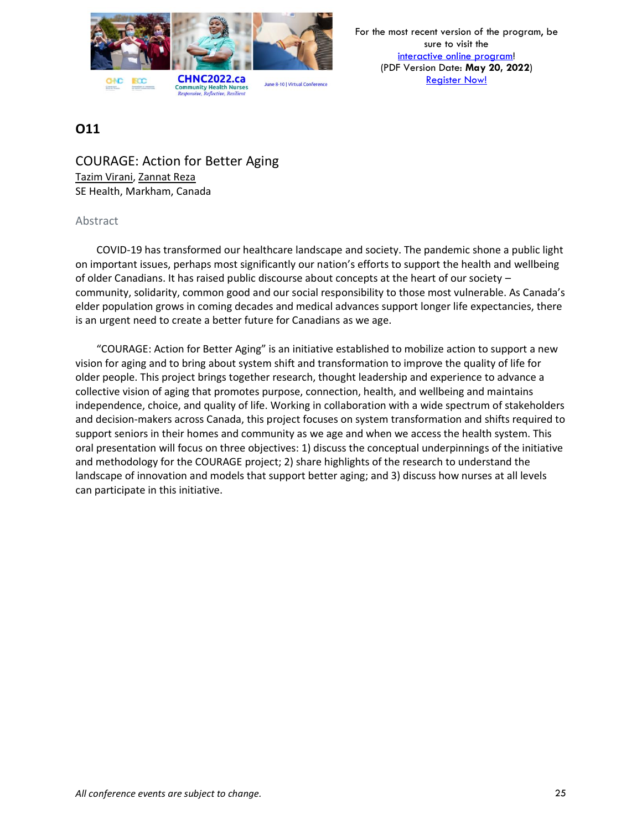

For the most recent version of the program, be sure to visit the [interactive online program!](https://virtual.oxfordabstracts.com/#/event/1204/program) (PDF Version Date: **May 20, 2022**) [Register Now!](https://chnc2022.ca/registration)

# **O11**

COURAGE: Action for Better Aging Tazim Virani, Zannat Reza SE Health, Markham, Canada

### Abstract

COVID-19 has transformed our healthcare landscape and society. The pandemic shone a public light on important issues, perhaps most significantly our nation's efforts to support the health and wellbeing of older Canadians. It has raised public discourse about concepts at the heart of our society – community, solidarity, common good and our social responsibility to those most vulnerable. As Canada's elder population grows in coming decades and medical advances support longer life expectancies, there is an urgent need to create a better future for Canadians as we age.

"COURAGE: Action for Better Aging" is an initiative established to mobilize action to support a new vision for aging and to bring about system shift and transformation to improve the quality of life for older people. This project brings together research, thought leadership and experience to advance a collective vision of aging that promotes purpose, connection, health, and wellbeing and maintains independence, choice, and quality of life. Working in collaboration with a wide spectrum of stakeholders and decision-makers across Canada, this project focuses on system transformation and shifts required to support seniors in their homes and community as we age and when we access the health system. This oral presentation will focus on three objectives: 1) discuss the conceptual underpinnings of the initiative and methodology for the COURAGE project; 2) share highlights of the research to understand the landscape of innovation and models that support better aging; and 3) discuss how nurses at all levels can participate in this initiative.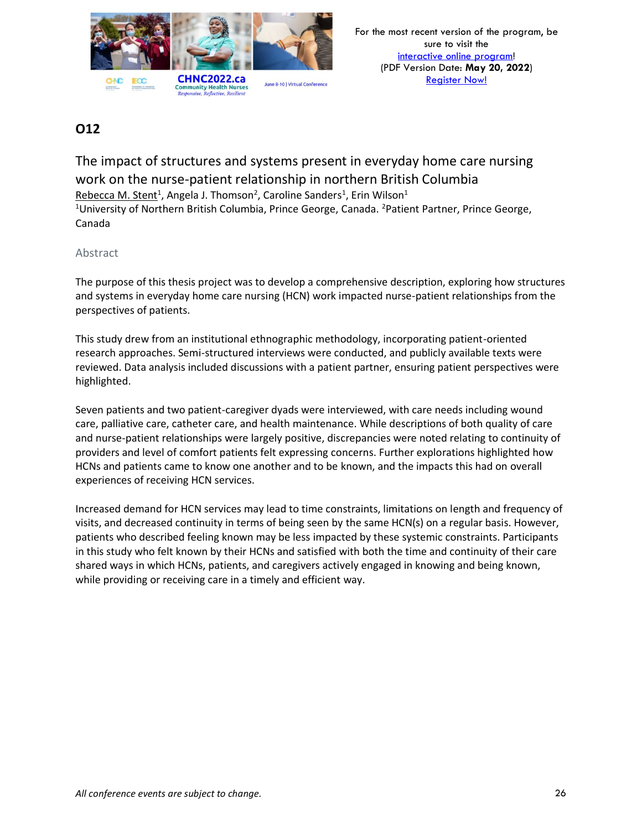

The impact of structures and systems present in everyday home care nursing work on the nurse-patient relationship in northern British Columbia Rebecca M. Stent<sup>1</sup>, Angela J. Thomson<sup>2</sup>, Caroline Sanders<sup>1</sup>, Erin Wilson<sup>1</sup> <sup>1</sup>University of Northern British Columbia, Prince George, Canada. <sup>2</sup>Patient Partner, Prince George, Canada

### Abstract

The purpose of this thesis project was to develop a comprehensive description, exploring how structures and systems in everyday home care nursing (HCN) work impacted nurse-patient relationships from the perspectives of patients.

This study drew from an institutional ethnographic methodology, incorporating patient-oriented research approaches. Semi-structured interviews were conducted, and publicly available texts were reviewed. Data analysis included discussions with a patient partner, ensuring patient perspectives were highlighted.

Seven patients and two patient-caregiver dyads were interviewed, with care needs including wound care, palliative care, catheter care, and health maintenance. While descriptions of both quality of care and nurse-patient relationships were largely positive, discrepancies were noted relating to continuity of providers and level of comfort patients felt expressing concerns. Further explorations highlighted how HCNs and patients came to know one another and to be known, and the impacts this had on overall experiences of receiving HCN services.

Increased demand for HCN services may lead to time constraints, limitations on length and frequency of visits, and decreased continuity in terms of being seen by the same HCN(s) on a regular basis. However, patients who described feeling known may be less impacted by these systemic constraints. Participants in this study who felt known by their HCNs and satisfied with both the time and continuity of their care shared ways in which HCNs, patients, and caregivers actively engaged in knowing and being known, while providing or receiving care in a timely and efficient way.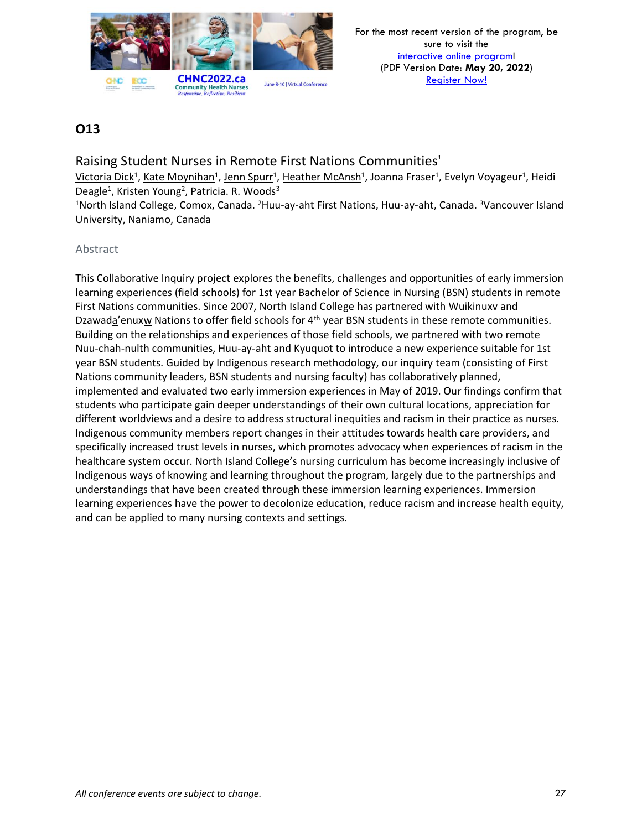

## Raising Student Nurses in Remote First Nations Communities'

Victoria Dick<sup>1</sup>, Kate Moynihan<sup>1</sup>, Jenn Spurr<sup>1</sup>, Heather McAnsh<sup>1</sup>, Joanna Fraser<sup>1</sup>, Evelyn Voyageur<sup>1</sup>, Heidi Deagle<sup>1</sup>, Kristen Young<sup>2</sup>, Patricia. R. Woods<sup>3</sup>

<sup>1</sup>North Island College, Comox, Canada. <sup>2</sup>Huu-ay-aht First Nations, Huu-ay-aht, Canada. <sup>3</sup>Vancouver Island University, Naniamo, Canada

### Abstract

This Collaborative Inquiry project explores the benefits, challenges and opportunities of early immersion learning experiences (field schools) for 1st year Bachelor of Science in Nursing (BSN) students in remote First Nations communities. Since 2007, North Island College has partnered with Wuikinuxv and Dzawada'enuxw Nations to offer field schools for 4<sup>th</sup> year BSN students in these remote communities. Building on the relationships and experiences of those field schools, we partnered with two remote Nuu-chah-nulth communities, Huu-ay-aht and Kyuquot to introduce a new experience suitable for 1st year BSN students. Guided by Indigenous research methodology, our inquiry team (consisting of First Nations community leaders, BSN students and nursing faculty) has collaboratively planned, implemented and evaluated two early immersion experiences in May of 2019. Our findings confirm that students who participate gain deeper understandings of their own cultural locations, appreciation for different worldviews and a desire to address structural inequities and racism in their practice as nurses. Indigenous community members report changes in their attitudes towards health care providers, and specifically increased trust levels in nurses, which promotes advocacy when experiences of racism in the healthcare system occur. North Island College's nursing curriculum has become increasingly inclusive of Indigenous ways of knowing and learning throughout the program, largely due to the partnerships and understandings that have been created through these immersion learning experiences. Immersion learning experiences have the power to decolonize education, reduce racism and increase health equity, and can be applied to many nursing contexts and settings.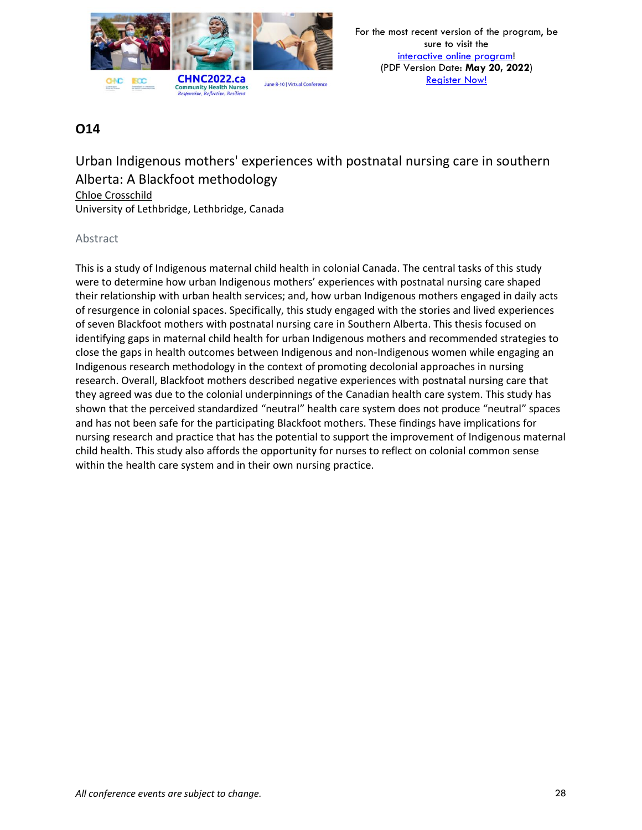

## Urban Indigenous mothers' experiences with postnatal nursing care in southern Alberta: A Blackfoot methodology Chloe Crosschild

University of Lethbridge, Lethbridge, Canada

### Abstract

This is a study of Indigenous maternal child health in colonial Canada. The central tasks of this study were to determine how urban Indigenous mothers' experiences with postnatal nursing care shaped their relationship with urban health services; and, how urban Indigenous mothers engaged in daily acts of resurgence in colonial spaces. Specifically, this study engaged with the stories and lived experiences of seven Blackfoot mothers with postnatal nursing care in Southern Alberta. This thesis focused on identifying gaps in maternal child health for urban Indigenous mothers and recommended strategies to close the gaps in health outcomes between Indigenous and non-Indigenous women while engaging an Indigenous research methodology in the context of promoting decolonial approaches in nursing research. Overall, Blackfoot mothers described negative experiences with postnatal nursing care that they agreed was due to the colonial underpinnings of the Canadian health care system. This study has shown that the perceived standardized "neutral" health care system does not produce "neutral" spaces and has not been safe for the participating Blackfoot mothers. These findings have implications for nursing research and practice that has the potential to support the improvement of Indigenous maternal child health. This study also affords the opportunity for nurses to reflect on colonial common sense within the health care system and in their own nursing practice.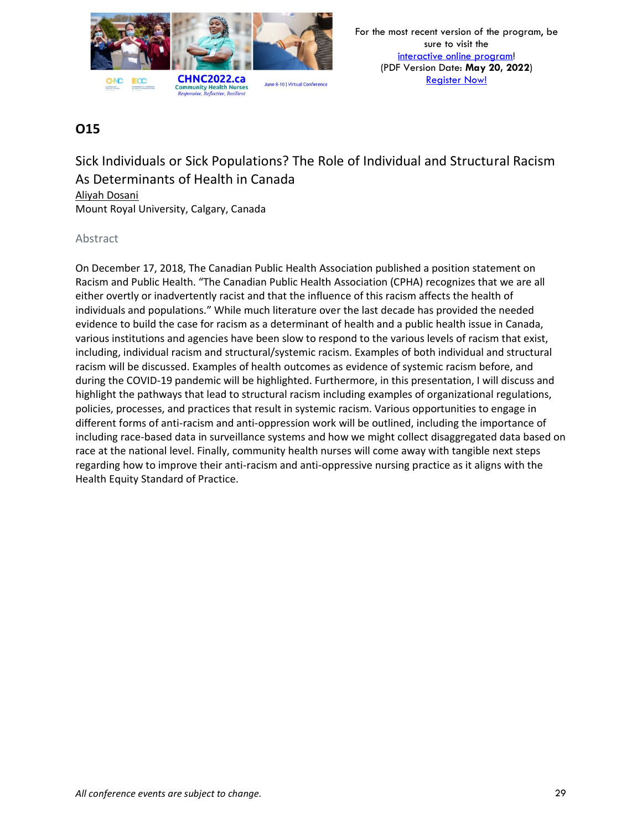

Sick Individuals or Sick Populations? The Role of Individual and Structural Racism As Determinants of Health in Canada

Aliyah Dosani Mount Royal University, Calgary, Canada

### Abstract

On December 17, 2018, The Canadian Public Health Association published a position statement on Racism and Public Health. "The Canadian Public Health Association (CPHA) recognizes that we are all either overtly or inadvertently racist and that the influence of this racism affects the health of individuals and populations." While much literature over the last decade has provided the needed evidence to build the case for racism as a determinant of health and a public health issue in Canada, various institutions and agencies have been slow to respond to the various levels of racism that exist, including, individual racism and structural/systemic racism. Examples of both individual and structural racism will be discussed. Examples of health outcomes as evidence of systemic racism before, and during the COVID-19 pandemic will be highlighted. Furthermore, in this presentation, I will discuss and highlight the pathways that lead to structural racism including examples of organizational regulations, policies, processes, and practices that result in systemic racism. Various opportunities to engage in different forms of anti-racism and anti-oppression work will be outlined, including the importance of including race-based data in surveillance systems and how we might collect disaggregated data based on race at the national level. Finally, community health nurses will come away with tangible next steps regarding how to improve their anti-racism and anti-oppressive nursing practice as it aligns with the Health Equity Standard of Practice.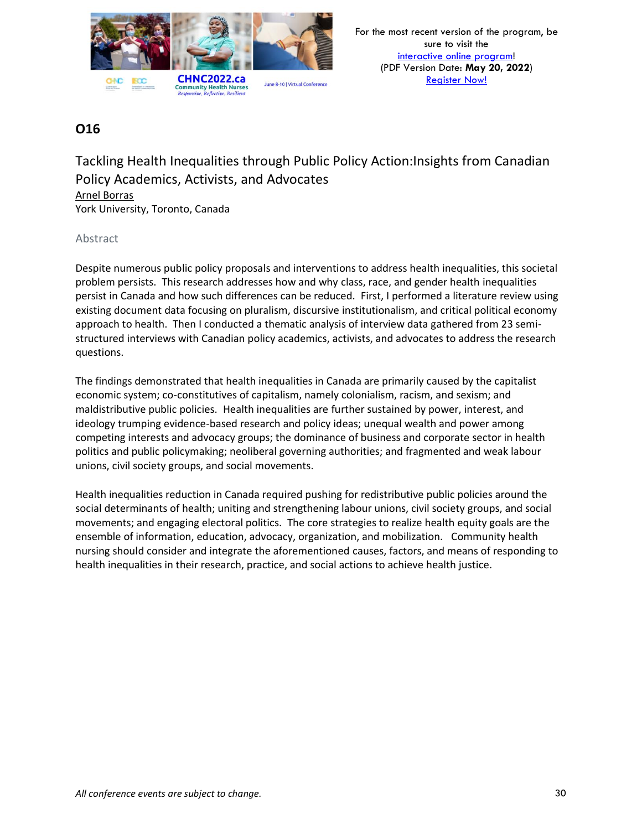

Tackling Health Inequalities through Public Policy Action:Insights from Canadian Policy Academics, Activists, and Advocates Arnel Borras

York University, Toronto, Canada

### Abstract

Despite numerous public policy proposals and interventions to address health inequalities, this societal problem persists. This research addresses how and why class, race, and gender health inequalities persist in Canada and how such differences can be reduced. First, I performed a literature review using existing document data focusing on pluralism, discursive institutionalism, and critical political economy approach to health. Then I conducted a thematic analysis of interview data gathered from 23 semistructured interviews with Canadian policy academics, activists, and advocates to address the research questions.

The findings demonstrated that health inequalities in Canada are primarily caused by the capitalist economic system; co-constitutives of capitalism, namely colonialism, racism, and sexism; and maldistributive public policies. Health inequalities are further sustained by power, interest, and ideology trumping evidence-based research and policy ideas; unequal wealth and power among competing interests and advocacy groups; the dominance of business and corporate sector in health politics and public policymaking; neoliberal governing authorities; and fragmented and weak labour unions, civil society groups, and social movements.

Health inequalities reduction in Canada required pushing for redistributive public policies around the social determinants of health; uniting and strengthening labour unions, civil society groups, and social movements; and engaging electoral politics. The core strategies to realize health equity goals are the ensemble of information, education, advocacy, organization, and mobilization. Community health nursing should consider and integrate the aforementioned causes, factors, and means of responding to health inequalities in their research, practice, and social actions to achieve health justice.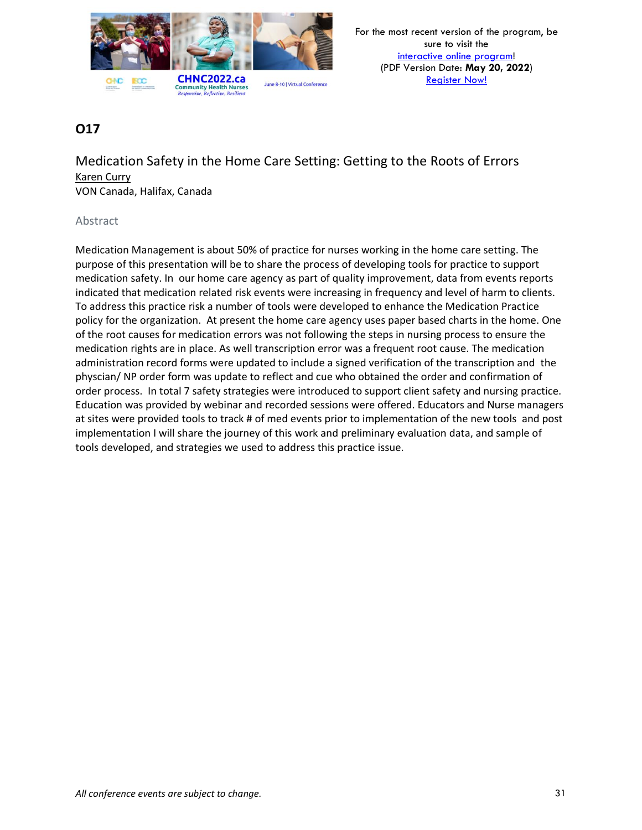

# Medication Safety in the Home Care Setting: Getting to the Roots of Errors Karen Curry

VON Canada, Halifax, Canada

### Abstract

Medication Management is about 50% of practice for nurses working in the home care setting. The purpose of this presentation will be to share the process of developing tools for practice to support medication safety. In our home care agency as part of quality improvement, data from events reports indicated that medication related risk events were increasing in frequency and level of harm to clients. To address this practice risk a number of tools were developed to enhance the Medication Practice policy for the organization. At present the home care agency uses paper based charts in the home. One of the root causes for medication errors was not following the steps in nursing process to ensure the medication rights are in place. As well transcription error was a frequent root cause. The medication administration record forms were updated to include a signed verification of the transcription and the physcian/ NP order form was update to reflect and cue who obtained the order and confirmation of order process. In total 7 safety strategies were introduced to support client safety and nursing practice. Education was provided by webinar and recorded sessions were offered. Educators and Nurse managers at sites were provided tools to track # of med events prior to implementation of the new tools and post implementation I will share the journey of this work and preliminary evaluation data, and sample of tools developed, and strategies we used to address this practice issue.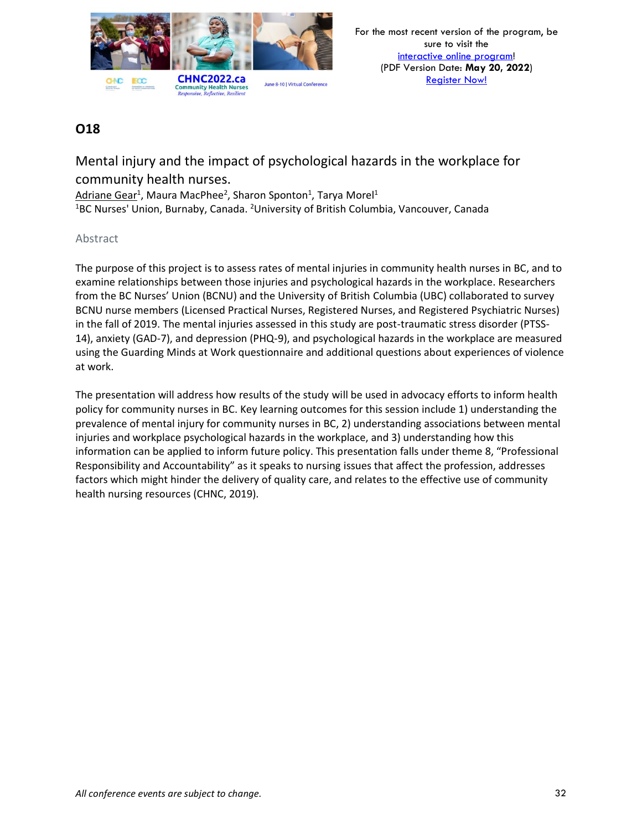

Mental injury and the impact of psychological hazards in the workplace for community health nurses.

Adriane Gear<sup>1</sup>, Maura MacPhee<sup>2</sup>, Sharon Sponton<sup>1</sup>, Tarya Morel<sup>1</sup> <sup>1</sup>BC Nurses' Union, Burnaby, Canada. <sup>2</sup>University of British Columbia, Vancouver, Canada

### Abstract

The purpose of this project is to assess rates of mental injuries in community health nurses in BC, and to examine relationships between those injuries and psychological hazards in the workplace. Researchers from the BC Nurses' Union (BCNU) and the University of British Columbia (UBC) collaborated to survey BCNU nurse members (Licensed Practical Nurses, Registered Nurses, and Registered Psychiatric Nurses) in the fall of 2019. The mental injuries assessed in this study are post-traumatic stress disorder (PTSS-14), anxiety (GAD-7), and depression (PHQ-9), and psychological hazards in the workplace are measured using the Guarding Minds at Work questionnaire and additional questions about experiences of violence at work.

The presentation will address how results of the study will be used in advocacy efforts to inform health policy for community nurses in BC. Key learning outcomes for this session include 1) understanding the prevalence of mental injury for community nurses in BC, 2) understanding associations between mental injuries and workplace psychological hazards in the workplace, and 3) understanding how this information can be applied to inform future policy. This presentation falls under theme 8, "Professional Responsibility and Accountability" as it speaks to nursing issues that affect the profession, addresses factors which might hinder the delivery of quality care, and relates to the effective use of community health nursing resources (CHNC, 2019).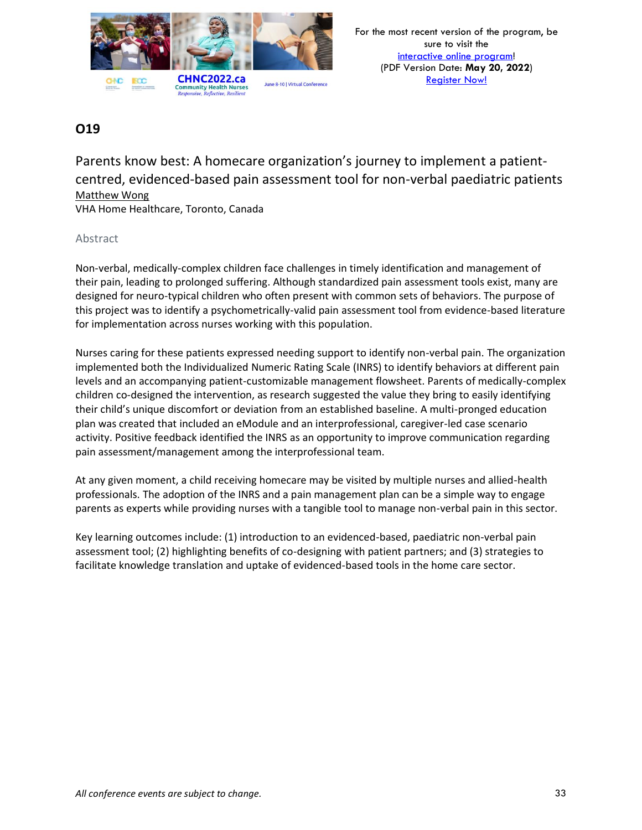

Parents know best: A homecare organization's journey to implement a patientcentred, evidenced-based pain assessment tool for non-verbal paediatric patients Matthew Wong

VHA Home Healthcare, Toronto, Canada

### Abstract

Non-verbal, medically-complex children face challenges in timely identification and management of their pain, leading to prolonged suffering. Although standardized pain assessment tools exist, many are designed for neuro-typical children who often present with common sets of behaviors. The purpose of this project was to identify a psychometrically-valid pain assessment tool from evidence-based literature for implementation across nurses working with this population.

Nurses caring for these patients expressed needing support to identify non-verbal pain. The organization implemented both the Individualized Numeric Rating Scale (INRS) to identify behaviors at different pain levels and an accompanying patient-customizable management flowsheet. Parents of medically-complex children co-designed the intervention, as research suggested the value they bring to easily identifying their child's unique discomfort or deviation from an established baseline. A multi-pronged education plan was created that included an eModule and an interprofessional, caregiver-led case scenario activity. Positive feedback identified the INRS as an opportunity to improve communication regarding pain assessment/management among the interprofessional team.

At any given moment, a child receiving homecare may be visited by multiple nurses and allied-health professionals. The adoption of the INRS and a pain management plan can be a simple way to engage parents as experts while providing nurses with a tangible tool to manage non-verbal pain in this sector.

Key learning outcomes include: (1) introduction to an evidenced-based, paediatric non-verbal pain assessment tool; (2) highlighting benefits of co-designing with patient partners; and (3) strategies to facilitate knowledge translation and uptake of evidenced-based tools in the home care sector.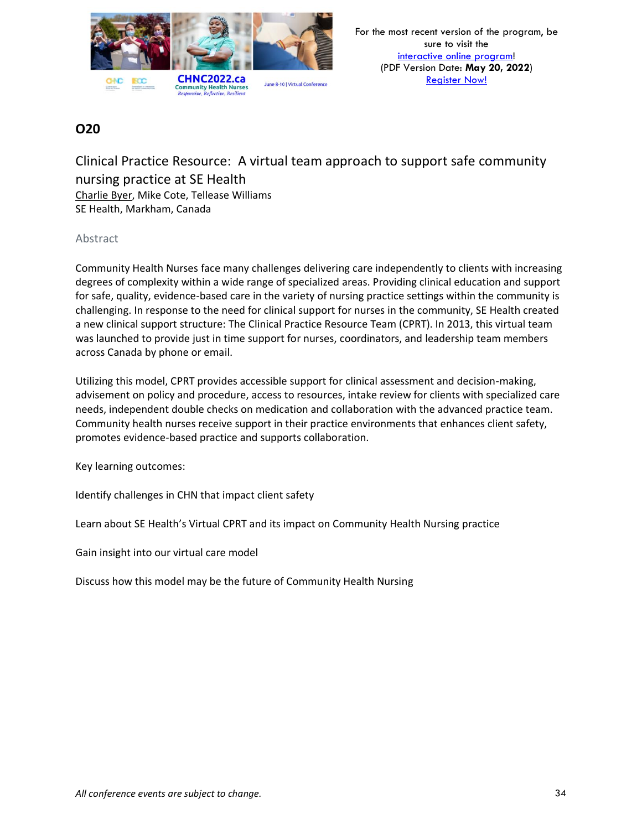

Clinical Practice Resource: A virtual team approach to support safe community nursing practice at SE Health Charlie Byer, Mike Cote, Tellease Williams SE Health, Markham, Canada

### Abstract

Community Health Nurses face many challenges delivering care independently to clients with increasing degrees of complexity within a wide range of specialized areas. Providing clinical education and support for safe, quality, evidence-based care in the variety of nursing practice settings within the community is challenging. In response to the need for clinical support for nurses in the community, SE Health created a new clinical support structure: The Clinical Practice Resource Team (CPRT). In 2013, this virtual team was launched to provide just in time support for nurses, coordinators, and leadership team members across Canada by phone or email.

Utilizing this model, CPRT provides accessible support for clinical assessment and decision-making, advisement on policy and procedure, access to resources, intake review for clients with specialized care needs, independent double checks on medication and collaboration with the advanced practice team. Community health nurses receive support in their practice environments that enhances client safety, promotes evidence-based practice and supports collaboration.

Key learning outcomes:

Identify challenges in CHN that impact client safety

Learn about SE Health's Virtual CPRT and its impact on Community Health Nursing practice

Gain insight into our virtual care model

Discuss how this model may be the future of Community Health Nursing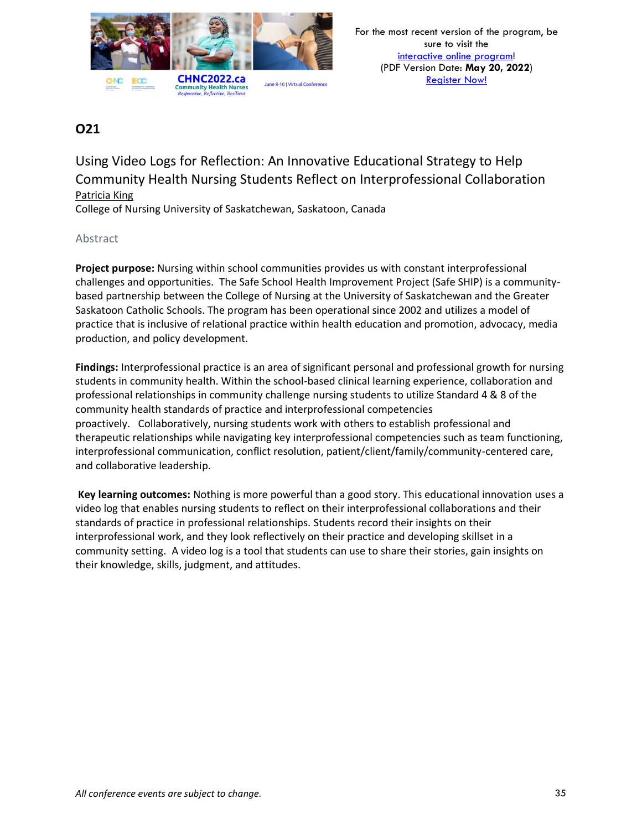

Using Video Logs for Reflection: An Innovative Educational Strategy to Help Community Health Nursing Students Reflect on Interprofessional Collaboration Patricia King

College of Nursing University of Saskatchewan, Saskatoon, Canada

### Abstract

**Project purpose:** Nursing within school communities provides us with constant interprofessional challenges and opportunities. The Safe School Health Improvement Project (Safe SHIP) is a communitybased partnership between the College of Nursing at the University of Saskatchewan and the Greater Saskatoon Catholic Schools. The program has been operational since 2002 and utilizes a model of practice that is inclusive of relational practice within health education and promotion, advocacy, media production, and policy development.

**Findings:** Interprofessional practice is an area of significant personal and professional growth for nursing students in community health. Within the school-based clinical learning experience, collaboration and professional relationships in community challenge nursing students to utilize Standard 4 & 8 of the community health standards of practice and interprofessional competencies proactively. Collaboratively, nursing students work with others to establish professional and therapeutic relationships while navigating key interprofessional competencies such as team functioning, interprofessional communication, conflict resolution, patient/client/family/community-centered care, and collaborative leadership.

**Key learning outcomes:** Nothing is more powerful than a good story. This educational innovation uses a video log that enables nursing students to reflect on their interprofessional collaborations and their standards of practice in professional relationships. Students record their insights on their interprofessional work, and they look reflectively on their practice and developing skillset in a community setting. A video log is a tool that students can use to share their stories, gain insights on their knowledge, skills, judgment, and attitudes.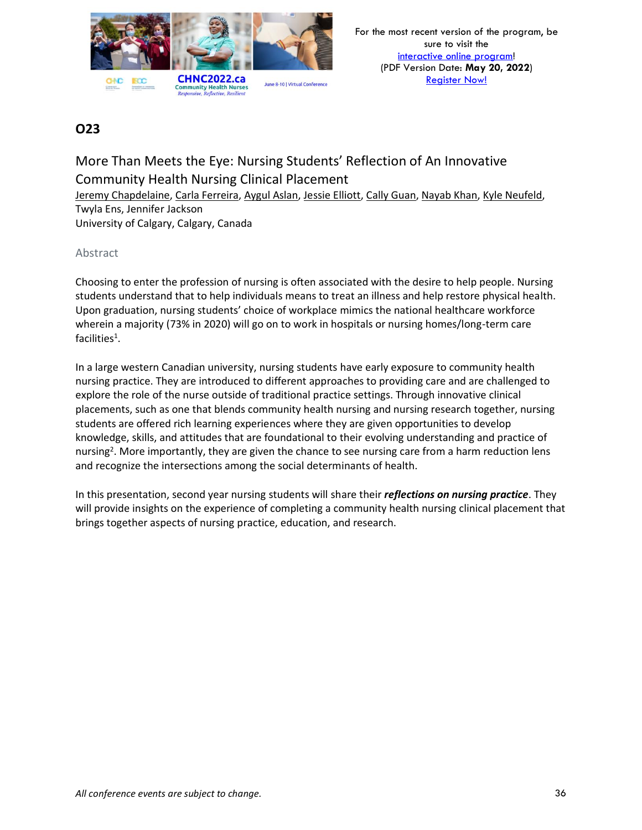

# More Than Meets the Eye: Nursing Students' Reflection of An Innovative Community Health Nursing Clinical Placement

Jeremy Chapdelaine, Carla Ferreira, Aygul Aslan, Jessie Elliott, Cally Guan, Nayab Khan, Kyle Neufeld, Twyla Ens, Jennifer Jackson University of Calgary, Calgary, Canada

### Abstract

Choosing to enter the profession of nursing is often associated with the desire to help people. Nursing students understand that to help individuals means to treat an illness and help restore physical health. Upon graduation, nursing students' choice of workplace mimics the national healthcare workforce wherein a majority (73% in 2020) will go on to work in hospitals or nursing homes/long-term care facilities<sup>1</sup>.

In a large western Canadian university, nursing students have early exposure to community health nursing practice. They are introduced to different approaches to providing care and are challenged to explore the role of the nurse outside of traditional practice settings. Through innovative clinical placements, such as one that blends community health nursing and nursing research together, nursing students are offered rich learning experiences where they are given opportunities to develop knowledge, skills, and attitudes that are foundational to their evolving understanding and practice of nursing<sup>2</sup>. More importantly, they are given the chance to see nursing care from a harm reduction lens and recognize the intersections among the social determinants of health.

In this presentation, second year nursing students will share their *reflections on nursing practice*. They will provide insights on the experience of completing a community health nursing clinical placement that brings together aspects of nursing practice, education, and research.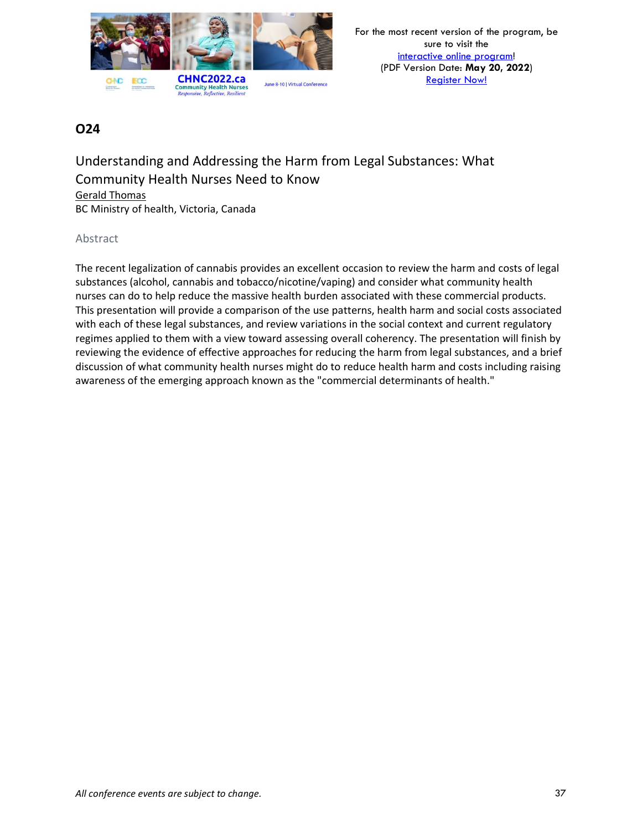

Understanding and Addressing the Harm from Legal Substances: What Community Health Nurses Need to Know Gerald Thomas BC Ministry of health, Victoria, Canada

#### Abstract

The recent legalization of cannabis provides an excellent occasion to review the harm and costs of legal substances (alcohol, cannabis and tobacco/nicotine/vaping) and consider what community health nurses can do to help reduce the massive health burden associated with these commercial products. This presentation will provide a comparison of the use patterns, health harm and social costs associated with each of these legal substances, and review variations in the social context and current regulatory regimes applied to them with a view toward assessing overall coherency. The presentation will finish by reviewing the evidence of effective approaches for reducing the harm from legal substances, and a brief discussion of what community health nurses might do to reduce health harm and costs including raising awareness of the emerging approach known as the "commercial determinants of health."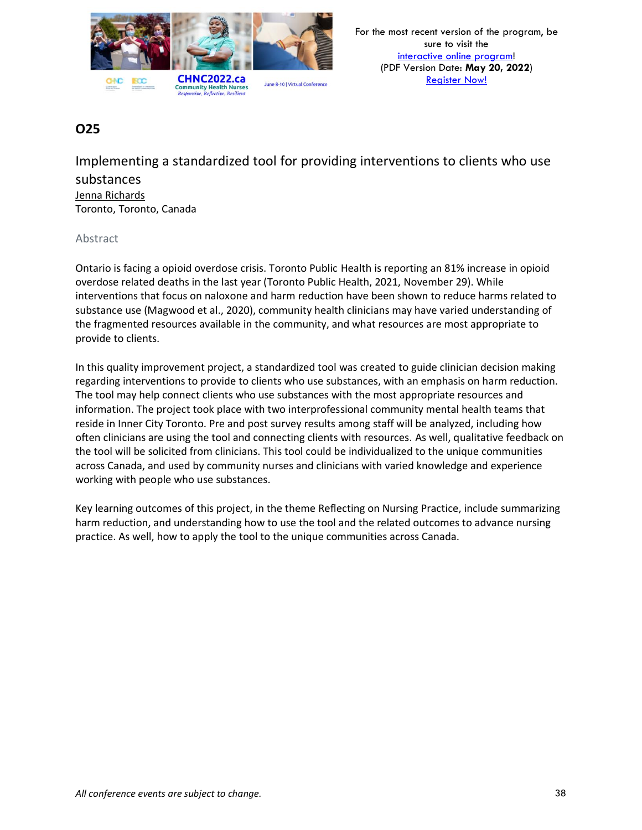

Implementing a standardized tool for providing interventions to clients who use substances Jenna Richards Toronto, Toronto, Canada

#### Abstract

Ontario is facing a opioid overdose crisis. Toronto Public Health is reporting an 81% increase in opioid overdose related deaths in the last year (Toronto Public Health, 2021, November 29). While interventions that focus on naloxone and harm reduction have been shown to reduce harms related to substance use (Magwood et al., 2020), community health clinicians may have varied understanding of the fragmented resources available in the community, and what resources are most appropriate to provide to clients.

In this quality improvement project, a standardized tool was created to guide clinician decision making regarding interventions to provide to clients who use substances, with an emphasis on harm reduction. The tool may help connect clients who use substances with the most appropriate resources and information. The project took place with two interprofessional community mental health teams that reside in Inner City Toronto. Pre and post survey results among staff will be analyzed, including how often clinicians are using the tool and connecting clients with resources. As well, qualitative feedback on the tool will be solicited from clinicians. This tool could be individualized to the unique communities across Canada, and used by community nurses and clinicians with varied knowledge and experience working with people who use substances.

Key learning outcomes of this project, in the theme Reflecting on Nursing Practice, include summarizing harm reduction, and understanding how to use the tool and the related outcomes to advance nursing practice. As well, how to apply the tool to the unique communities across Canada.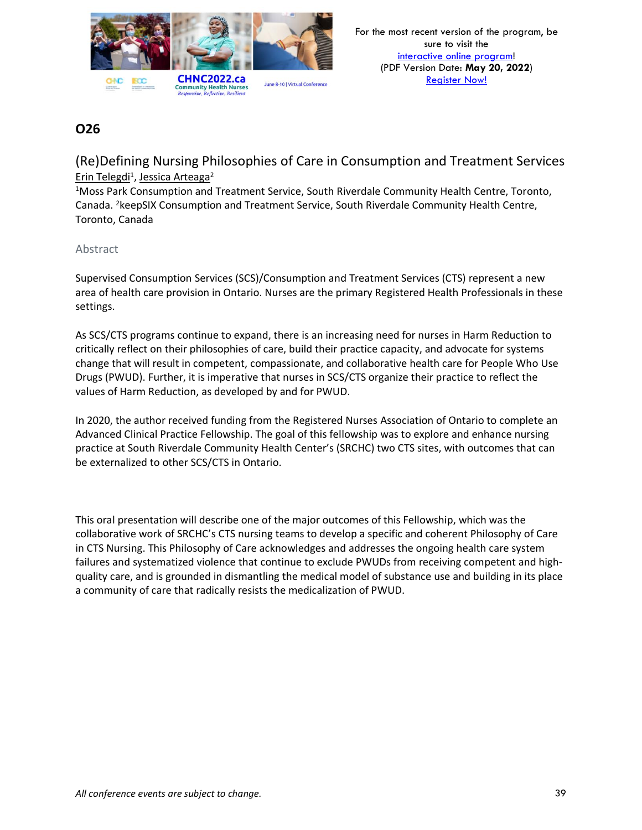

(Re)Defining Nursing Philosophies of Care in Consumption and Treatment Services Erin Telegdi<sup>1</sup>, Jessica Arteaga<sup>2</sup>

<sup>1</sup>Moss Park Consumption and Treatment Service, South Riverdale Community Health Centre, Toronto, Canada. <sup>2</sup>keepSIX Consumption and Treatment Service, South Riverdale Community Health Centre, Toronto, Canada

#### Abstract

Supervised Consumption Services (SCS)/Consumption and Treatment Services (CTS) represent a new area of health care provision in Ontario. Nurses are the primary Registered Health Professionals in these settings.

As SCS/CTS programs continue to expand, there is an increasing need for nurses in Harm Reduction to critically reflect on their philosophies of care, build their practice capacity, and advocate for systems change that will result in competent, compassionate, and collaborative health care for People Who Use Drugs (PWUD). Further, it is imperative that nurses in SCS/CTS organize their practice to reflect the values of Harm Reduction, as developed by and for PWUD.

In 2020, the author received funding from the Registered Nurses Association of Ontario to complete an Advanced Clinical Practice Fellowship. The goal of this fellowship was to explore and enhance nursing practice at South Riverdale Community Health Center's (SRCHC) two CTS sites, with outcomes that can be externalized to other SCS/CTS in Ontario.

This oral presentation will describe one of the major outcomes of this Fellowship, which was the collaborative work of SRCHC's CTS nursing teams to develop a specific and coherent Philosophy of Care in CTS Nursing. This Philosophy of Care acknowledges and addresses the ongoing health care system failures and systematized violence that continue to exclude PWUDs from receiving competent and highquality care, and is grounded in dismantling the medical model of substance use and building in its place a community of care that radically resists the medicalization of PWUD.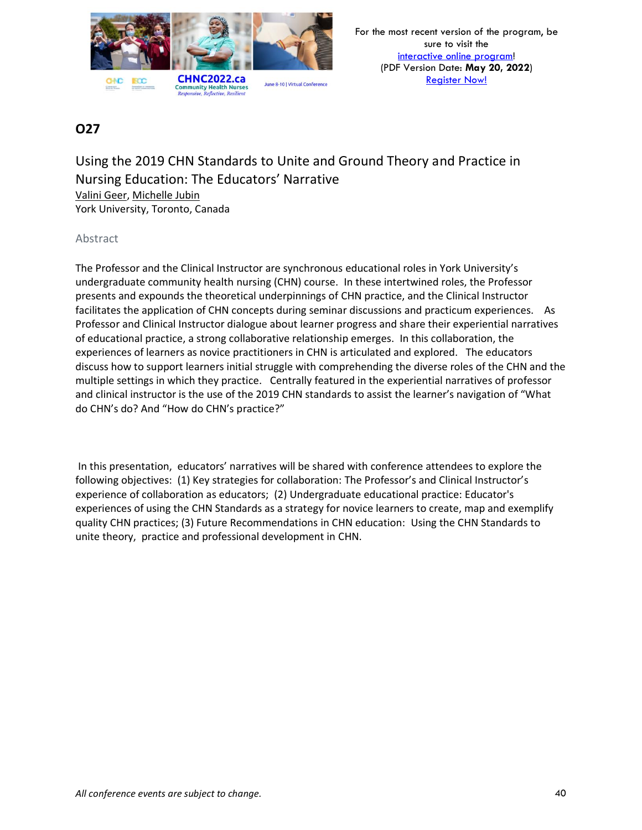

Using the 2019 CHN Standards to Unite and Ground Theory and Practice in Nursing Education: The Educators' Narrative Valini Geer, Michelle Jubin York University, Toronto, Canada

#### Abstract

The Professor and the Clinical Instructor are synchronous educational roles in York University's undergraduate community health nursing (CHN) course. In these intertwined roles, the Professor presents and expounds the theoretical underpinnings of CHN practice, and the Clinical Instructor facilitates the application of CHN concepts during seminar discussions and practicum experiences. As Professor and Clinical Instructor dialogue about learner progress and share their experiential narratives of educational practice, a strong collaborative relationship emerges. In this collaboration, the experiences of learners as novice practitioners in CHN is articulated and explored. The educators discuss how to support learners initial struggle with comprehending the diverse roles of the CHN and the multiple settings in which they practice. Centrally featured in the experiential narratives of professor and clinical instructor is the use of the 2019 CHN standards to assist the learner's navigation of "What do CHN's do? And "How do CHN's practice?"

In this presentation, educators' narratives will be shared with conference attendees to explore the following objectives: (1) Key strategies for collaboration: The Professor's and Clinical Instructor's experience of collaboration as educators; (2) Undergraduate educational practice: Educator's experiences of using the CHN Standards as a strategy for novice learners to create, map and exemplify quality CHN practices; (3) Future Recommendations in CHN education: Using the CHN Standards to unite theory, practice and professional development in CHN.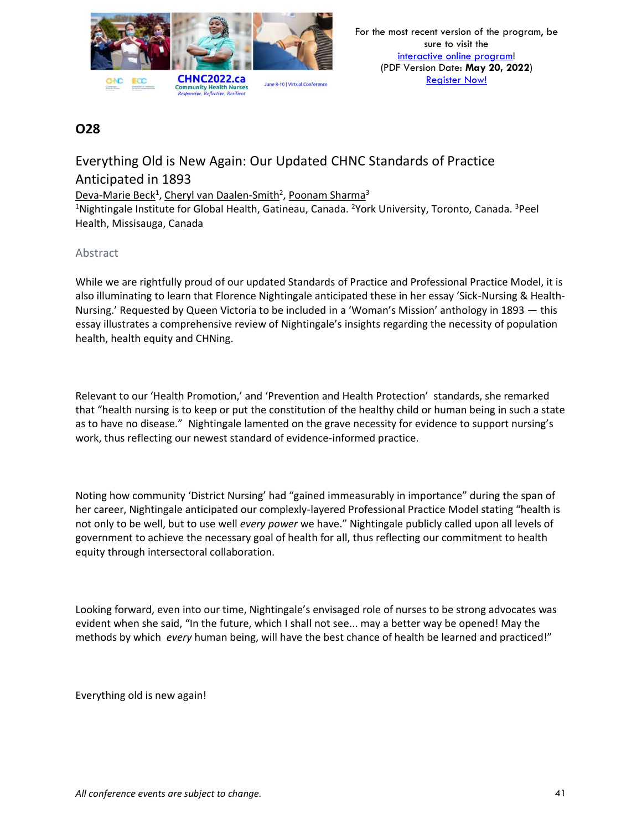

# Everything Old is New Again: Our Updated CHNC Standards of Practice Anticipated in 1893

Deva-Marie Beck<sup>1</sup>, Cheryl van Daalen-Smith<sup>2</sup>, Poonam Sharma<sup>3</sup>

<sup>1</sup>Nightingale Institute for Global Health, Gatineau, Canada. <sup>2</sup>York University, Toronto, Canada. <sup>3</sup>Peel Health, Missisauga, Canada

### Abstract

While we are rightfully proud of our updated Standards of Practice and Professional Practice Model, it is also illuminating to learn that Florence Nightingale anticipated these in her essay 'Sick-Nursing & Health-Nursing.' Requested by Queen Victoria to be included in a 'Woman's Mission' anthology in 1893 — this essay illustrates a comprehensive review of Nightingale's insights regarding the necessity of population health, health equity and CHNing.

Relevant to our 'Health Promotion,' and 'Prevention and Health Protection' standards, she remarked that "health nursing is to keep or put the constitution of the healthy child or human being in such a state as to have no disease." Nightingale lamented on the grave necessity for evidence to support nursing's work, thus reflecting our newest standard of evidence-informed practice.

Noting how community 'District Nursing' had "gained immeasurably in importance" during the span of her career, Nightingale anticipated our complexly-layered Professional Practice Model stating "health is not only to be well, but to use well *every power* we have." Nightingale publicly called upon all levels of government to achieve the necessary goal of health for all, thus reflecting our commitment to health equity through intersectoral collaboration.

Looking forward, even into our time, Nightingale's envisaged role of nurses to be strong advocates was evident when she said, "In the future, which I shall not see... may a better way be opened! May the methods by which *every* human being, will have the best chance of health be learned and practiced!"

Everything old is new again!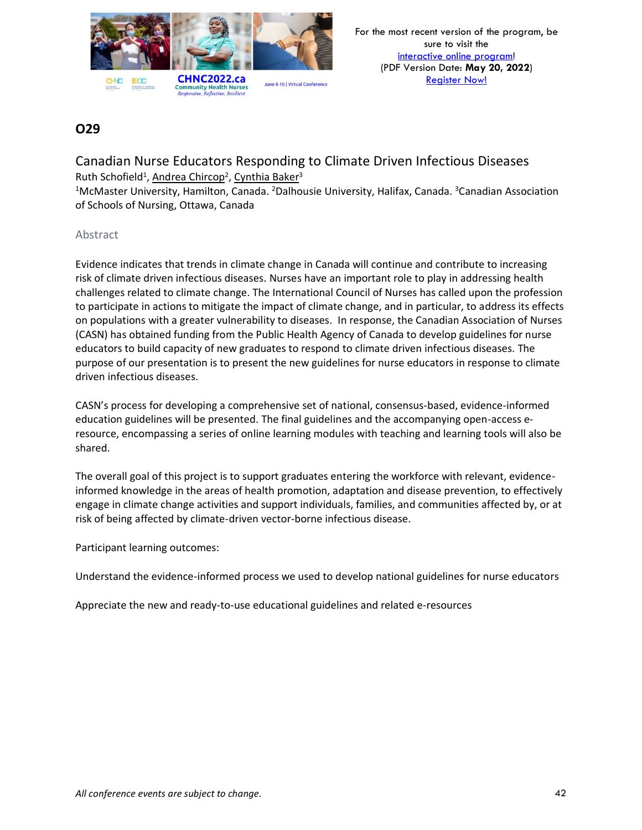

### Canadian Nurse Educators Responding to Climate Driven Infectious Diseases Ruth Schofield<sup>1</sup>, Andrea Chircop<sup>2</sup>, Cynthia Baker<sup>3</sup>

<sup>1</sup>McMaster University, Hamilton, Canada. <sup>2</sup>Dalhousie University, Halifax, Canada. <sup>3</sup>Canadian Association of Schools of Nursing, Ottawa, Canada

#### Abstract

Evidence indicates that trends in climate change in Canada will continue and contribute to increasing risk of climate driven infectious diseases. Nurses have an important role to play in addressing health challenges related to climate change. The International Council of Nurses has called upon the profession to participate in actions to mitigate the impact of climate change, and in particular, to address its effects on populations with a greater vulnerability to diseases. In response, the Canadian Association of Nurses (CASN) has obtained funding from the Public Health Agency of Canada to develop guidelines for nurse educators to build capacity of new graduates to respond to climate driven infectious diseases. The purpose of our presentation is to present the new guidelines for nurse educators in response to climate driven infectious diseases.

CASN's process for developing a comprehensive set of national, consensus-based, evidence-informed education guidelines will be presented. The final guidelines and the accompanying open-access eresource, encompassing a series of online learning modules with teaching and learning tools will also be shared.

The overall goal of this project is to support graduates entering the workforce with relevant, evidenceinformed knowledge in the areas of health promotion, adaptation and disease prevention, to effectively engage in climate change activities and support individuals, families, and communities affected by, or at risk of being affected by climate-driven vector-borne infectious disease.

Participant learning outcomes:

Understand the evidence-informed process we used to develop national guidelines for nurse educators

Appreciate the new and ready-to-use educational guidelines and related e-resources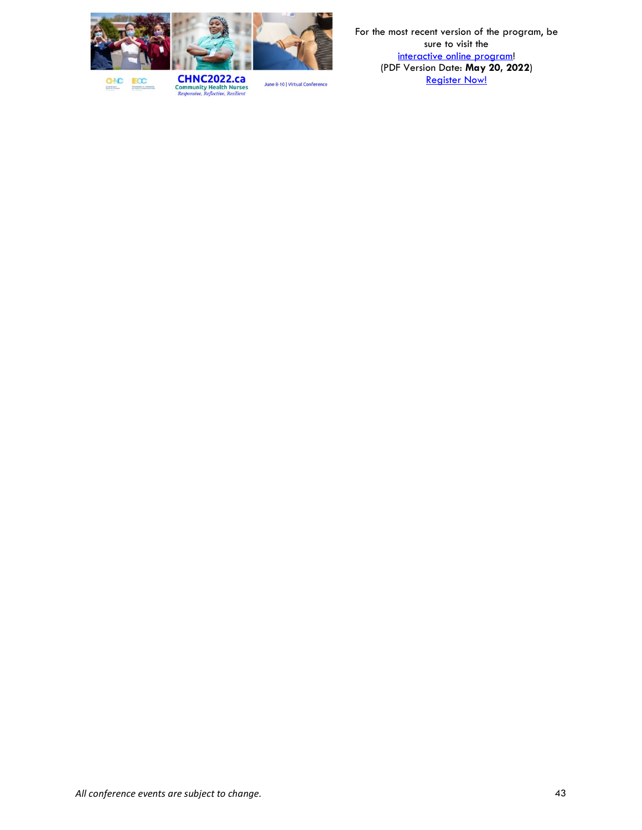

For the most recent version of the program, be sure to visit the [interactive online program!](https://virtual.oxfordabstracts.com/#/event/1204/program) (PDF Version Date: **May 20, 2022**) **[Register Now!](https://chnc2022.ca/registration)** 

**BCC GNC Democratics** 

**CHNC2022.ca**<br>Community Health Nurses<br>*Responsive, Reflective, Resilient*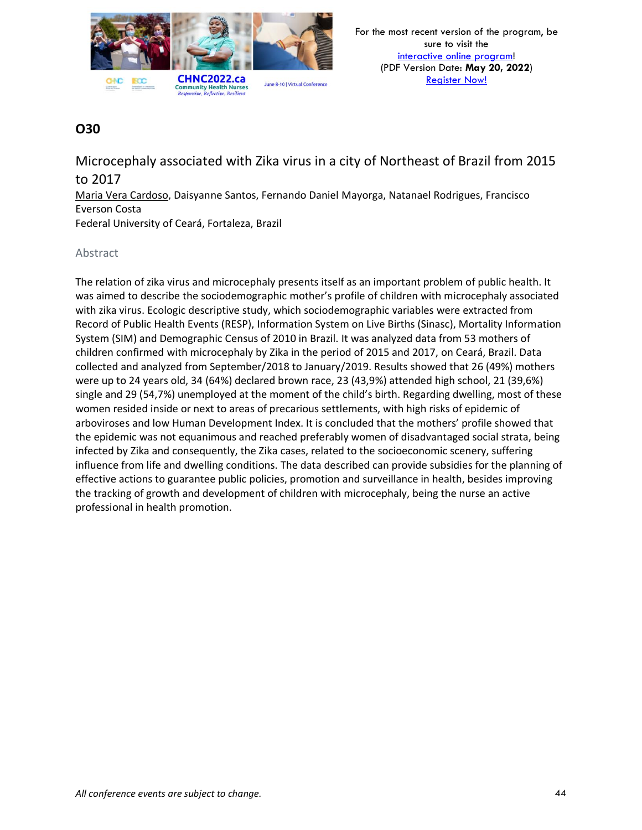

Microcephaly associated with Zika virus in a city of Northeast of Brazil from 2015 to 2017

Maria Vera Cardoso, Daisyanne Santos, Fernando Daniel Mayorga, Natanael Rodrigues, Francisco Everson Costa Federal University of Ceará, Fortaleza, Brazil

#### Abstract

The relation of zika virus and microcephaly presents itself as an important problem of public health. It was aimed to describe the sociodemographic mother's profile of children with microcephaly associated with zika virus. Ecologic descriptive study, which sociodemographic variables were extracted from Record of Public Health Events (RESP), Information System on Live Births (Sinasc), Mortality Information System (SIM) and Demographic Census of 2010 in Brazil. It was analyzed data from 53 mothers of children confirmed with microcephaly by Zika in the period of 2015 and 2017, on Ceará, Brazil. Data collected and analyzed from September/2018 to January/2019. Results showed that 26 (49%) mothers were up to 24 years old, 34 (64%) declared brown race, 23 (43,9%) attended high school, 21 (39,6%) single and 29 (54,7%) unemployed at the moment of the child's birth. Regarding dwelling, most of these women resided inside or next to areas of precarious settlements, with high risks of epidemic of arboviroses and low Human Development Index. It is concluded that the mothers' profile showed that the epidemic was not equanimous and reached preferably women of disadvantaged social strata, being infected by Zika and consequently, the Zika cases, related to the socioeconomic scenery, suffering influence from life and dwelling conditions. The data described can provide subsidies for the planning of effective actions to guarantee public policies, promotion and surveillance in health, besides improving the tracking of growth and development of children with microcephaly, being the nurse an active professional in health promotion.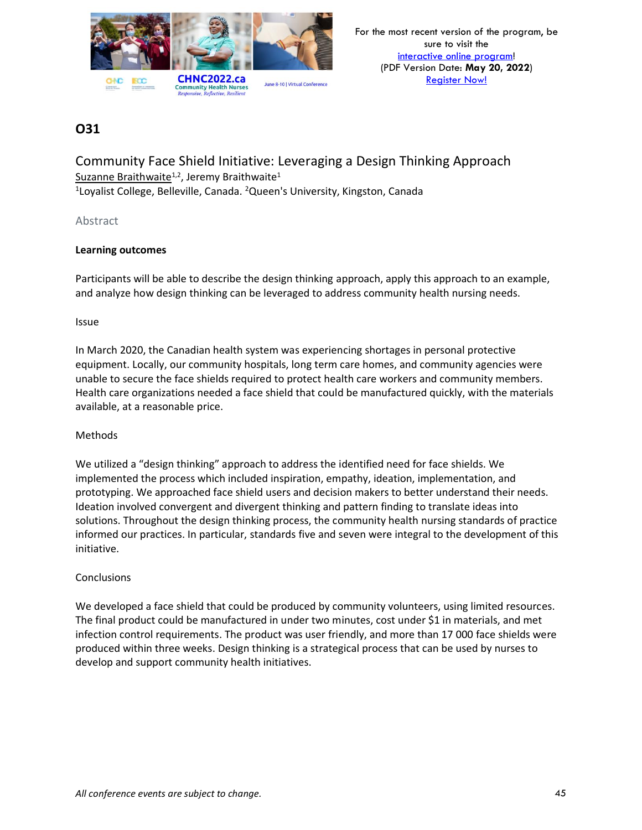

Community Face Shield Initiative: Leveraging a Design Thinking Approach Suzanne Braithwaite<sup>1,2</sup>, Jeremy Braithwaite<sup>1</sup> <sup>1</sup>Loyalist College, Belleville, Canada. <sup>2</sup>Queen's University, Kingston, Canada

#### Abstract

#### **Learning outcomes**

Participants will be able to describe the design thinking approach, apply this approach to an example, and analyze how design thinking can be leveraged to address community health nursing needs.

#### Issue

In March 2020, the Canadian health system was experiencing shortages in personal protective equipment. Locally, our community hospitals, long term care homes, and community agencies were unable to secure the face shields required to protect health care workers and community members. Health care organizations needed a face shield that could be manufactured quickly, with the materials available, at a reasonable price.

#### Methods

We utilized a "design thinking" approach to address the identified need for face shields. We implemented the process which included inspiration, empathy, ideation, implementation, and prototyping. We approached face shield users and decision makers to better understand their needs. Ideation involved convergent and divergent thinking and pattern finding to translate ideas into solutions. Throughout the design thinking process, the community health nursing standards of practice informed our practices. In particular, standards five and seven were integral to the development of this initiative.

#### **Conclusions**

We developed a face shield that could be produced by community volunteers, using limited resources. The final product could be manufactured in under two minutes, cost under \$1 in materials, and met infection control requirements. The product was user friendly, and more than 17 000 face shields were produced within three weeks. Design thinking is a strategical process that can be used by nurses to develop and support community health initiatives.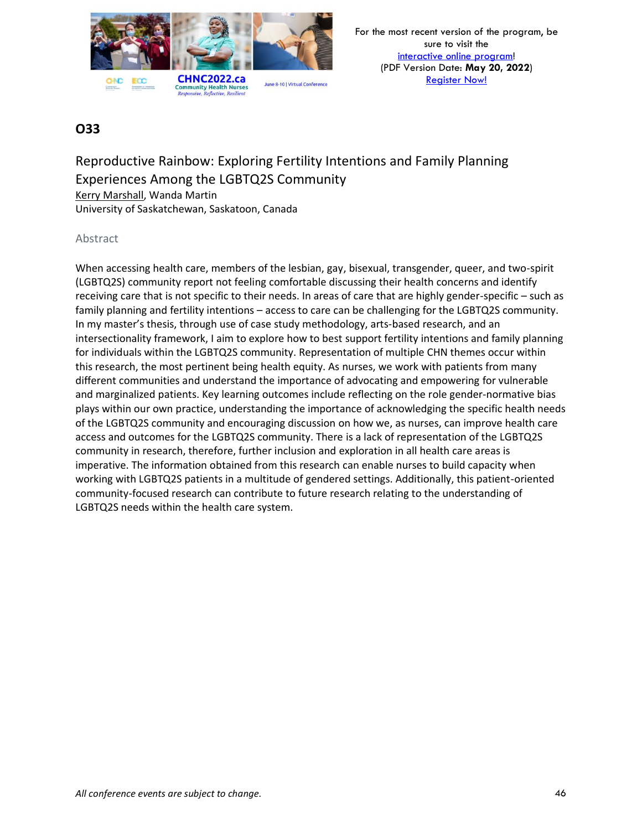

Reproductive Rainbow: Exploring Fertility Intentions and Family Planning Experiences Among the LGBTQ2S Community Kerry Marshall, Wanda Martin University of Saskatchewan, Saskatoon, Canada

#### Abstract

When accessing health care, members of the lesbian, gay, bisexual, transgender, queer, and two-spirit (LGBTQ2S) community report not feeling comfortable discussing their health concerns and identify receiving care that is not specific to their needs. In areas of care that are highly gender-specific – such as family planning and fertility intentions – access to care can be challenging for the LGBTQ2S community. In my master's thesis, through use of case study methodology, arts-based research, and an intersectionality framework, I aim to explore how to best support fertility intentions and family planning for individuals within the LGBTQ2S community. Representation of multiple CHN themes occur within this research, the most pertinent being health equity. As nurses, we work with patients from many different communities and understand the importance of advocating and empowering for vulnerable and marginalized patients. Key learning outcomes include reflecting on the role gender-normative bias plays within our own practice, understanding the importance of acknowledging the specific health needs of the LGBTQ2S community and encouraging discussion on how we, as nurses, can improve health care access and outcomes for the LGBTQ2S community. There is a lack of representation of the LGBTQ2S community in research, therefore, further inclusion and exploration in all health care areas is imperative. The information obtained from this research can enable nurses to build capacity when working with LGBTQ2S patients in a multitude of gendered settings. Additionally, this patient-oriented community-focused research can contribute to future research relating to the understanding of LGBTQ2S needs within the health care system.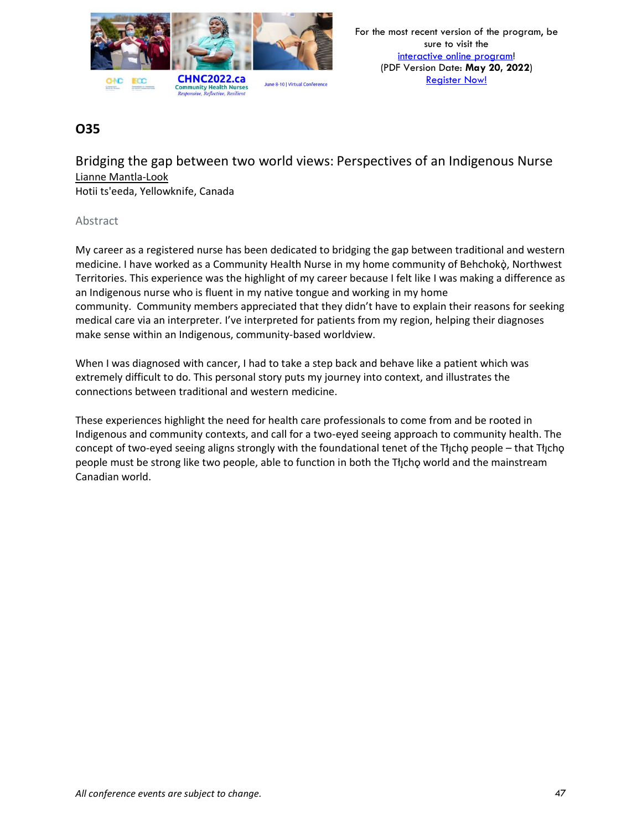

Bridging the gap between two world views: Perspectives of an Indigenous Nurse Lianne Mantla-Look

Hotii ts'eeda, Yellowknife, Canada

#### Abstract

My career as a registered nurse has been dedicated to bridging the gap between traditional and western medicine. I have worked as a Community Health Nurse in my home community of Behchokò, Northwest Territories. This experience was the highlight of my career because I felt like I was making a difference as an Indigenous nurse who is fluent in my native tongue and working in my home community. Community members appreciated that they didn't have to explain their reasons for seeking medical care via an interpreter. I've interpreted for patients from my region, helping their diagnoses make sense within an Indigenous, community-based worldview.

When I was diagnosed with cancer, I had to take a step back and behave like a patient which was extremely difficult to do. This personal story puts my journey into context, and illustrates the connections between traditional and western medicine.

These experiences highlight the need for health care professionals to come from and be rooted in Indigenous and community contexts, and call for a two-eyed seeing approach to community health. The concept of two-eyed seeing aligns strongly with the foundational tenet of the Tłįchǫ people – that Tłįchǫ people must be strong like two people, able to function in both the Tłįchǫ world and the mainstream Canadian world.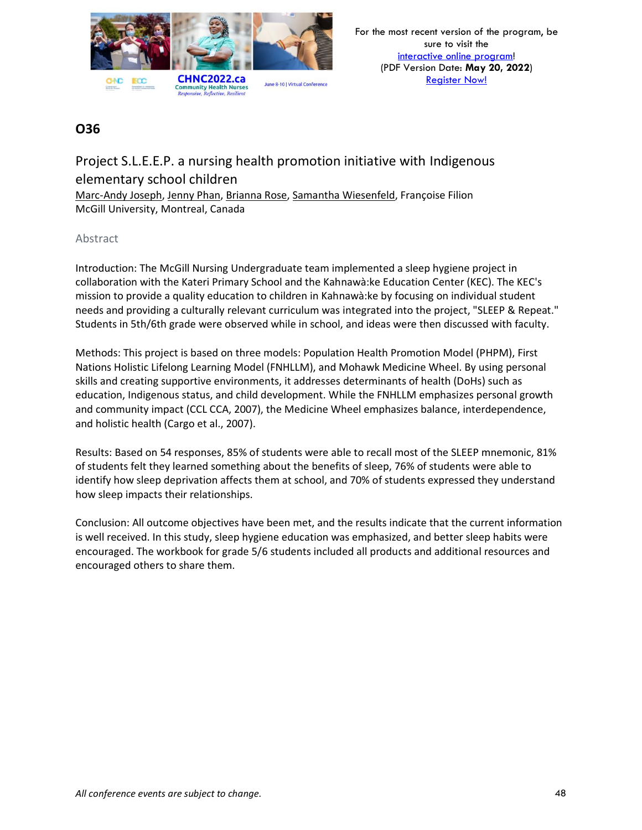

# Project S.L.E.E.P. a nursing health promotion initiative with Indigenous elementary school children

Marc-Andy Joseph, Jenny Phan, Brianna Rose, Samantha Wiesenfeld, Françoise Filion McGill University, Montreal, Canada

### Abstract

Introduction: The McGill Nursing Undergraduate team implemented a sleep hygiene project in collaboration with the Kateri Primary School and the Kahnawà:ke Education Center (KEC). The KEC's mission to provide a quality education to children in Kahnawà:ke by focusing on individual student needs and providing a culturally relevant curriculum was integrated into the project, "SLEEP & Repeat." Students in 5th/6th grade were observed while in school, and ideas were then discussed with faculty.

Methods: This project is based on three models: Population Health Promotion Model (PHPM), First Nations Holistic Lifelong Learning Model (FNHLLM), and Mohawk Medicine Wheel. By using personal skills and creating supportive environments, it addresses determinants of health (DoHs) such as education, Indigenous status, and child development. While the FNHLLM emphasizes personal growth and community impact (CCL CCA, 2007), the Medicine Wheel emphasizes balance, interdependence, and holistic health (Cargo et al., 2007).

Results: Based on 54 responses, 85% of students were able to recall most of the SLEEP mnemonic, 81% of students felt they learned something about the benefits of sleep, 76% of students were able to identify how sleep deprivation affects them at school, and 70% of students expressed they understand how sleep impacts their relationships.

Conclusion: All outcome objectives have been met, and the results indicate that the current information is well received. In this study, sleep hygiene education was emphasized, and better sleep habits were encouraged. The workbook for grade 5/6 students included all products and additional resources and encouraged others to share them.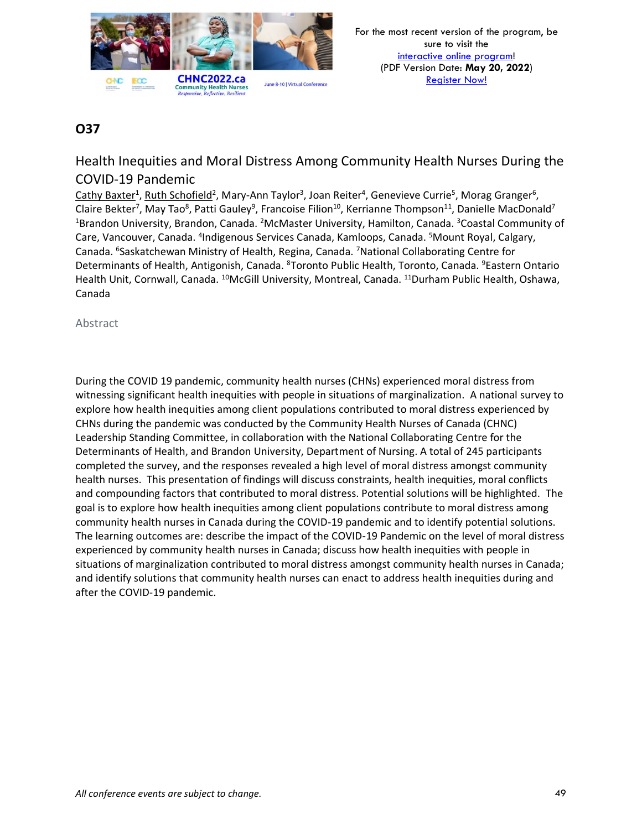

# Health Inequities and Moral Distress Among Community Health Nurses During the COVID-19 Pandemic

Cathy Baxter<sup>1</sup>, Ruth Schofield<sup>2</sup>, Mary-Ann Taylor<sup>3</sup>, Joan Reiter<sup>4</sup>, Genevieve Currie<sup>5</sup>, Morag Granger<sup>6</sup>, Claire Bekter<sup>7</sup>, May Tao<sup>8</sup>, Patti Gauley<sup>9</sup>, Francoise Filion<sup>10</sup>, Kerrianne Thompson<sup>11</sup>, Danielle MacDonald<sup>7</sup> <sup>1</sup>Brandon University, Brandon, Canada. <sup>2</sup>McMaster University, Hamilton, Canada. <sup>3</sup>Coastal Community of Care, Vancouver, Canada. <sup>4</sup>Indigenous Services Canada, Kamloops, Canada. <sup>5</sup>Mount Royal, Calgary, Canada. <sup>6</sup>Saskatchewan Ministry of Health, Regina, Canada. <sup>7</sup>National Collaborating Centre for Determinants of Health, Antigonish, Canada. <sup>8</sup>Toronto Public Health, Toronto, Canada. <sup>9</sup>Eastern Ontario Health Unit, Cornwall, Canada. <sup>10</sup>McGill University, Montreal, Canada. <sup>11</sup>Durham Public Health, Oshawa, Canada

Abstract

During the COVID 19 pandemic, community health nurses (CHNs) experienced moral distress from witnessing significant health inequities with people in situations of marginalization. A national survey to explore how health inequities among client populations contributed to moral distress experienced by CHNs during the pandemic was conducted by the Community Health Nurses of Canada (CHNC) Leadership Standing Committee, in collaboration with the National Collaborating Centre for the Determinants of Health, and Brandon University, Department of Nursing. A total of 245 participants completed the survey, and the responses revealed a high level of moral distress amongst community health nurses. This presentation of findings will discuss constraints, health inequities, moral conflicts and compounding factors that contributed to moral distress. Potential solutions will be highlighted. The goal is to explore how health inequities among client populations contribute to moral distress among community health nurses in Canada during the COVID-19 pandemic and to identify potential solutions. The learning outcomes are: describe the impact of the COVID-19 Pandemic on the level of moral distress experienced by community health nurses in Canada; discuss how health inequities with people in situations of marginalization contributed to moral distress amongst community health nurses in Canada; and identify solutions that community health nurses can enact to address health inequities during and after the COVID-19 pandemic.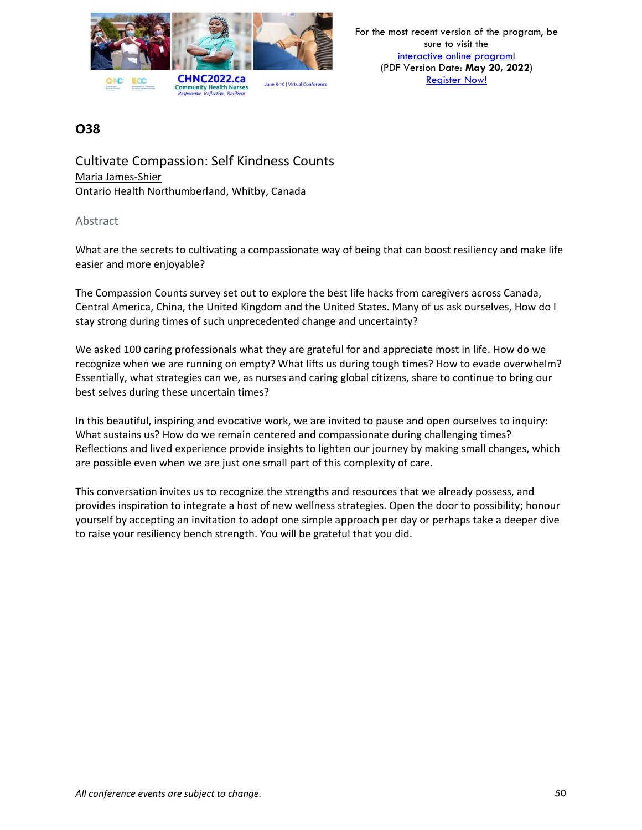

Cultivate Compassion: Self Kindness Counts Maria James-Shier Ontario Health Northumberland, Whitby, Canada

#### Abstract

What are the secrets to cultivating a compassionate way of being that can boost resiliency and make life easier and more enjoyable?

The Compassion Counts survey set out to explore the best life hacks from caregivers across Canada, Central America, China, the United Kingdom and the United States. Many of us ask ourselves, How do I stay strong during times of such unprecedented change and uncertainty?

We asked 100 caring professionals what they are grateful for and appreciate most in life. How do we recognize when we are running on empty? What lifts us during tough times? How to evade overwhelm? Essentially, what strategies can we, as nurses and caring global citizens, share to continue to bring our best selves during these uncertain times?

In this beautiful, inspiring and evocative work, we are invited to pause and open ourselves to inquiry: What sustains us? How do we remain centered and compassionate during challenging times? Reflections and lived experience provide insights to lighten our journey by making small changes, which are possible even when we are just one small part of this complexity of care.

This conversation invites us to recognize the strengths and resources that we already possess, and provides inspiration to integrate a host of new wellness strategies. Open the door to possibility; honour yourself by accepting an invitation to adopt one simple approach per day or perhaps take a deeper dive to raise your resiliency bench strength. You will be grateful that you did.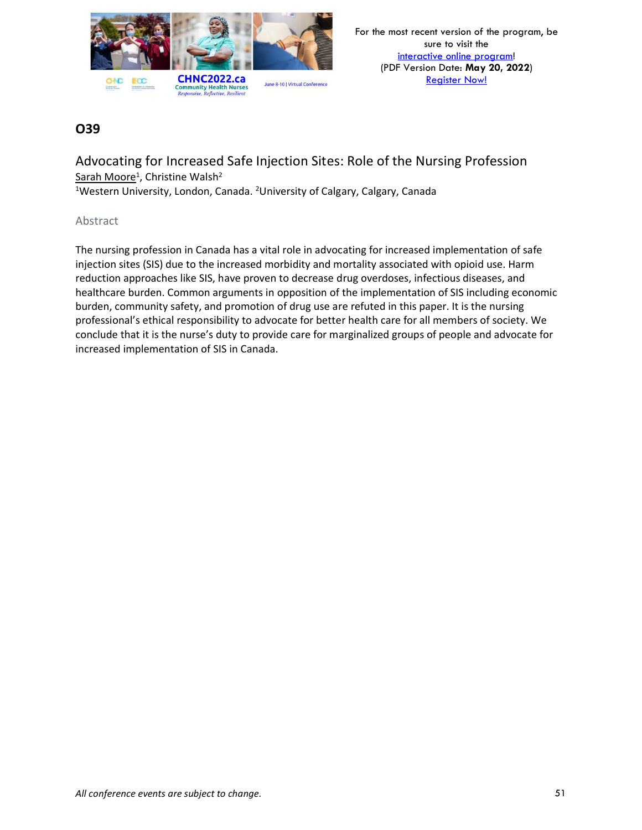

Advocating for Increased Safe Injection Sites: Role of the Nursing Profession Sarah Moore<sup>1</sup>, Christine Walsh<sup>2</sup>

<sup>1</sup>Western University, London, Canada. <sup>2</sup>University of Calgary, Calgary, Canada

#### Abstract

The nursing profession in Canada has a vital role in advocating for increased implementation of safe injection sites (SIS) due to the increased morbidity and mortality associated with opioid use. Harm reduction approaches like SIS, have proven to decrease drug overdoses, infectious diseases, and healthcare burden. Common arguments in opposition of the implementation of SIS including economic burden, community safety, and promotion of drug use are refuted in this paper. It is the nursing professional's ethical responsibility to advocate for better health care for all members of society. We conclude that it is the nurse's duty to provide care for marginalized groups of people and advocate for increased implementation of SIS in Canada.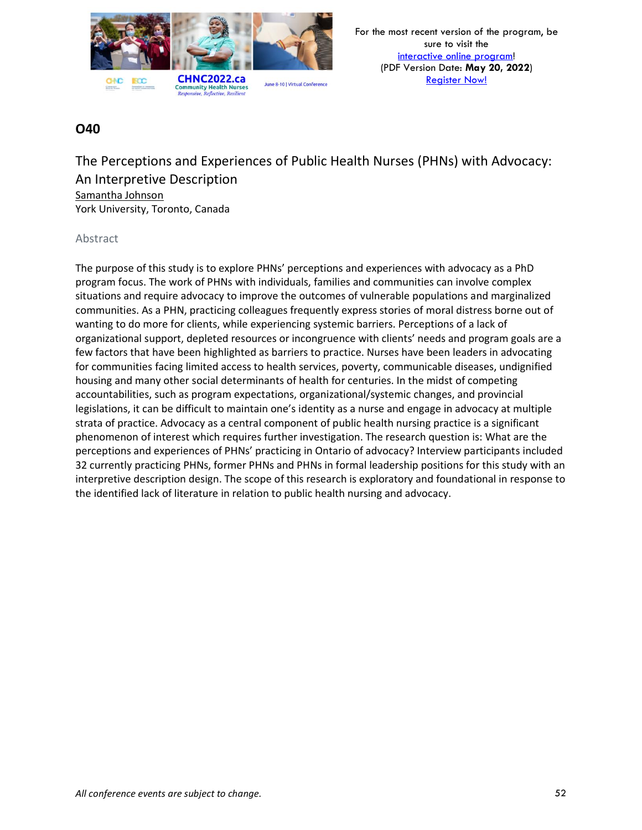

The Perceptions and Experiences of Public Health Nurses (PHNs) with Advocacy: An Interpretive Description Samantha Johnson York University, Toronto, Canada

### Abstract

The purpose of this study is to explore PHNs' perceptions and experiences with advocacy as a PhD program focus. The work of PHNs with individuals, families and communities can involve complex situations and require advocacy to improve the outcomes of vulnerable populations and marginalized communities. As a PHN, practicing colleagues frequently express stories of moral distress borne out of wanting to do more for clients, while experiencing systemic barriers. Perceptions of a lack of organizational support, depleted resources or incongruence with clients' needs and program goals are a few factors that have been highlighted as barriers to practice. Nurses have been leaders in advocating for communities facing limited access to health services, poverty, communicable diseases, undignified housing and many other social determinants of health for centuries. In the midst of competing accountabilities, such as program expectations, organizational/systemic changes, and provincial legislations, it can be difficult to maintain one's identity as a nurse and engage in advocacy at multiple strata of practice. Advocacy as a central component of public health nursing practice is a significant phenomenon of interest which requires further investigation. The research question is: What are the perceptions and experiences of PHNs' practicing in Ontario of advocacy? Interview participants included 32 currently practicing PHNs, former PHNs and PHNs in formal leadership positions for this study with an interpretive description design. The scope of this research is exploratory and foundational in response to the identified lack of literature in relation to public health nursing and advocacy.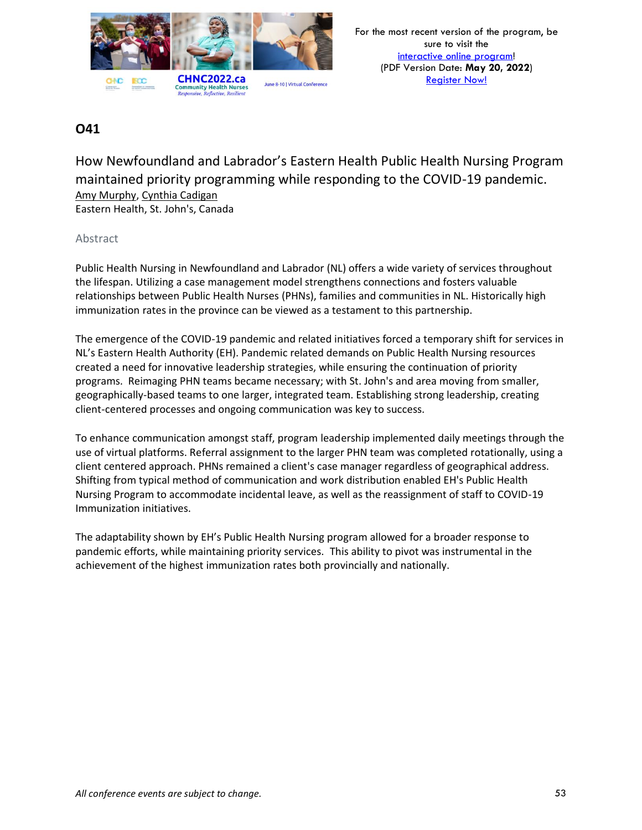

How Newfoundland and Labrador's Eastern Health Public Health Nursing Program maintained priority programming while responding to the COVID-19 pandemic. Amy Murphy, Cynthia Cadigan Eastern Health, St. John's, Canada

#### Abstract

Public Health Nursing in Newfoundland and Labrador (NL) offers a wide variety of services throughout the lifespan. Utilizing a case management model strengthens connections and fosters valuable relationships between Public Health Nurses (PHNs), families and communities in NL. Historically high immunization rates in the province can be viewed as a testament to this partnership.

The emergence of the COVID-19 pandemic and related initiatives forced a temporary shift for services in NL's Eastern Health Authority (EH). Pandemic related demands on Public Health Nursing resources created a need for innovative leadership strategies, while ensuring the continuation of priority programs. Reimaging PHN teams became necessary; with St. John's and area moving from smaller, geographically-based teams to one larger, integrated team. Establishing strong leadership, creating client-centered processes and ongoing communication was key to success.

To enhance communication amongst staff, program leadership implemented daily meetings through the use of virtual platforms. Referral assignment to the larger PHN team was completed rotationally, using a client centered approach. PHNs remained a client's case manager regardless of geographical address. Shifting from typical method of communication and work distribution enabled EH's Public Health Nursing Program to accommodate incidental leave, as well as the reassignment of staff to COVID-19 Immunization initiatives.

The adaptability shown by EH's Public Health Nursing program allowed for a broader response to pandemic efforts, while maintaining priority services. This ability to pivot was instrumental in the achievement of the highest immunization rates both provincially and nationally.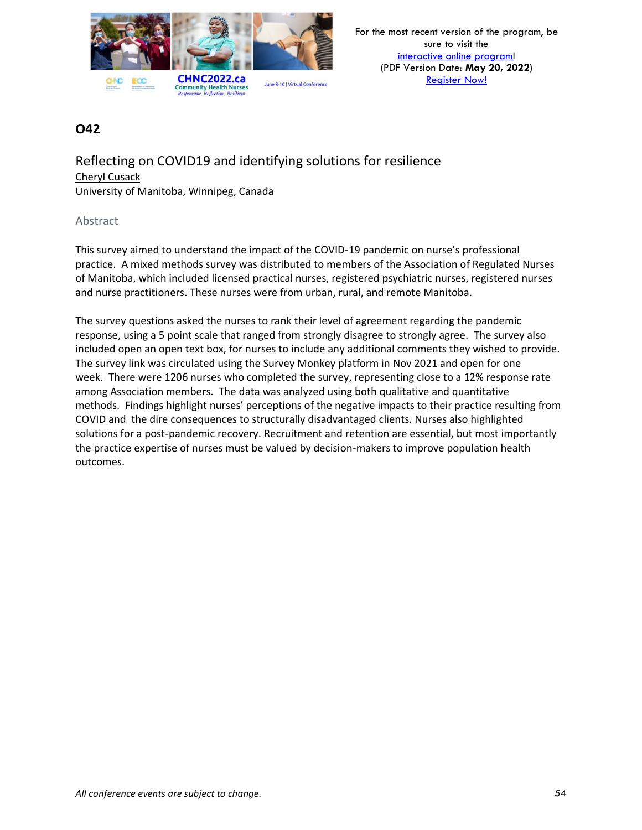

Reflecting on COVID19 and identifying solutions for resilience Cheryl Cusack University of Manitoba, Winnipeg, Canada

#### Abstract

This survey aimed to understand the impact of the COVID-19 pandemic on nurse's professional practice. A mixed methods survey was distributed to members of the Association of Regulated Nurses of Manitoba, which included licensed practical nurses, registered psychiatric nurses, registered nurses and nurse practitioners. These nurses were from urban, rural, and remote Manitoba.

The survey questions asked the nurses to rank their level of agreement regarding the pandemic response, using a 5 point scale that ranged from strongly disagree to strongly agree. The survey also included open an open text box, for nurses to include any additional comments they wished to provide. The survey link was circulated using the Survey Monkey platform in Nov 2021 and open for one week. There were 1206 nurses who completed the survey, representing close to a 12% response rate among Association members. The data was analyzed using both qualitative and quantitative methods. Findings highlight nurses' perceptions of the negative impacts to their practice resulting from COVID and the dire consequences to structurally disadvantaged clients. Nurses also highlighted solutions for a post-pandemic recovery. Recruitment and retention are essential, but most importantly the practice expertise of nurses must be valued by decision-makers to improve population health outcomes.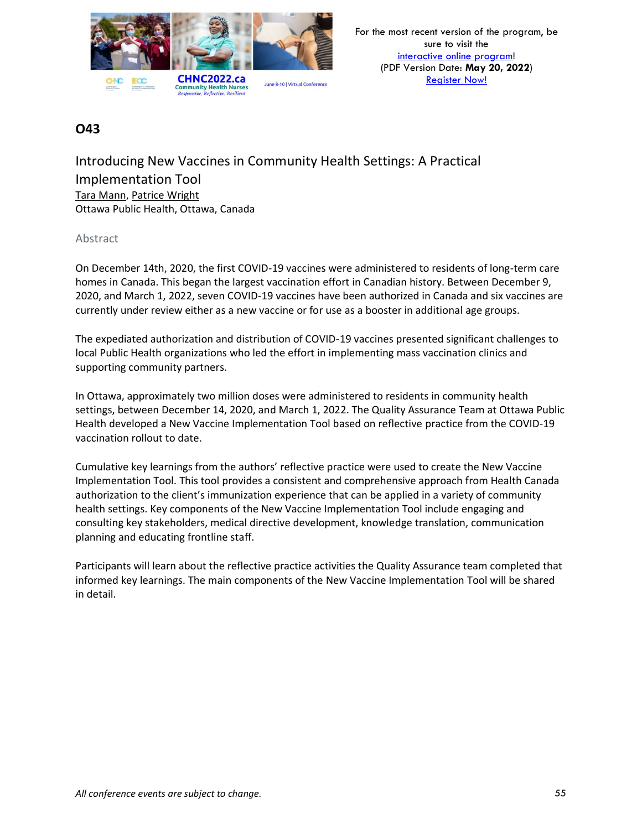

Introducing New Vaccines in Community Health Settings: A Practical Implementation Tool Tara Mann, Patrice Wright Ottawa Public Health, Ottawa, Canada

### Abstract

On December 14th, 2020, the first COVID-19 vaccines were administered to residents of long-term care homes in Canada. This began the largest vaccination effort in Canadian history. Between December 9, 2020, and March 1, 2022, seven COVID-19 vaccines have been authorized in Canada and six vaccines are currently under review either as a new vaccine or for use as a booster in additional age groups.

The expediated authorization and distribution of COVID-19 vaccines presented significant challenges to local Public Health organizations who led the effort in implementing mass vaccination clinics and supporting community partners.

In Ottawa, approximately two million doses were administered to residents in community health settings, between December 14, 2020, and March 1, 2022. The Quality Assurance Team at Ottawa Public Health developed a New Vaccine Implementation Tool based on reflective practice from the COVID-19 vaccination rollout to date.

Cumulative key learnings from the authors' reflective practice were used to create the New Vaccine Implementation Tool. This tool provides a consistent and comprehensive approach from Health Canada authorization to the client's immunization experience that can be applied in a variety of community health settings. Key components of the New Vaccine Implementation Tool include engaging and consulting key stakeholders, medical directive development, knowledge translation, communication planning and educating frontline staff.

Participants will learn about the reflective practice activities the Quality Assurance team completed that informed key learnings. The main components of the New Vaccine Implementation Tool will be shared in detail.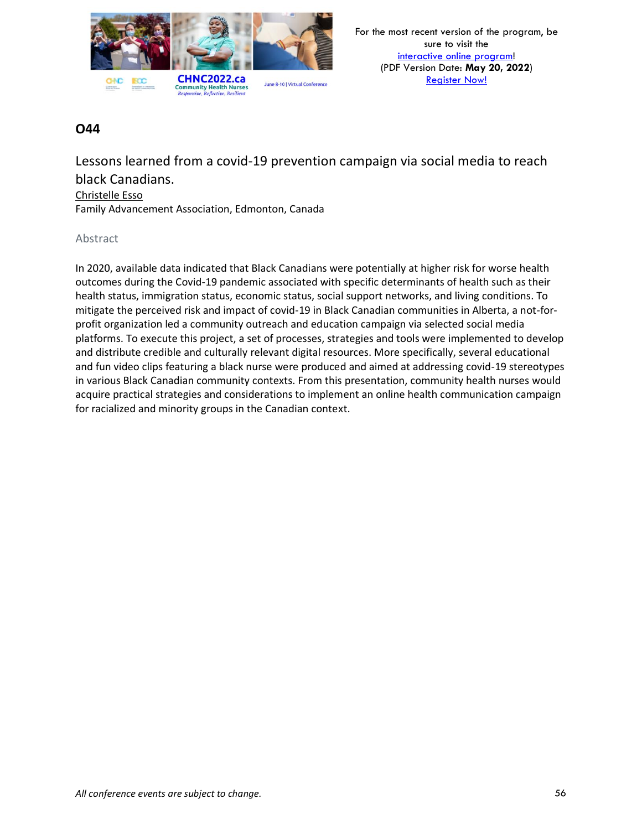

Lessons learned from a covid-19 prevention campaign via social media to reach black Canadians.

#### Christelle Esso

Family Advancement Association, Edmonton, Canada

#### Abstract

In 2020, available data indicated that Black Canadians were potentially at higher risk for worse health outcomes during the Covid-19 pandemic associated with specific determinants of health such as their health status, immigration status, economic status, social support networks, and living conditions. To mitigate the perceived risk and impact of covid-19 in Black Canadian communities in Alberta, a not-forprofit organization led a community outreach and education campaign via selected social media platforms. To execute this project, a set of processes, strategies and tools were implemented to develop and distribute credible and culturally relevant digital resources. More specifically, several educational and fun video clips featuring a black nurse were produced and aimed at addressing covid-19 stereotypes in various Black Canadian community contexts. From this presentation, community health nurses would acquire practical strategies and considerations to implement an online health communication campaign for racialized and minority groups in the Canadian context.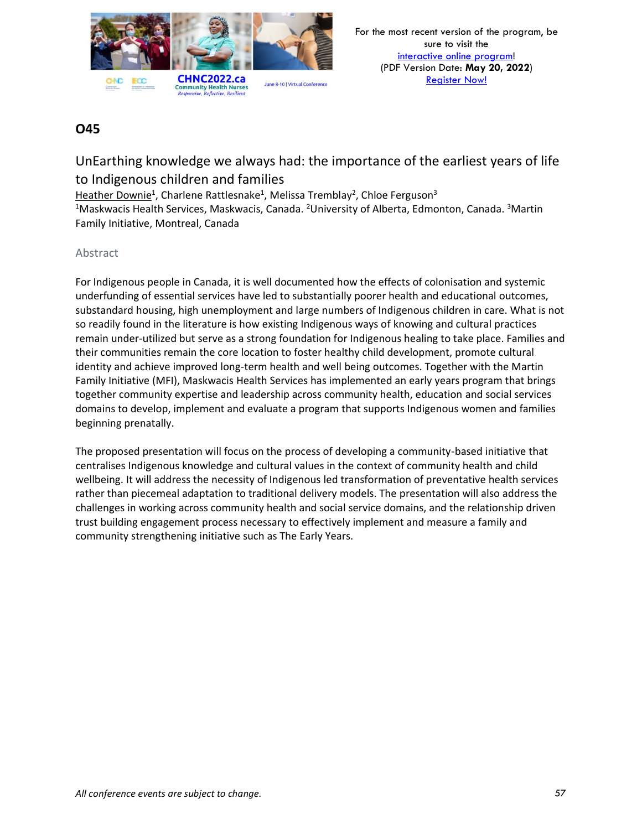

# UnEarthing knowledge we always had: the importance of the earliest years of life to Indigenous children and families

Heather Downie<sup>1</sup>, Charlene Rattlesnake<sup>1</sup>, Melissa Tremblay<sup>2</sup>, Chloe Ferguson<sup>3</sup> <sup>1</sup>Maskwacis Health Services, Maskwacis, Canada. <sup>2</sup>University of Alberta, Edmonton, Canada. <sup>3</sup>Martin Family Initiative, Montreal, Canada

### Abstract

For Indigenous people in Canada, it is well documented how the effects of colonisation and systemic underfunding of essential services have led to substantially poorer health and educational outcomes, substandard housing, high unemployment and large numbers of Indigenous children in care. What is not so readily found in the literature is how existing Indigenous ways of knowing and cultural practices remain under-utilized but serve as a strong foundation for Indigenous healing to take place. Families and their communities remain the core location to foster healthy child development, promote cultural identity and achieve improved long-term health and well being outcomes. Together with the Martin Family Initiative (MFI), Maskwacis Health Services has implemented an early years program that brings together community expertise and leadership across community health, education and social services domains to develop, implement and evaluate a program that supports Indigenous women and families beginning prenatally.

The proposed presentation will focus on the process of developing a community-based initiative that centralises Indigenous knowledge and cultural values in the context of community health and child wellbeing. It will address the necessity of Indigenous led transformation of preventative health services rather than piecemeal adaptation to traditional delivery models. The presentation will also address the challenges in working across community health and social service domains, and the relationship driven trust building engagement process necessary to effectively implement and measure a family and community strengthening initiative such as The Early Years.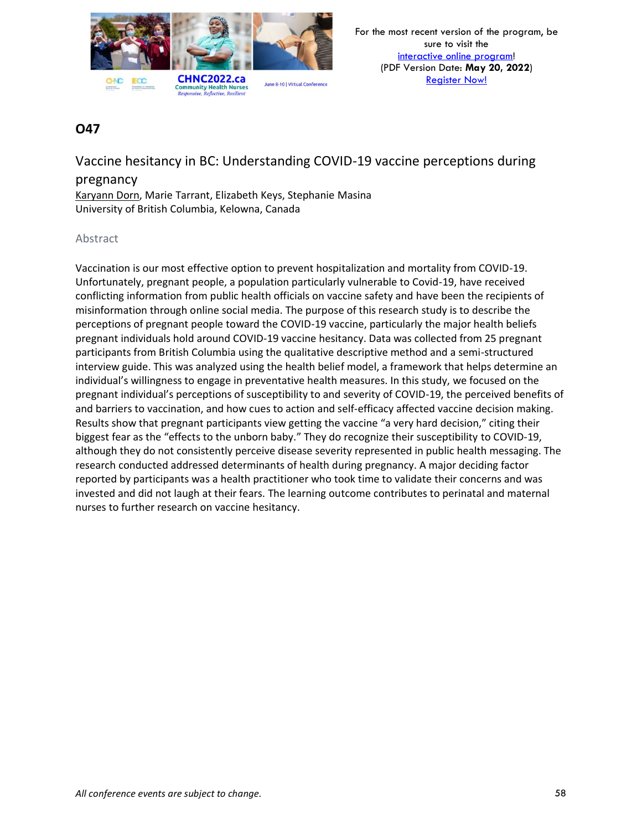

Vaccine hesitancy in BC: Understanding COVID-19 vaccine perceptions during

### pregnancy

Karyann Dorn, Marie Tarrant, Elizabeth Keys, Stephanie Masina University of British Columbia, Kelowna, Canada

### Abstract

Vaccination is our most effective option to prevent hospitalization and mortality from COVID-19. Unfortunately, pregnant people, a population particularly vulnerable to Covid-19, have received conflicting information from public health officials on vaccine safety and have been the recipients of misinformation through online social media. The purpose of this research study is to describe the perceptions of pregnant people toward the COVID-19 vaccine, particularly the major health beliefs pregnant individuals hold around COVID-19 vaccine hesitancy. Data was collected from 25 pregnant participants from British Columbia using the qualitative descriptive method and a semi-structured interview guide. This was analyzed using the health belief model, a framework that helps determine an individual's willingness to engage in preventative health measures. In this study, we focused on the pregnant individual's perceptions of susceptibility to and severity of COVID-19, the perceived benefits of and barriers to vaccination, and how cues to action and self-efficacy affected vaccine decision making. Results show that pregnant participants view getting the vaccine "a very hard decision," citing their biggest fear as the "effects to the unborn baby." They do recognize their susceptibility to COVID-19, although they do not consistently perceive disease severity represented in public health messaging. The research conducted addressed determinants of health during pregnancy. A major deciding factor reported by participants was a health practitioner who took time to validate their concerns and was invested and did not laugh at their fears. The learning outcome contributes to perinatal and maternal nurses to further research on vaccine hesitancy.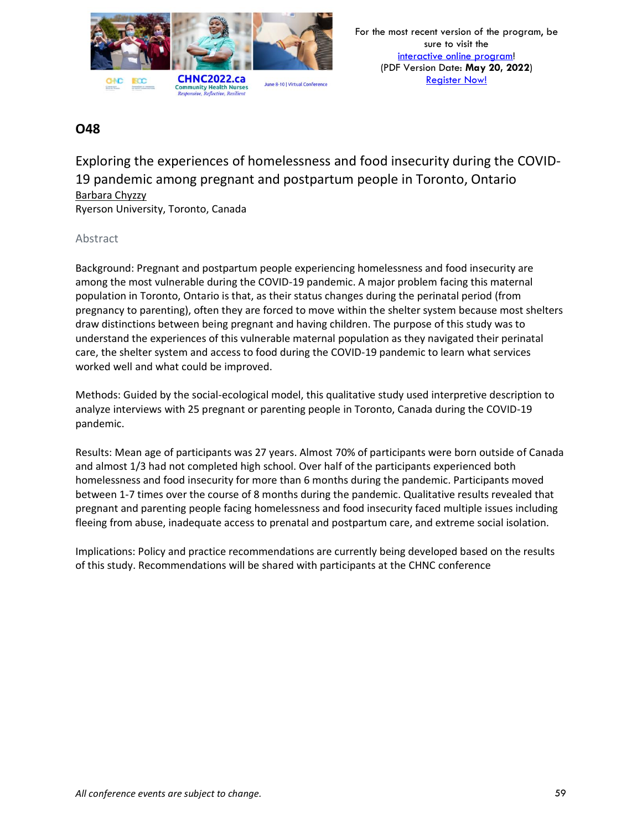

Exploring the experiences of homelessness and food insecurity during the COVID-19 pandemic among pregnant and postpartum people in Toronto, Ontario Barbara Chyzzy

Ryerson University, Toronto, Canada

### Abstract

Background: Pregnant and postpartum people experiencing homelessness and food insecurity are among the most vulnerable during the COVID-19 pandemic. A major problem facing this maternal population in Toronto, Ontario is that, as their status changes during the perinatal period (from pregnancy to parenting), often they are forced to move within the shelter system because most shelters draw distinctions between being pregnant and having children. The purpose of this study was to understand the experiences of this vulnerable maternal population as they navigated their perinatal care, the shelter system and access to food during the COVID-19 pandemic to learn what services worked well and what could be improved.

Methods: Guided by the social-ecological model, this qualitative study used interpretive description to analyze interviews with 25 pregnant or parenting people in Toronto, Canada during the COVID-19 pandemic.

Results: Mean age of participants was 27 years. Almost 70% of participants were born outside of Canada and almost 1/3 had not completed high school. Over half of the participants experienced both homelessness and food insecurity for more than 6 months during the pandemic. Participants moved between 1-7 times over the course of 8 months during the pandemic. Qualitative results revealed that pregnant and parenting people facing homelessness and food insecurity faced multiple issues including fleeing from abuse, inadequate access to prenatal and postpartum care, and extreme social isolation.

Implications: Policy and practice recommendations are currently being developed based on the results of this study. Recommendations will be shared with participants at the CHNC conference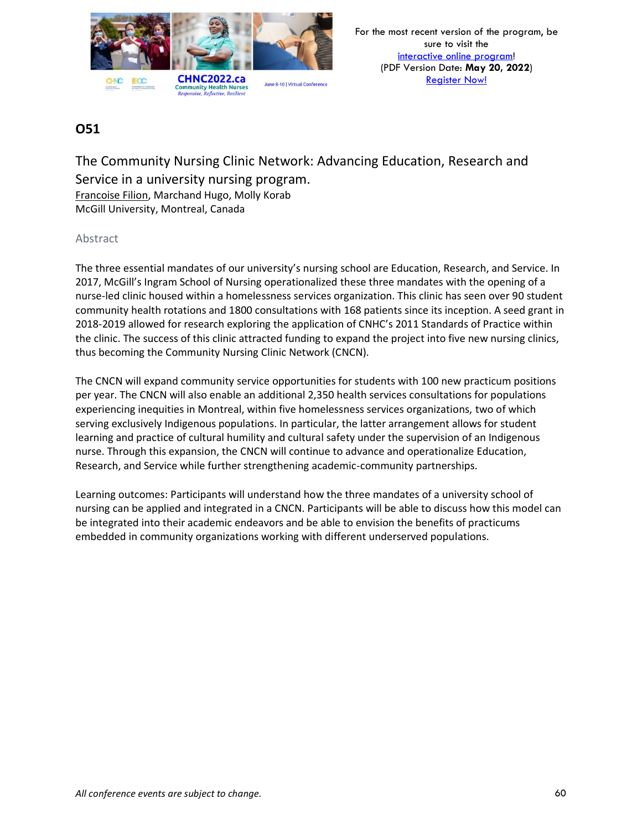

The Community Nursing Clinic Network: Advancing Education, Research and Service in a university nursing program. Francoise Filion, Marchand Hugo, Molly Korab McGill University, Montreal, Canada

### Abstract

The three essential mandates of our university's nursing school are Education, Research, and Service. In 2017, McGill's Ingram School of Nursing operationalized these three mandates with the opening of a nurse-led clinic housed within a homelessness services organization. This clinic has seen over 90 student community health rotations and 1800 consultations with 168 patients since its inception. A seed grant in 2018-2019 allowed for research exploring the application of CNHC's 2011 Standards of Practice within the clinic. The success of this clinic attracted funding to expand the project into five new nursing clinics, thus becoming the Community Nursing Clinic Network (CNCN).

The CNCN will expand community service opportunities for students with 100 new practicum positions per year. The CNCN will also enable an additional 2,350 health services consultations for populations experiencing inequities in Montreal, within five homelessness services organizations, two of which serving exclusively Indigenous populations. In particular, the latter arrangement allows for student learning and practice of cultural humility and cultural safety under the supervision of an Indigenous nurse. Through this expansion, the CNCN will continue to advance and operationalize Education, Research, and Service while further strengthening academic-community partnerships.

Learning outcomes: Participants will understand how the three mandates of a university school of nursing can be applied and integrated in a CNCN. Participants will be able to discuss how this model can be integrated into their academic endeavors and be able to envision the benefits of practicums embedded in community organizations working with different underserved populations.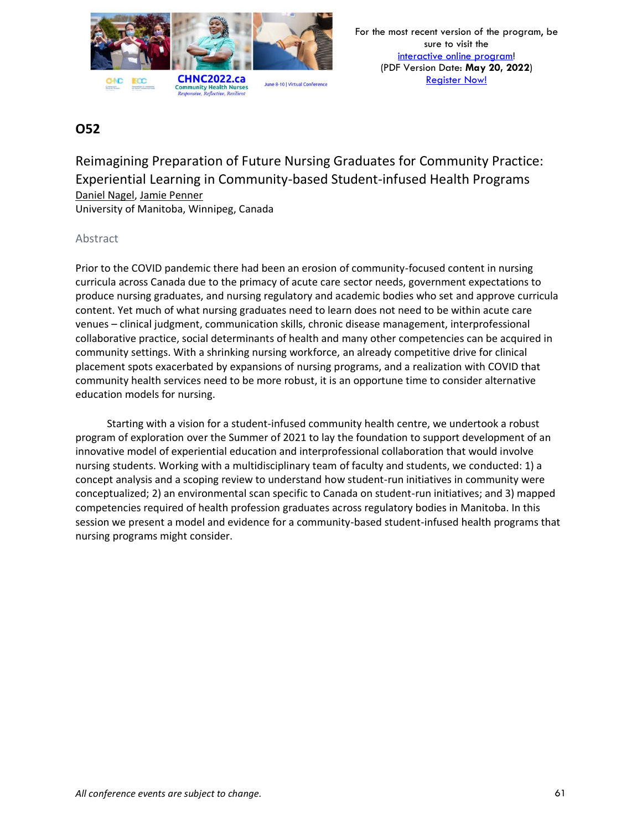

Reimagining Preparation of Future Nursing Graduates for Community Practice: Experiential Learning in Community-based Student-infused Health Programs Daniel Nagel, Jamie Penner University of Manitoba, Winnipeg, Canada

Abstract

Prior to the COVID pandemic there had been an erosion of community-focused content in nursing curricula across Canada due to the primacy of acute care sector needs, government expectations to produce nursing graduates, and nursing regulatory and academic bodies who set and approve curricula content. Yet much of what nursing graduates need to learn does not need to be within acute care venues – clinical judgment, communication skills, chronic disease management, interprofessional collaborative practice, social determinants of health and many other competencies can be acquired in community settings. With a shrinking nursing workforce, an already competitive drive for clinical placement spots exacerbated by expansions of nursing programs, and a realization with COVID that community health services need to be more robust, it is an opportune time to consider alternative education models for nursing.

Starting with a vision for a student-infused community health centre, we undertook a robust program of exploration over the Summer of 2021 to lay the foundation to support development of an innovative model of experiential education and interprofessional collaboration that would involve nursing students. Working with a multidisciplinary team of faculty and students, we conducted: 1) a concept analysis and a scoping review to understand how student-run initiatives in community were conceptualized; 2) an environmental scan specific to Canada on student-run initiatives; and 3) mapped competencies required of health profession graduates across regulatory bodies in Manitoba. In this session we present a model and evidence for a community-based student-infused health programs that nursing programs might consider.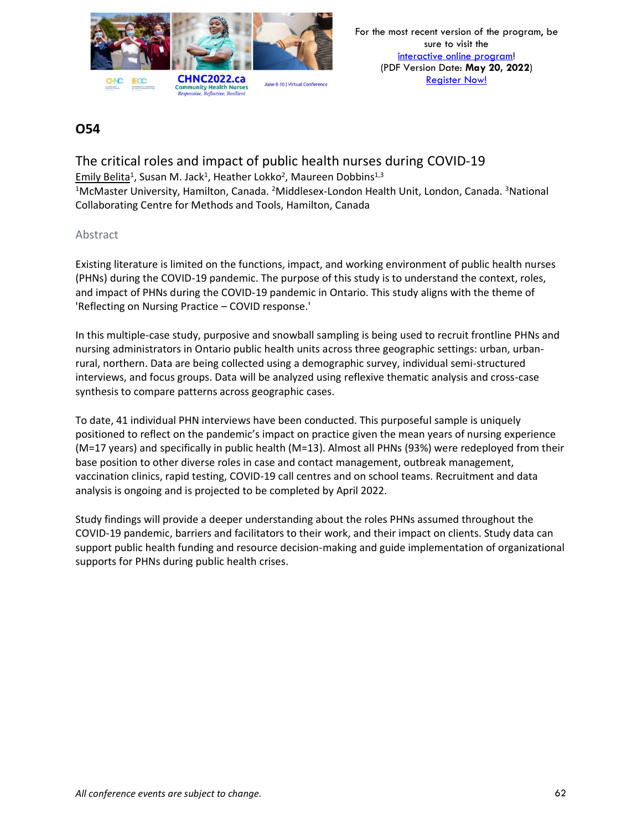

The critical roles and impact of public health nurses during COVID-19 Emily Belita<sup>1</sup>, Susan M. Jack<sup>1</sup>, Heather Lokko<sup>2</sup>, Maureen Dobbins<sup>1,3</sup> <sup>1</sup>McMaster University, Hamilton, Canada. <sup>2</sup>Middlesex-London Health Unit, London, Canada. <sup>3</sup>National Collaborating Centre for Methods and Tools, Hamilton, Canada

#### Abstract

Existing literature is limited on the functions, impact, and working environment of public health nurses (PHNs) during the COVID-19 pandemic. The purpose of this study is to understand the context, roles, and impact of PHNs during the COVID-19 pandemic in Ontario. This study aligns with the theme of 'Reflecting on Nursing Practice – COVID response.'

In this multiple-case study, purposive and snowball sampling is being used to recruit frontline PHNs and nursing administrators in Ontario public health units across three geographic settings: urban, urbanrural, northern. Data are being collected using a demographic survey, individual semi-structured interviews, and focus groups. Data will be analyzed using reflexive thematic analysis and cross-case synthesis to compare patterns across geographic cases.

To date, 41 individual PHN interviews have been conducted. This purposeful sample is uniquely positioned to reflect on the pandemic's impact on practice given the mean years of nursing experience (M=17 years) and specifically in public health (M=13). Almost all PHNs (93%) were redeployed from their base position to other diverse roles in case and contact management, outbreak management, vaccination clinics, rapid testing, COVID-19 call centres and on school teams. Recruitment and data analysis is ongoing and is projected to be completed by April 2022.

Study findings will provide a deeper understanding about the roles PHNs assumed throughout the COVID-19 pandemic, barriers and facilitators to their work, and their impact on clients. Study data can support public health funding and resource decision-making and guide implementation of organizational supports for PHNs during public health crises.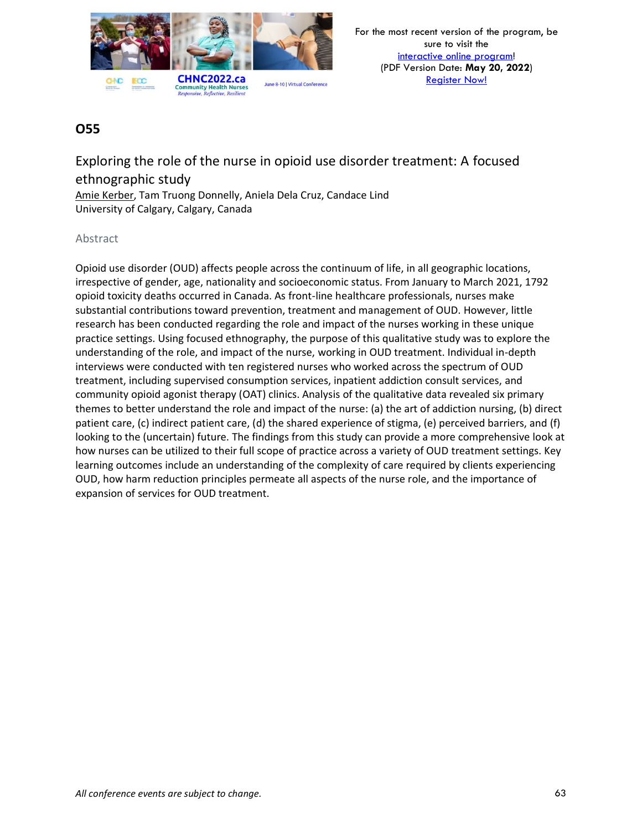

Exploring the role of the nurse in opioid use disorder treatment: A focused ethnographic study Amie Kerber, Tam Truong Donnelly, Aniela Dela Cruz, Candace Lind University of Calgary, Calgary, Canada

### Abstract

Opioid use disorder (OUD) affects people across the continuum of life, in all geographic locations, irrespective of gender, age, nationality and socioeconomic status. From January to March 2021, 1792 opioid toxicity deaths occurred in Canada. As front-line healthcare professionals, nurses make substantial contributions toward prevention, treatment and management of OUD. However, little research has been conducted regarding the role and impact of the nurses working in these unique practice settings. Using focused ethnography, the purpose of this qualitative study was to explore the understanding of the role, and impact of the nurse, working in OUD treatment. Individual in-depth interviews were conducted with ten registered nurses who worked across the spectrum of OUD treatment, including supervised consumption services, inpatient addiction consult services, and community opioid agonist therapy (OAT) clinics. Analysis of the qualitative data revealed six primary themes to better understand the role and impact of the nurse: (a) the art of addiction nursing, (b) direct patient care, (c) indirect patient care, (d) the shared experience of stigma, (e) perceived barriers, and (f) looking to the (uncertain) future. The findings from this study can provide a more comprehensive look at how nurses can be utilized to their full scope of practice across a variety of OUD treatment settings. Key learning outcomes include an understanding of the complexity of care required by clients experiencing OUD, how harm reduction principles permeate all aspects of the nurse role, and the importance of expansion of services for OUD treatment.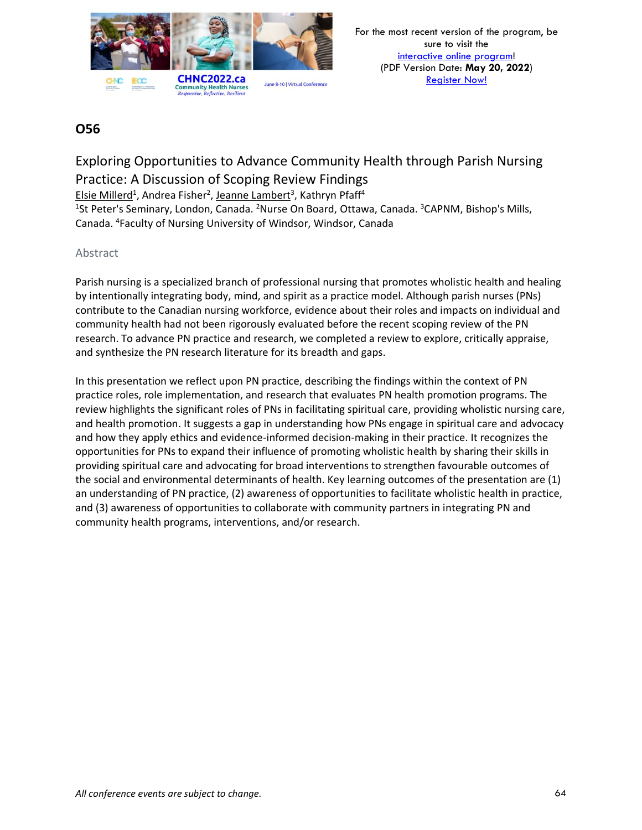

# Exploring Opportunities to Advance Community Health through Parish Nursing Practice: A Discussion of Scoping Review Findings

Elsie Millerd<sup>1</sup>, Andrea Fisher<sup>2</sup>, Jeanne Lambert<sup>3</sup>, Kathryn Pfaff<sup>4</sup>

<sup>1</sup>St Peter's Seminary, London, Canada. <sup>2</sup>Nurse On Board, Ottawa, Canada. <sup>3</sup>CAPNM, Bishop's Mills, Canada. <sup>4</sup>Faculty of Nursing University of Windsor, Windsor, Canada

### Abstract

Parish nursing is a specialized branch of professional nursing that promotes wholistic health and healing by intentionally integrating body, mind, and spirit as a practice model. Although parish nurses (PNs) contribute to the Canadian nursing workforce, evidence about their roles and impacts on individual and community health had not been rigorously evaluated before the recent scoping review of the PN research. To advance PN practice and research, we completed a review to explore, critically appraise, and synthesize the PN research literature for its breadth and gaps.

In this presentation we reflect upon PN practice, describing the findings within the context of PN practice roles, role implementation, and research that evaluates PN health promotion programs. The review highlights the significant roles of PNs in facilitating spiritual care, providing wholistic nursing care, and health promotion. It suggests a gap in understanding how PNs engage in spiritual care and advocacy and how they apply ethics and evidence-informed decision-making in their practice. It recognizes the opportunities for PNs to expand their influence of promoting wholistic health by sharing their skills in providing spiritual care and advocating for broad interventions to strengthen favourable outcomes of the social and environmental determinants of health. Key learning outcomes of the presentation are (1) an understanding of PN practice, (2) awareness of opportunities to facilitate wholistic health in practice, and (3) awareness of opportunities to collaborate with community partners in integrating PN and community health programs, interventions, and/or research.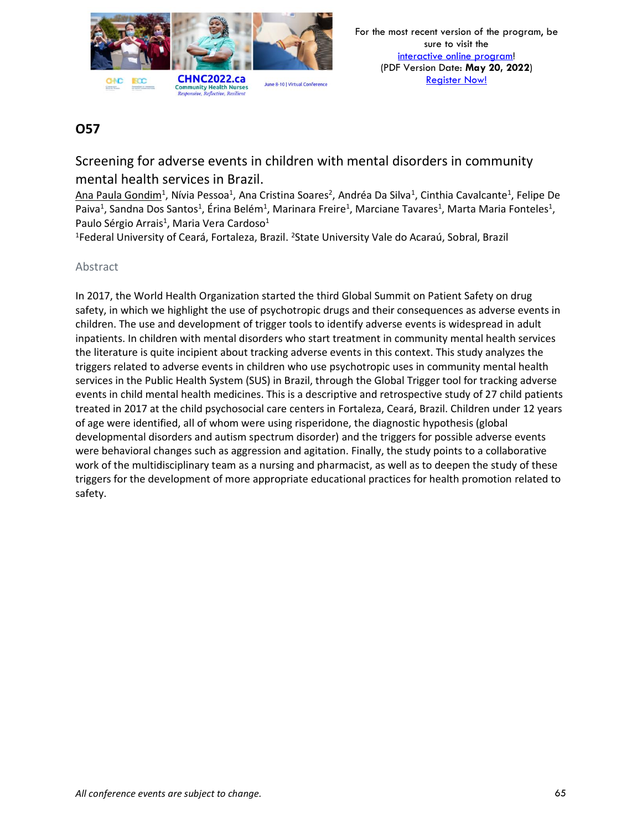

Screening for adverse events in children with mental disorders in community mental health services in Brazil.

Ana Paula Gondim<sup>1</sup>, Nívia Pessoa<sup>1</sup>, Ana Cristina Soares<sup>2</sup>, Andréa Da Silva<sup>1</sup>, Cinthia Cavalcante<sup>1</sup>, Felipe De Paiva<sup>1</sup>, Sandna Dos Santos<sup>1</sup>, Érina Belém<sup>1</sup>, Marinara Freire<sup>1</sup>, Marciane Tavares<sup>1</sup>, Marta Maria Fonteles<sup>1</sup>, Paulo Sérgio Arrais<sup>1</sup>, Maria Vera Cardoso<sup>1</sup>

<sup>1</sup>Federal University of Ceará, Fortaleza, Brazil. <sup>2</sup>State University Vale do Acaraú, Sobral, Brazil

### Abstract

In 2017, the World Health Organization started the third Global Summit on Patient Safety on drug safety, in which we highlight the use of psychotropic drugs and their consequences as adverse events in children. The use and development of trigger tools to identify adverse events is widespread in adult inpatients. In children with mental disorders who start treatment in community mental health services the literature is quite incipient about tracking adverse events in this context. This study analyzes the triggers related to adverse events in children who use psychotropic uses in community mental health services in the Public Health System (SUS) in Brazil, through the Global Trigger tool for tracking adverse events in child mental health medicines. This is a descriptive and retrospective study of 27 child patients treated in 2017 at the child psychosocial care centers in Fortaleza, Ceará, Brazil. Children under 12 years of age were identified, all of whom were using risperidone, the diagnostic hypothesis (global developmental disorders and autism spectrum disorder) and the triggers for possible adverse events were behavioral changes such as aggression and agitation. Finally, the study points to a collaborative work of the multidisciplinary team as a nursing and pharmacist, as well as to deepen the study of these triggers for the development of more appropriate educational practices for health promotion related to safety.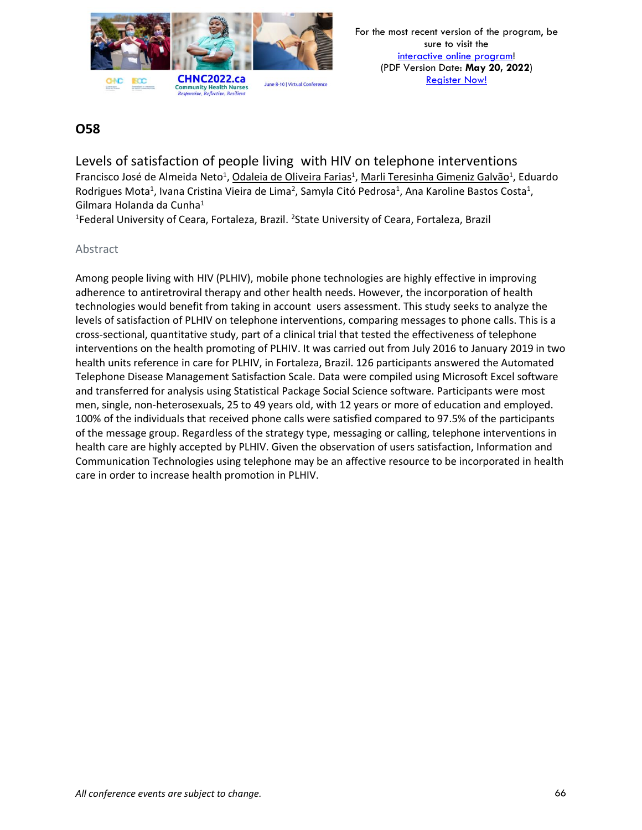

Levels of satisfaction of people living with HIV on telephone interventions Francisco José de Almeida Neto<sup>1</sup>, <u>Odaleia de Oliveira Farias</u><sup>1</sup>, Marli Teresinha Gimeniz Galvão<sup>1</sup>, Eduardo Rodrigues Mota<sup>1</sup>, Ivana Cristina Vieira de Lima<sup>2</sup>, Samyla Citó Pedrosa<sup>1</sup>, Ana Karoline Bastos Costa<sup>1</sup>, Gilmara Holanda da Cunha<sup>1</sup>

<sup>1</sup>Federal University of Ceara, Fortaleza, Brazil. <sup>2</sup>State University of Ceara, Fortaleza, Brazil

#### Abstract

Among people living with HIV (PLHIV), mobile phone technologies are highly effective in improving adherence to antiretroviral therapy and other health needs. However, the incorporation of health technologies would benefit from taking in account users assessment. This study seeks to analyze the levels of satisfaction of PLHIV on telephone interventions, comparing messages to phone calls. This is a cross-sectional, quantitative study, part of a clinical trial that tested the effectiveness of telephone interventions on the health promoting of PLHIV. It was carried out from July 2016 to January 2019 in two health units reference in care for PLHIV, in Fortaleza, Brazil. 126 participants answered the Automated Telephone Disease Management Satisfaction Scale. Data were compiled using Microsoft Excel software and transferred for analysis using Statistical Package Social Science software. Participants were most men, single, non-heterosexuals, 25 to 49 years old, with 12 years or more of education and employed. 100% of the individuals that received phone calls were satisfied compared to 97.5% of the participants of the message group. Regardless of the strategy type, messaging or calling, telephone interventions in health care are highly accepted by PLHIV. Given the observation of users satisfaction, Information and Communication Technologies using telephone may be an affective resource to be incorporated in health care in order to increase health promotion in PLHIV.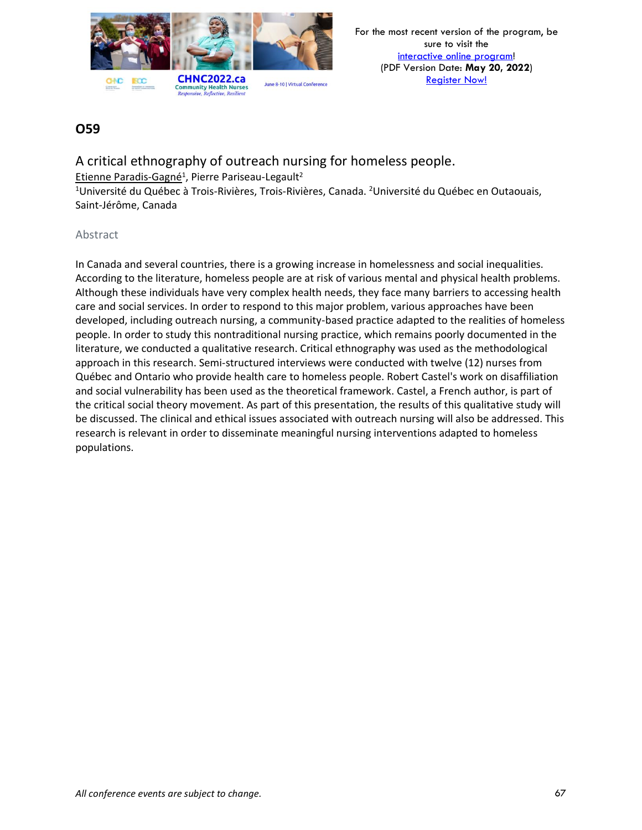

A critical ethnography of outreach nursing for homeless people. Etienne Paradis-Gagné<sup>1</sup>, Pierre Pariseau-Legault<sup>2</sup> <sup>1</sup>Université du Québec à Trois-Rivières, Trois-Rivières, Canada. <sup>2</sup>Université du Québec en Outaouais,

Saint‐Jérôme, Canada

#### Abstract

In Canada and several countries, there is a growing increase in homelessness and social inequalities. According to the literature, homeless people are at risk of various mental and physical health problems. Although these individuals have very complex health needs, they face many barriers to accessing health care and social services. In order to respond to this major problem, various approaches have been developed, including outreach nursing, a community-based practice adapted to the realities of homeless people. In order to study this nontraditional nursing practice, which remains poorly documented in the literature, we conducted a qualitative research. Critical ethnography was used as the methodological approach in this research. Semi-structured interviews were conducted with twelve (12) nurses from Québec and Ontario who provide health care to homeless people. Robert Castel's work on disaffiliation and social vulnerability has been used as the theoretical framework. Castel, a French author, is part of the critical social theory movement. As part of this presentation, the results of this qualitative study will be discussed. The clinical and ethical issues associated with outreach nursing will also be addressed. This research is relevant in order to disseminate meaningful nursing interventions adapted to homeless populations.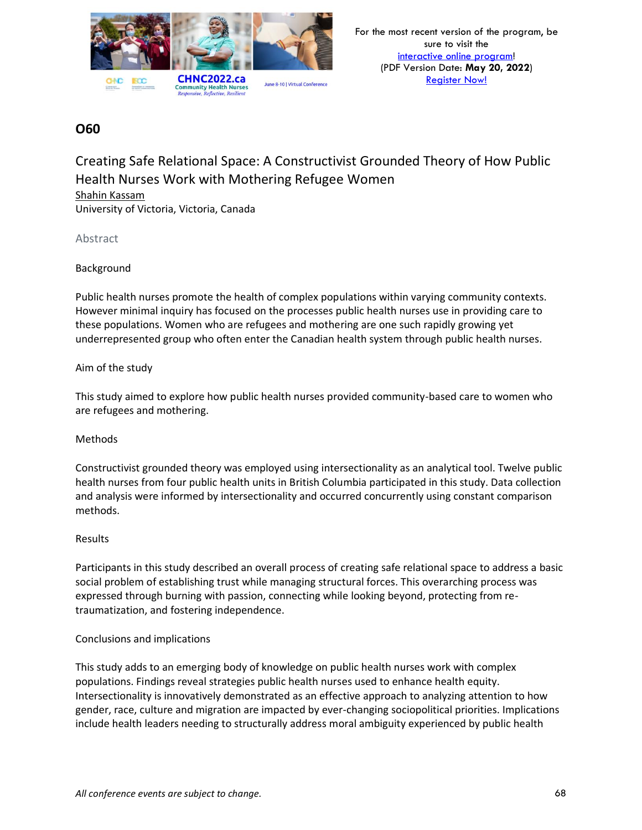

Creating Safe Relational Space: A Constructivist Grounded Theory of How Public Health Nurses Work with Mothering Refugee Women Shahin Kassam University of Victoria, Victoria, Canada

Abstract

#### Background

Public health nurses promote the health of complex populations within varying community contexts. However minimal inquiry has focused on the processes public health nurses use in providing care to these populations. Women who are refugees and mothering are one such rapidly growing yet underrepresented group who often enter the Canadian health system through public health nurses.

#### Aim of the study

This study aimed to explore how public health nurses provided community-based care to women who are refugees and mothering.

#### Methods

Constructivist grounded theory was employed using intersectionality as an analytical tool. Twelve public health nurses from four public health units in British Columbia participated in this study. Data collection and analysis were informed by intersectionality and occurred concurrently using constant comparison methods.

#### Results

Participants in this study described an overall process of creating safe relational space to address a basic social problem of establishing trust while managing structural forces. This overarching process was expressed through burning with passion, connecting while looking beyond, protecting from retraumatization, and fostering independence.

#### Conclusions and implications

This study adds to an emerging body of knowledge on public health nurses work with complex populations. Findings reveal strategies public health nurses used to enhance health equity. Intersectionality is innovatively demonstrated as an effective approach to analyzing attention to how gender, race, culture and migration are impacted by ever-changing sociopolitical priorities. Implications include health leaders needing to structurally address moral ambiguity experienced by public health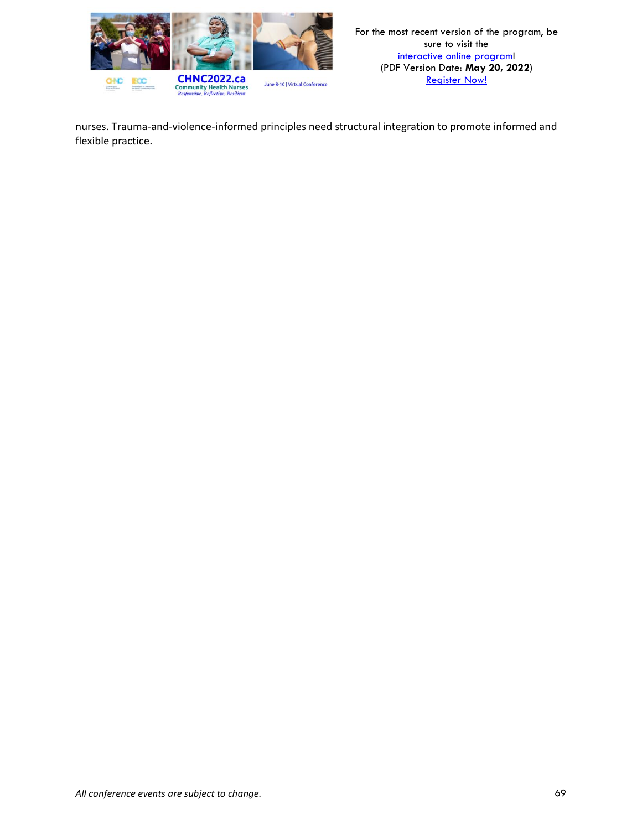

nurses. Trauma-and-violence-informed principles need structural integration to promote informed and flexible practice.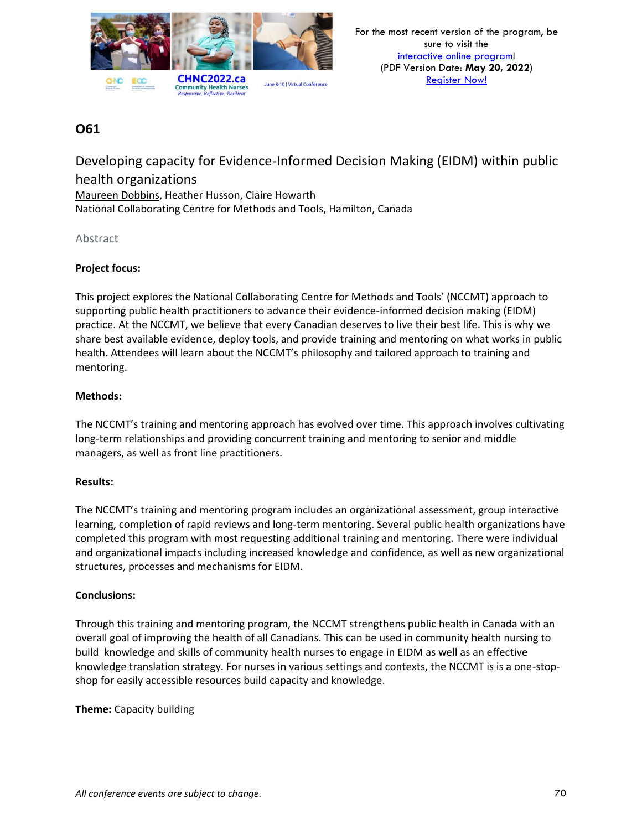

Developing capacity for Evidence-Informed Decision Making (EIDM) within public health organizations Maureen Dobbins, Heather Husson, Claire Howarth National Collaborating Centre for Methods and Tools, Hamilton, Canada

#### Abstract

#### **Project focus:**

This project explores the National Collaborating Centre for Methods and Tools' (NCCMT) approach to supporting public health practitioners to advance their evidence-informed decision making (EIDM) practice. At the NCCMT, we believe that every Canadian deserves to live their best life. This is why we share best available evidence, deploy tools, and provide training and mentoring on what works in public health. Attendees will learn about the NCCMT's philosophy and tailored approach to training and mentoring.

#### **Methods:**

The NCCMT's training and mentoring approach has evolved over time. This approach involves cultivating long-term relationships and providing concurrent training and mentoring to senior and middle managers, as well as front line practitioners.

#### **Results:**

The NCCMT's training and mentoring program includes an organizational assessment, group interactive learning, completion of rapid reviews and long-term mentoring. Several public health organizations have completed this program with most requesting additional training and mentoring. There were individual and organizational impacts including increased knowledge and confidence, as well as new organizational structures, processes and mechanisms for EIDM.

#### **Conclusions:**

Through this training and mentoring program, the NCCMT strengthens public health in Canada with an overall goal of improving the health of all Canadians. This can be used in community health nursing to build knowledge and skills of community health nurses to engage in EIDM as well as an effective knowledge translation strategy. For nurses in various settings and contexts, the NCCMT is is a one-stopshop for easily accessible resources build capacity and knowledge.

**Theme:** Capacity building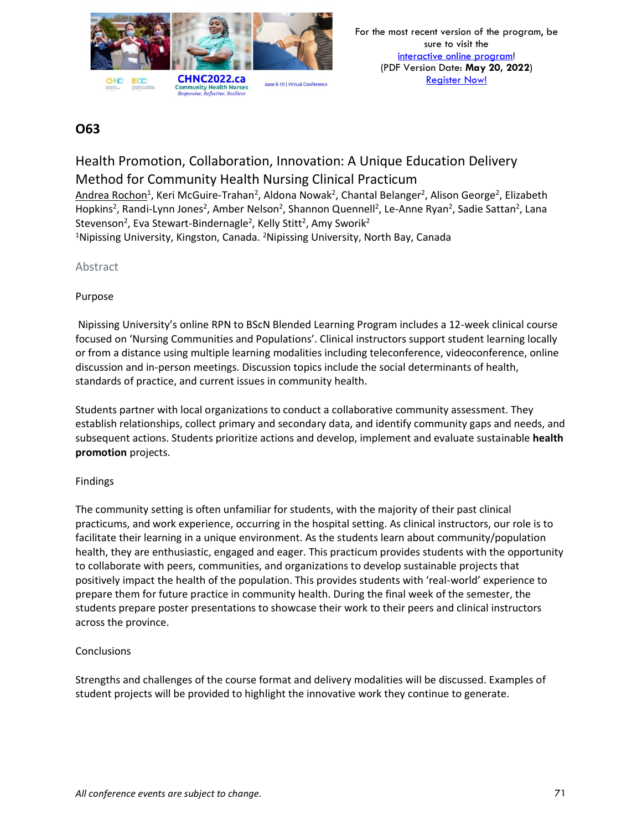

# Health Promotion, Collaboration, Innovation: A Unique Education Delivery Method for Community Health Nursing Clinical Practicum

Andrea Rochon<sup>1</sup>, Keri McGuire-Trahan<sup>2</sup>, Aldona Nowak<sup>2</sup>, Chantal Belanger<sup>2</sup>, Alison George<sup>2</sup>, Elizabeth Hopkins<sup>2</sup>, Randi-Lynn Jones<sup>2</sup>, Amber Nelson<sup>2</sup>, Shannon Quennell<sup>2</sup>, Le-Anne Ryan<sup>2</sup>, Sadie Sattan<sup>2</sup>, Lana Stevenson<sup>2</sup>, Eva Stewart-Bindernagle<sup>2</sup>, Kelly Stitt<sup>2</sup>, Amy Sworik<sup>2</sup>

<sup>1</sup>Nipissing University, Kingston, Canada. <sup>2</sup>Nipissing University, North Bay, Canada

### Abstract

### Purpose

Nipissing University's online RPN to BScN Blended Learning Program includes a 12-week clinical course focused on 'Nursing Communities and Populations'. Clinical instructors support student learning locally or from a distance using multiple learning modalities including teleconference, videoconference, online discussion and in-person meetings. Discussion topics include the social determinants of health, standards of practice, and current issues in community health.

Students partner with local organizations to conduct a collaborative community assessment. They establish relationships, collect primary and secondary data, and identify community gaps and needs, and subsequent actions. Students prioritize actions and develop, implement and evaluate sustainable **health promotion** projects.

### Findings

The community setting is often unfamiliar for students, with the majority of their past clinical practicums, and work experience, occurring in the hospital setting. As clinical instructors, our role is to facilitate their learning in a unique environment. As the students learn about community/population health, they are enthusiastic, engaged and eager. This practicum provides students with the opportunity to collaborate with peers, communities, and organizations to develop sustainable projects that positively impact the health of the population. This provides students with 'real-world' experience to prepare them for future practice in community health. During the final week of the semester, the students prepare poster presentations to showcase their work to their peers and clinical instructors across the province.

### **Conclusions**

Strengths and challenges of the course format and delivery modalities will be discussed. Examples of student projects will be provided to highlight the innovative work they continue to generate.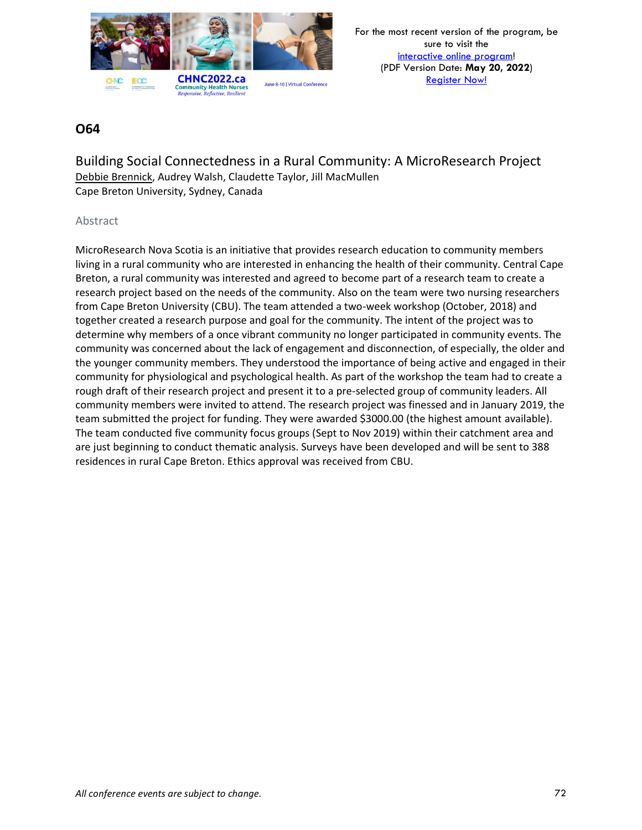

For the most recent version of the program, be sure to visit the [interactive online program!](https://virtual.oxfordabstracts.com/#/event/1204/program) (PDF Version Date: **May 20, 2022**) [Register Now!](https://chnc2022.ca/registration)

### **O64**

Building Social Connectedness in a Rural Community: A MicroResearch Project Debbie Brennick, Audrey Walsh, Claudette Taylor, Jill MacMullen Cape Breton University, Sydney, Canada

#### Abstract

MicroResearch Nova Scotia is an initiative that provides research education to community members living in a rural community who are interested in enhancing the health of their community. Central Cape Breton, a rural community was interested and agreed to become part of a research team to create a research project based on the needs of the community. Also on the team were two nursing researchers from Cape Breton University (CBU). The team attended a two-week workshop (October, 2018) and together created a research purpose and goal for the community. The intent of the project was to determine why members of a once vibrant community no longer participated in community events. The community was concerned about the lack of engagement and disconnection, of especially, the older and the younger community members. They understood the importance of being active and engaged in their community for physiological and psychological health. As part of the workshop the team had to create a rough draft of their research project and present it to a pre-selected group of community leaders. All community members were invited to attend. The research project was finessed and in January 2019, the team submitted the project for funding. They were awarded \$3000.00 (the highest amount available). The team conducted five community focus groups (Sept to Nov 2019) within their catchment area and are just beginning to conduct thematic analysis. Surveys have been developed and will be sent to 388 residences in rural Cape Breton. Ethics approval was received from CBU.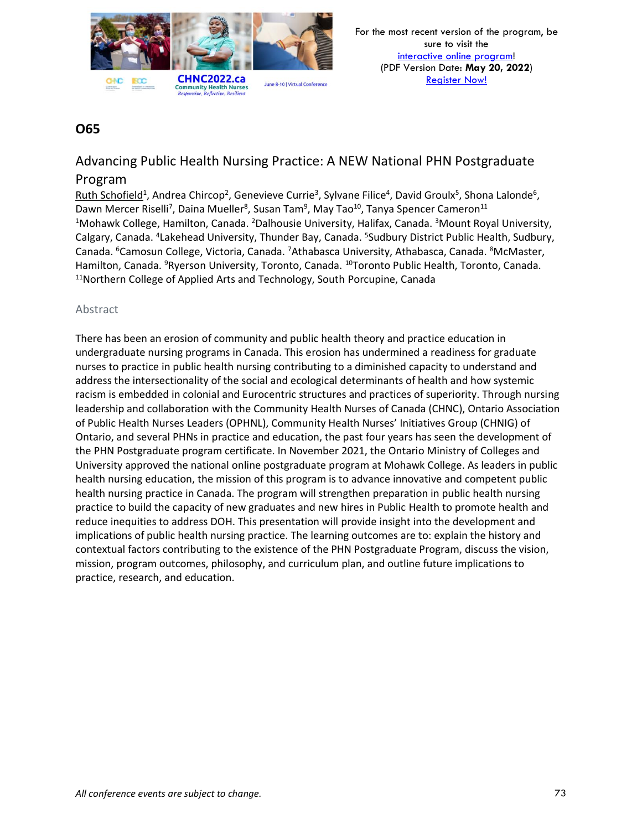

# Advancing Public Health Nursing Practice: A NEW National PHN Postgraduate

### Program

Ruth Schofield<sup>1</sup>, Andrea Chircop<sup>2</sup>, Genevieve Currie<sup>3</sup>, Sylvane Filice<sup>4</sup>, David Groulx<sup>5</sup>, Shona Lalonde<sup>6</sup>, Dawn Mercer Riselli<sup>7</sup>, Daina Mueller<sup>8</sup>, Susan Tam<sup>9</sup>, May Tao<sup>10</sup>, Tanya Spencer Cameron<sup>11</sup> <sup>1</sup>Mohawk College, Hamilton, Canada. <sup>2</sup>Dalhousie University, Halifax, Canada. <sup>3</sup>Mount Royal University, Calgary, Canada. <sup>4</sup>Lakehead University, Thunder Bay, Canada. <sup>5</sup>Sudbury District Public Health, Sudbury, Canada. <sup>6</sup>Camosun College, Victoria, Canada. <sup>7</sup>Athabasca University, Athabasca, Canada. <sup>8</sup>McMaster, Hamilton, Canada. <sup>9</sup>Ryerson University, Toronto, Canada. <sup>10</sup>Toronto Public Health, Toronto, Canada. <sup>11</sup>Northern College of Applied Arts and Technology, South Porcupine, Canada

### Abstract

There has been an erosion of community and public health theory and practice education in undergraduate nursing programs in Canada. This erosion has undermined a readiness for graduate nurses to practice in public health nursing contributing to a diminished capacity to understand and address the intersectionality of the social and ecological determinants of health and how systemic racism is embedded in colonial and Eurocentric structures and practices of superiority. Through nursing leadership and collaboration with the Community Health Nurses of Canada (CHNC), Ontario Association of Public Health Nurses Leaders (OPHNL), Community Health Nurses' Initiatives Group (CHNIG) of Ontario, and several PHNs in practice and education, the past four years has seen the development of the PHN Postgraduate program certificate. In November 2021, the Ontario Ministry of Colleges and University approved the national online postgraduate program at Mohawk College. As leaders in public health nursing education, the mission of this program is to advance innovative and competent public health nursing practice in Canada. The program will strengthen preparation in public health nursing practice to build the capacity of new graduates and new hires in Public Health to promote health and reduce inequities to address DOH. This presentation will provide insight into the development and implications of public health nursing practice. The learning outcomes are to: explain the history and contextual factors contributing to the existence of the PHN Postgraduate Program, discuss the vision, mission, program outcomes, philosophy, and curriculum plan, and outline future implications to practice, research, and education.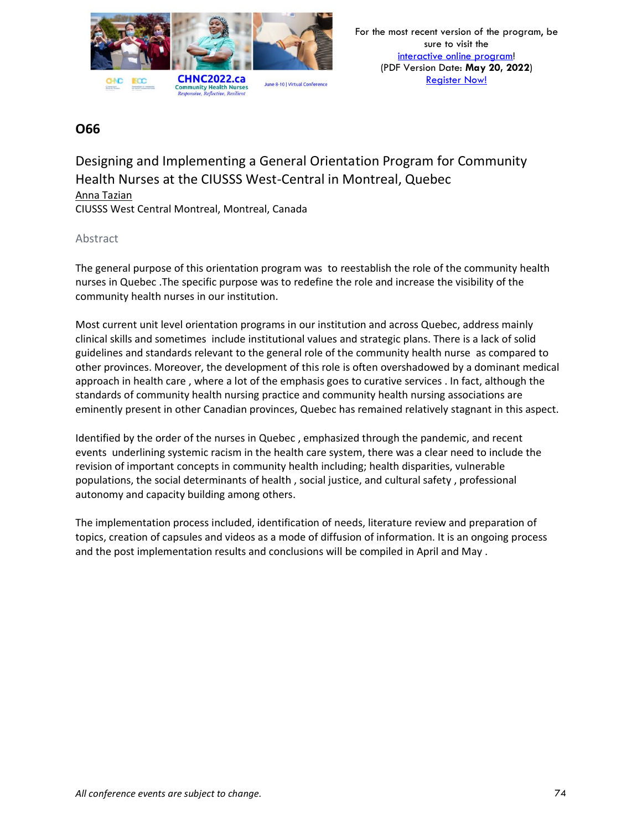

Designing and Implementing a General Orientation Program for Community Health Nurses at the CIUSSS West-Central in Montreal, Quebec Anna Tazian CIUSSS West Central Montreal, Montreal, Canada

### Abstract

The general purpose of this orientation program was to reestablish the role of the community health nurses in Quebec .The specific purpose was to redefine the role and increase the visibility of the community health nurses in our institution.

Most current unit level orientation programs in our institution and across Quebec, address mainly clinical skills and sometimes include institutional values and strategic plans. There is a lack of solid guidelines and standards relevant to the general role of the community health nurse as compared to other provinces. Moreover, the development of this role is often overshadowed by a dominant medical approach in health care , where a lot of the emphasis goes to curative services . In fact, although the standards of community health nursing practice and community health nursing associations are eminently present in other Canadian provinces, Quebec has remained relatively stagnant in this aspect.

Identified by the order of the nurses in Quebec , emphasized through the pandemic, and recent events underlining systemic racism in the health care system, there was a clear need to include the revision of important concepts in community health including; health disparities, vulnerable populations, the social determinants of health , social justice, and cultural safety , professional autonomy and capacity building among others.

The implementation process included, identification of needs, literature review and preparation of topics, creation of capsules and videos as a mode of diffusion of information. It is an ongoing process and the post implementation results and conclusions will be compiled in April and May .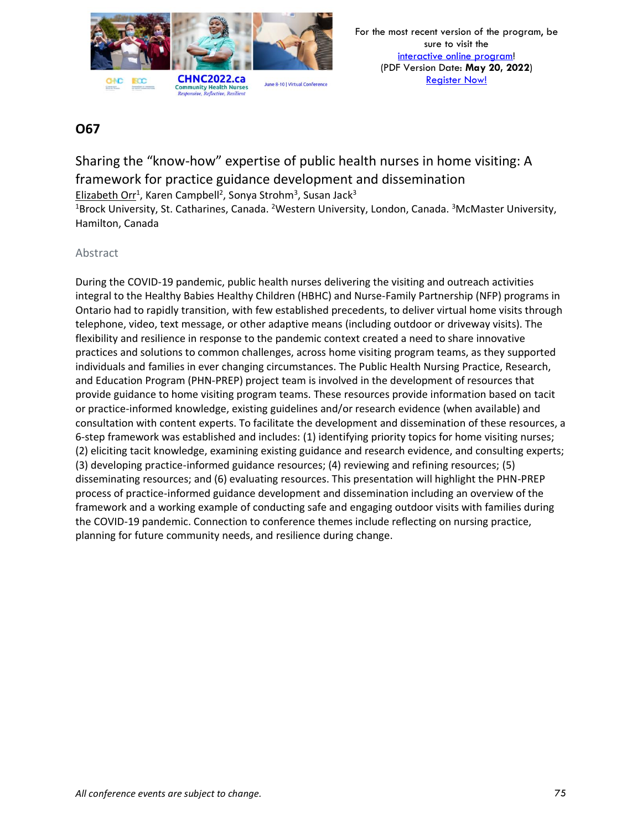

Sharing the "know-how" expertise of public health nurses in home visiting: A framework for practice guidance development and dissemination Elizabeth Orr<sup>1</sup>, Karen Campbell<sup>2</sup>, Sonya Strohm<sup>3</sup>, Susan Jack<sup>3</sup> <sup>1</sup>Brock University, St. Catharines, Canada. <sup>2</sup>Western University, London, Canada. <sup>3</sup>McMaster University, Hamilton, Canada

### Abstract

During the COVID-19 pandemic, public health nurses delivering the visiting and outreach activities integral to the Healthy Babies Healthy Children (HBHC) and Nurse-Family Partnership (NFP) programs in Ontario had to rapidly transition, with few established precedents, to deliver virtual home visits through telephone, video, text message, or other adaptive means (including outdoor or driveway visits). The flexibility and resilience in response to the pandemic context created a need to share innovative practices and solutions to common challenges, across home visiting program teams, as they supported individuals and families in ever changing circumstances. The Public Health Nursing Practice, Research, and Education Program (PHN-PREP) project team is involved in the development of resources that provide guidance to home visiting program teams. These resources provide information based on tacit or practice-informed knowledge, existing guidelines and/or research evidence (when available) and consultation with content experts. To facilitate the development and dissemination of these resources, a 6-step framework was established and includes: (1) identifying priority topics for home visiting nurses; (2) eliciting tacit knowledge, examining existing guidance and research evidence, and consulting experts; (3) developing practice-informed guidance resources; (4) reviewing and refining resources; (5) disseminating resources; and (6) evaluating resources. This presentation will highlight the PHN-PREP process of practice-informed guidance development and dissemination including an overview of the framework and a working example of conducting safe and engaging outdoor visits with families during the COVID-19 pandemic. Connection to conference themes include reflecting on nursing practice, planning for future community needs, and resilience during change.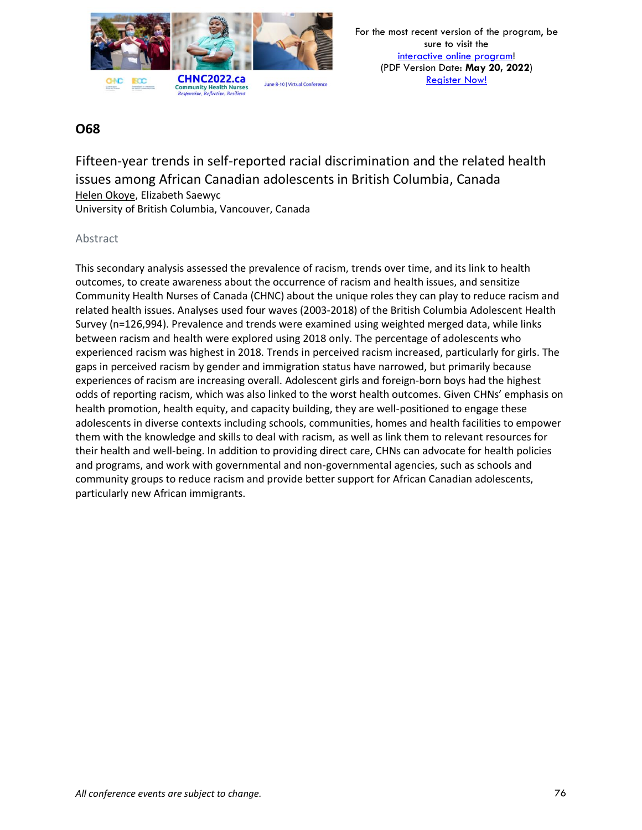

# **O68**

Fifteen-year trends in self-reported racial discrimination and the related health issues among African Canadian adolescents in British Columbia, Canada Helen Okoye, Elizabeth Saewyc University of British Columbia, Vancouver, Canada

### Abstract

This secondary analysis assessed the prevalence of racism, trends over time, and its link to health outcomes, to create awareness about the occurrence of racism and health issues, and sensitize Community Health Nurses of Canada (CHNC) about the unique roles they can play to reduce racism and related health issues. Analyses used four waves (2003-2018) of the British Columbia Adolescent Health Survey (n=126,994). Prevalence and trends were examined using weighted merged data, while links between racism and health were explored using 2018 only. The percentage of adolescents who experienced racism was highest in 2018. Trends in perceived racism increased, particularly for girls. The gaps in perceived racism by gender and immigration status have narrowed, but primarily because experiences of racism are increasing overall. Adolescent girls and foreign-born boys had the highest odds of reporting racism, which was also linked to the worst health outcomes. Given CHNs' emphasis on health promotion, health equity, and capacity building, they are well-positioned to engage these adolescents in diverse contexts including schools, communities, homes and health facilities to empower them with the knowledge and skills to deal with racism, as well as link them to relevant resources for their health and well-being. In addition to providing direct care, CHNs can advocate for health policies and programs, and work with governmental and non-governmental agencies, such as schools and community groups to reduce racism and provide better support for African Canadian adolescents, particularly new African immigrants.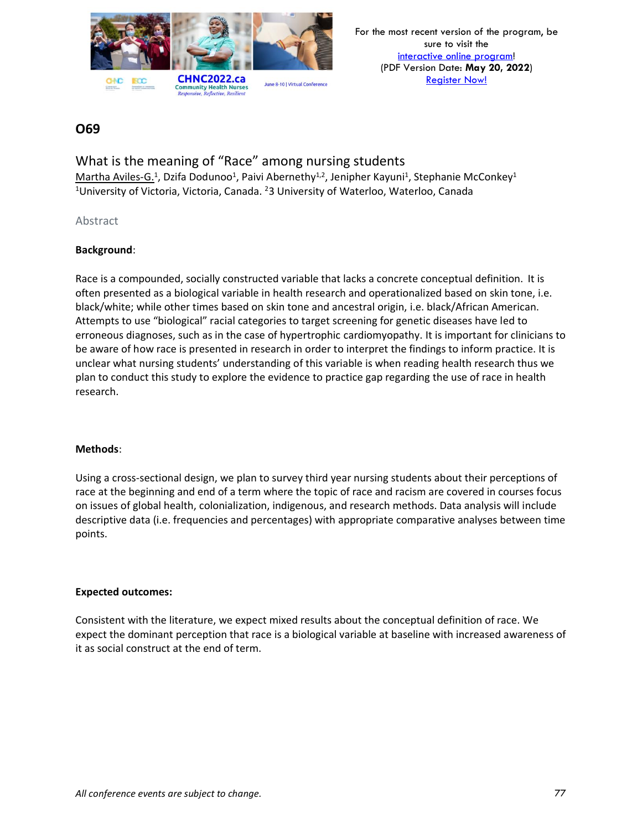

What is the meaning of "Race" among nursing students Martha Aviles-G.<sup>1</sup>, Dzifa Dodunoo<sup>1</sup>, Paivi Abernethy<sup>1,2</sup>, Jenipher Kayuni<sup>1</sup>, Stephanie McConkey<sup>1</sup> <sup>1</sup>University of Victoria, Victoria, Canada. <sup>2</sup>3 University of Waterloo, Waterloo, Canada

### Abstract

### **Background**:

Race is a compounded, socially constructed variable that lacks a concrete conceptual definition. It is often presented as a biological variable in health research and operationalized based on skin tone, i.e. black/white; while other times based on skin tone and ancestral origin, i.e. black/African American. Attempts to use "biological" racial categories to target screening for genetic diseases have led to erroneous diagnoses, such as in the case of hypertrophic cardiomyopathy. It is important for clinicians to be aware of how race is presented in research in order to interpret the findings to inform practice. It is unclear what nursing students' understanding of this variable is when reading health research thus we plan to conduct this study to explore the evidence to practice gap regarding the use of race in health research.

#### **Methods**:

Using a cross-sectional design, we plan to survey third year nursing students about their perceptions of race at the beginning and end of a term where the topic of race and racism are covered in courses focus on issues of global health, colonialization, indigenous, and research methods. Data analysis will include descriptive data (i.e. frequencies and percentages) with appropriate comparative analyses between time points.

#### **Expected outcomes:**

Consistent with the literature, we expect mixed results about the conceptual definition of race. We expect the dominant perception that race is a biological variable at baseline with increased awareness of it as social construct at the end of term.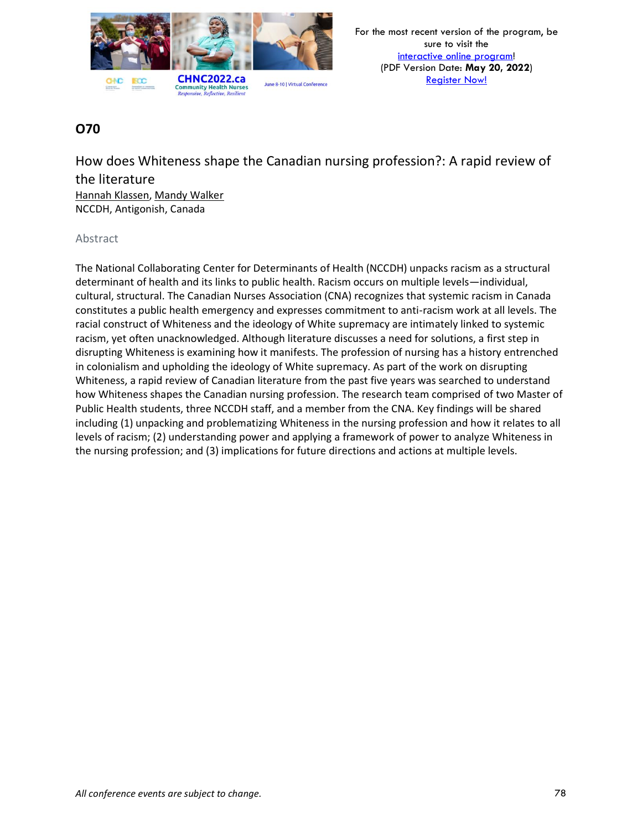

How does Whiteness shape the Canadian nursing profession?: A rapid review of the literature Hannah Klassen, Mandy Walker NCCDH, Antigonish, Canada

### Abstract

The National Collaborating Center for Determinants of Health (NCCDH) unpacks racism as a structural determinant of health and its links to public health. Racism occurs on multiple levels—individual, cultural, structural. The Canadian Nurses Association (CNA) recognizes that systemic racism in Canada constitutes a public health emergency and expresses commitment to anti-racism work at all levels. The racial construct of Whiteness and the ideology of White supremacy are intimately linked to systemic racism, yet often unacknowledged. Although literature discusses a need for solutions, a first step in disrupting Whiteness is examining how it manifests. The profession of nursing has a history entrenched in colonialism and upholding the ideology of White supremacy. As part of the work on disrupting Whiteness, a rapid review of Canadian literature from the past five years was searched to understand how Whiteness shapes the Canadian nursing profession. The research team comprised of two Master of Public Health students, three NCCDH staff, and a member from the CNA. Key findings will be shared including (1) unpacking and problematizing Whiteness in the nursing profession and how it relates to all levels of racism; (2) understanding power and applying a framework of power to analyze Whiteness in the nursing profession; and (3) implications for future directions and actions at multiple levels.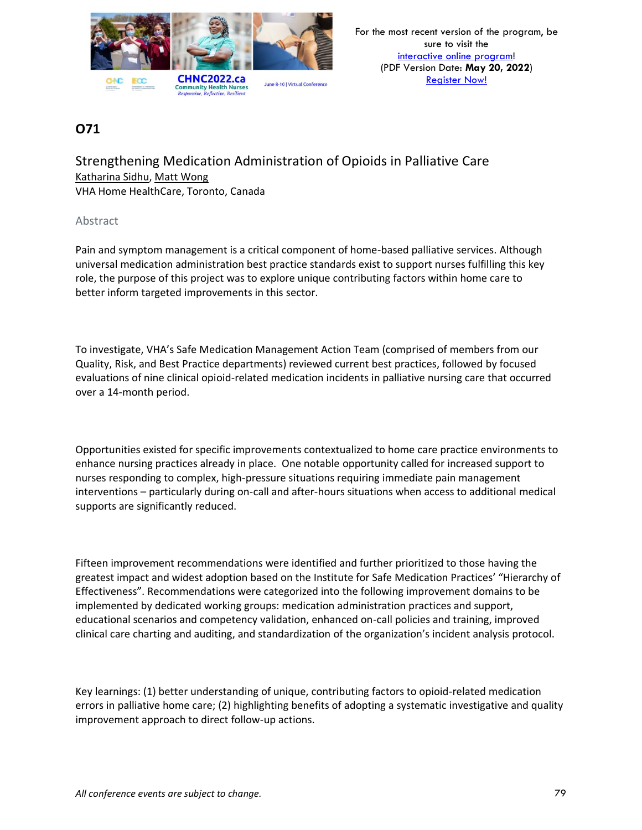

Strengthening Medication Administration of Opioids in Palliative Care Katharina Sidhu, Matt Wong VHA Home HealthCare, Toronto, Canada

#### Abstract

Pain and symptom management is a critical component of home-based palliative services. Although universal medication administration best practice standards exist to support nurses fulfilling this key role, the purpose of this project was to explore unique contributing factors within home care to better inform targeted improvements in this sector.

To investigate, VHA's Safe Medication Management Action Team (comprised of members from our Quality, Risk, and Best Practice departments) reviewed current best practices, followed by focused evaluations of nine clinical opioid-related medication incidents in palliative nursing care that occurred over a 14-month period.

Opportunities existed for specific improvements contextualized to home care practice environments to enhance nursing practices already in place. One notable opportunity called for increased support to nurses responding to complex, high-pressure situations requiring immediate pain management interventions – particularly during on-call and after-hours situations when access to additional medical supports are significantly reduced.

Fifteen improvement recommendations were identified and further prioritized to those having the greatest impact and widest adoption based on the Institute for Safe Medication Practices' "Hierarchy of Effectiveness". Recommendations were categorized into the following improvement domains to be implemented by dedicated working groups: medication administration practices and support, educational scenarios and competency validation, enhanced on-call policies and training, improved clinical care charting and auditing, and standardization of the organization's incident analysis protocol.

Key learnings: (1) better understanding of unique, contributing factors to opioid-related medication errors in palliative home care; (2) highlighting benefits of adopting a systematic investigative and quality improvement approach to direct follow-up actions.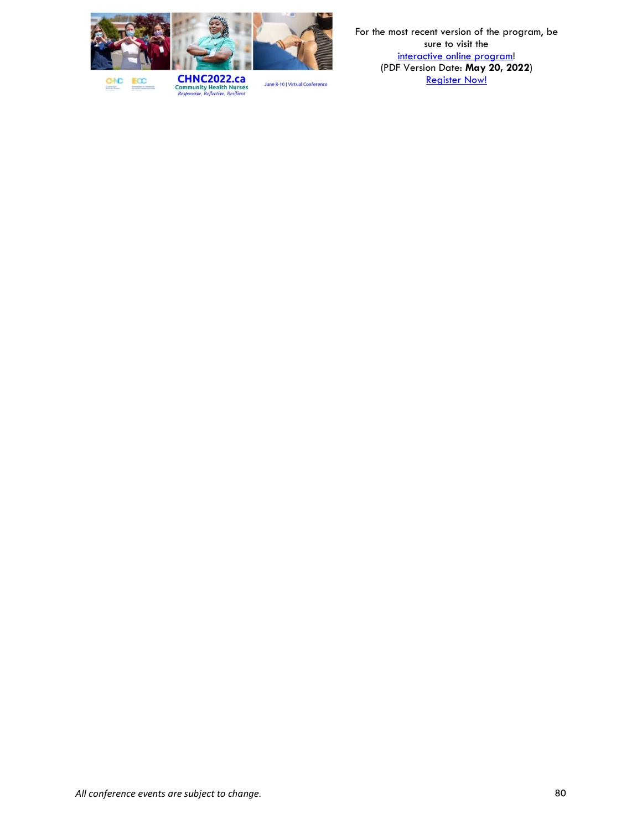

**BCC GNC Democratics** 

**CHNC2022.ca**<br>Community Health Nurses<br>*Responsive, Reflective, Resilient*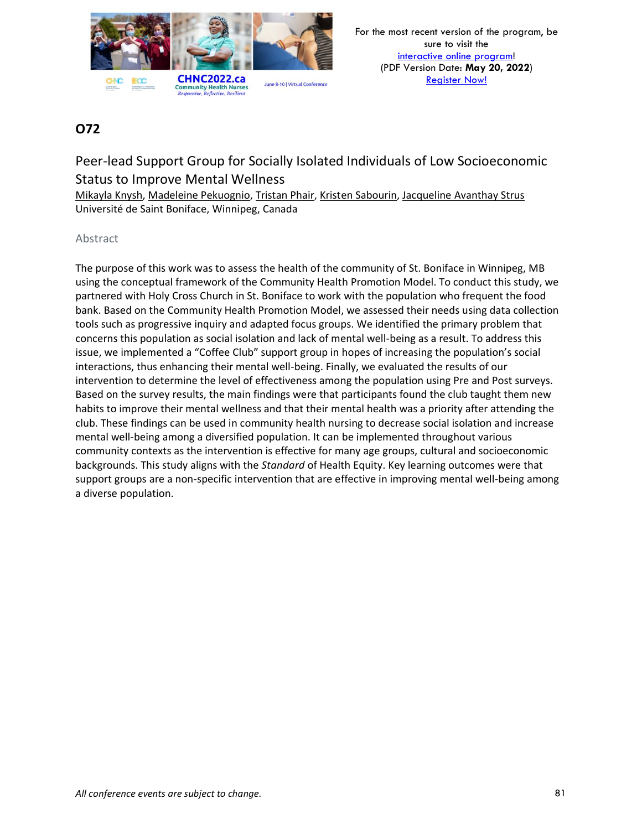

# Peer-lead Support Group for Socially Isolated Individuals of Low Socioeconomic Status to Improve Mental Wellness

Mikayla Knysh, Madeleine Pekuognio, Tristan Phair, Kristen Sabourin, Jacqueline Avanthay Strus Université de Saint Boniface, Winnipeg, Canada

### Abstract

The purpose of this work was to assess the health of the community of St. Boniface in Winnipeg, MB using the conceptual framework of the Community Health Promotion Model. To conduct this study, we partnered with Holy Cross Church in St. Boniface to work with the population who frequent the food bank. Based on the Community Health Promotion Model, we assessed their needs using data collection tools such as progressive inquiry and adapted focus groups. We identified the primary problem that concerns this population as social isolation and lack of mental well-being as a result. To address this issue, we implemented a "Coffee Club" support group in hopes of increasing the population's social interactions, thus enhancing their mental well-being. Finally, we evaluated the results of our intervention to determine the level of effectiveness among the population using Pre and Post surveys. Based on the survey results, the main findings were that participants found the club taught them new habits to improve their mental wellness and that their mental health was a priority after attending the club. These findings can be used in community health nursing to decrease social isolation and increase mental well-being among a diversified population. It can be implemented throughout various community contexts as the intervention is effective for many age groups, cultural and socioeconomic backgrounds. This study aligns with the *Standard* of Health Equity. Key learning outcomes were that support groups are a non-specific intervention that are effective in improving mental well-being among a diverse population.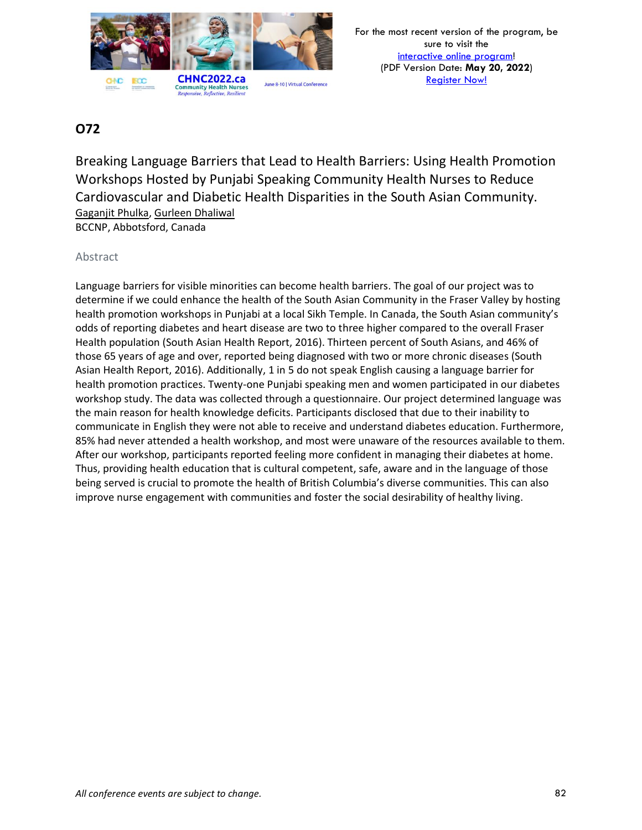

# **O72**

Breaking Language Barriers that Lead to Health Barriers: Using Health Promotion Workshops Hosted by Punjabi Speaking Community Health Nurses to Reduce Cardiovascular and Diabetic Health Disparities in the South Asian Community. Gaganjit Phulka, Gurleen Dhaliwal BCCNP, Abbotsford, Canada

### Abstract

Language barriers for visible minorities can become health barriers. The goal of our project was to determine if we could enhance the health of the South Asian Community in the Fraser Valley by hosting health promotion workshops in Punjabi at a local Sikh Temple. In Canada, the South Asian community's odds of reporting diabetes and heart disease are two to three higher compared to the overall Fraser Health population (South Asian Health Report, 2016). Thirteen percent of South Asians, and 46% of those 65 years of age and over, reported being diagnosed with two or more chronic diseases (South Asian Health Report, 2016). Additionally, 1 in 5 do not speak English causing a language barrier for health promotion practices. Twenty-one Punjabi speaking men and women participated in our diabetes workshop study. The data was collected through a questionnaire. Our project determined language was the main reason for health knowledge deficits. Participants disclosed that due to their inability to communicate in English they were not able to receive and understand diabetes education. Furthermore, 85% had never attended a health workshop, and most were unaware of the resources available to them. After our workshop, participants reported feeling more confident in managing their diabetes at home. Thus, providing health education that is cultural competent, safe, aware and in the language of those being served is crucial to promote the health of British Columbia's diverse communities. This can also improve nurse engagement with communities and foster the social desirability of healthy living.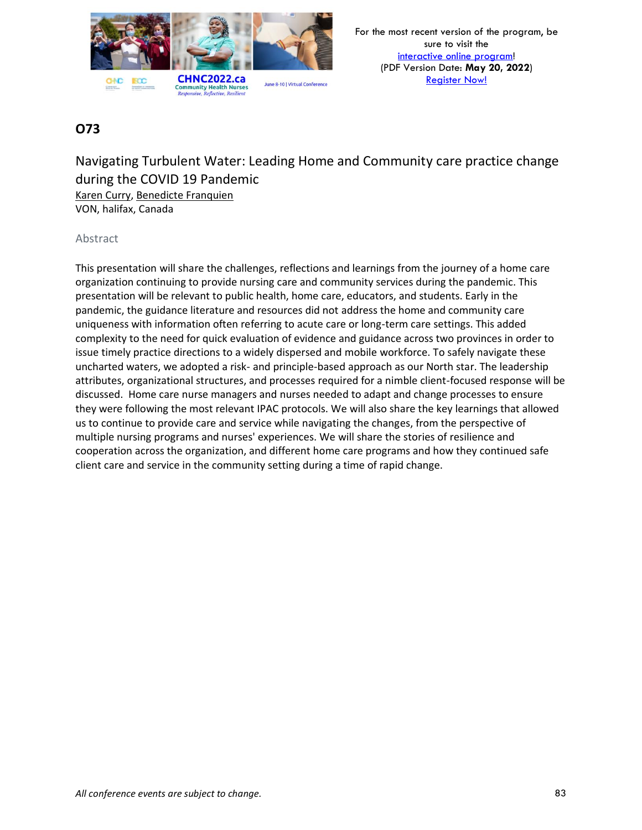

Navigating Turbulent Water: Leading Home and Community care practice change during the COVID 19 Pandemic Karen Curry, Benedicte Franquien VON, halifax, Canada

### Abstract

This presentation will share the challenges, reflections and learnings from the journey of a home care organization continuing to provide nursing care and community services during the pandemic. This presentation will be relevant to public health, home care, educators, and students. Early in the pandemic, the guidance literature and resources did not address the home and community care uniqueness with information often referring to acute care or long-term care settings. This added complexity to the need for quick evaluation of evidence and guidance across two provinces in order to issue timely practice directions to a widely dispersed and mobile workforce. To safely navigate these uncharted waters, we adopted a risk- and principle-based approach as our North star. The leadership attributes, organizational structures, and processes required for a nimble client-focused response will be discussed. Home care nurse managers and nurses needed to adapt and change processes to ensure they were following the most relevant IPAC protocols. We will also share the key learnings that allowed us to continue to provide care and service while navigating the changes, from the perspective of multiple nursing programs and nurses' experiences. We will share the stories of resilience and cooperation across the organization, and different home care programs and how they continued safe client care and service in the community setting during a time of rapid change.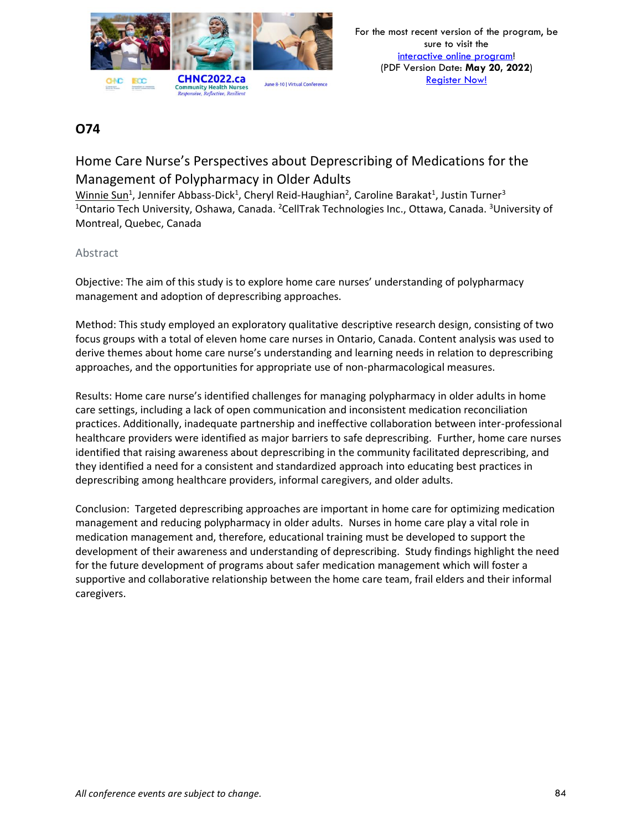

# Home Care Nurse's Perspectives about Deprescribing of Medications for the Management of Polypharmacy in Older Adults

Winnie Sun<sup>1</sup>, Jennifer Abbass-Dick<sup>1</sup>, Cheryl Reid-Haughian<sup>2</sup>, Caroline Barakat<sup>1</sup>, Justin Turner<sup>3</sup> <sup>1</sup>Ontario Tech University, Oshawa, Canada. <sup>2</sup>CellTrak Technologies Inc., Ottawa, Canada. <sup>3</sup>University of Montreal, Quebec, Canada

### Abstract

Objective: The aim of this study is to explore home care nurses' understanding of polypharmacy management and adoption of deprescribing approaches.

Method: This study employed an exploratory qualitative descriptive research design, consisting of two focus groups with a total of eleven home care nurses in Ontario, Canada. Content analysis was used to derive themes about home care nurse's understanding and learning needs in relation to deprescribing approaches, and the opportunities for appropriate use of non-pharmacological measures.

Results: Home care nurse's identified challenges for managing polypharmacy in older adults in home care settings, including a lack of open communication and inconsistent medication reconciliation practices. Additionally, inadequate partnership and ineffective collaboration between inter-professional healthcare providers were identified as major barriers to safe deprescribing. Further, home care nurses identified that raising awareness about deprescribing in the community facilitated deprescribing, and they identified a need for a consistent and standardized approach into educating best practices in deprescribing among healthcare providers, informal caregivers, and older adults.

Conclusion: Targeted deprescribing approaches are important in home care for optimizing medication management and reducing polypharmacy in older adults. Nurses in home care play a vital role in medication management and, therefore, educational training must be developed to support the development of their awareness and understanding of deprescribing. Study findings highlight the need for the future development of programs about safer medication management which will foster a supportive and collaborative relationship between the home care team, frail elders and their informal caregivers.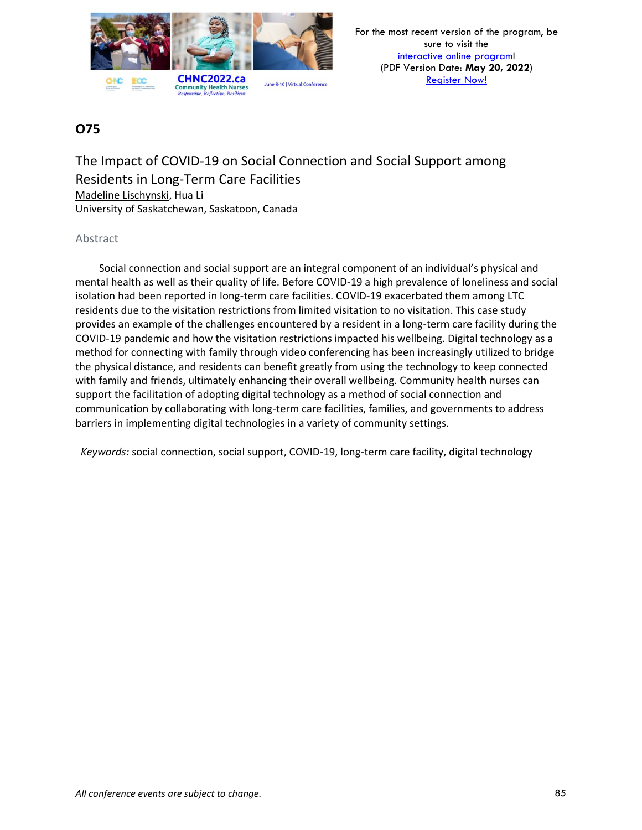

The Impact of COVID-19 on Social Connection and Social Support among Residents in Long-Term Care Facilities Madeline Lischynski, Hua Li University of Saskatchewan, Saskatoon, Canada

### Abstract

Social connection and social support are an integral component of an individual's physical and mental health as well as their quality of life. Before COVID-19 a high prevalence of loneliness and social isolation had been reported in long-term care facilities. COVID-19 exacerbated them among LTC residents due to the visitation restrictions from limited visitation to no visitation. This case study provides an example of the challenges encountered by a resident in a long-term care facility during the COVID-19 pandemic and how the visitation restrictions impacted his wellbeing. Digital technology as a method for connecting with family through video conferencing has been increasingly utilized to bridge the physical distance, and residents can benefit greatly from using the technology to keep connected with family and friends, ultimately enhancing their overall wellbeing. Community health nurses can support the facilitation of adopting digital technology as a method of social connection and communication by collaborating with long-term care facilities, families, and governments to address barriers in implementing digital technologies in a variety of community settings.

*Keywords:* social connection, social support, COVID-19, long-term care facility, digital technology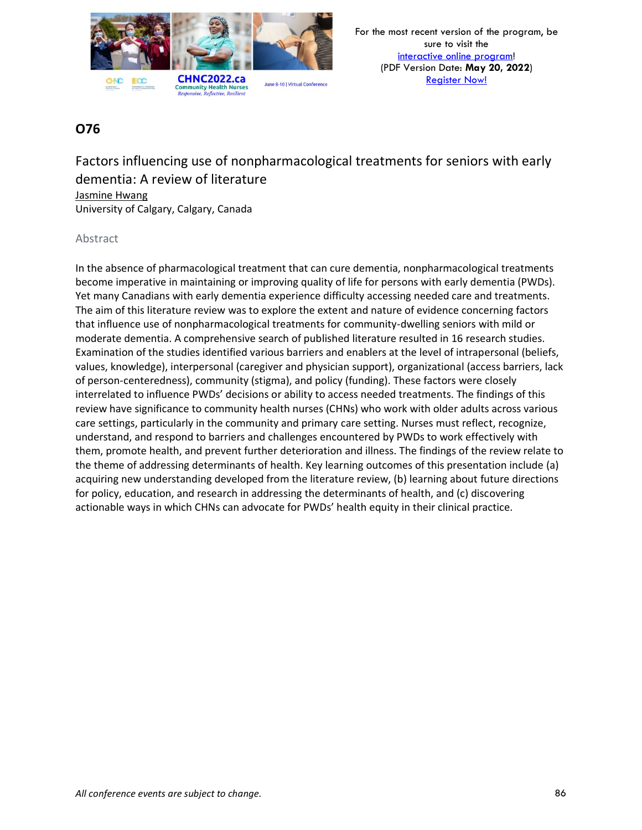

Factors influencing use of nonpharmacological treatments for seniors with early dementia: A review of literature Jasmine Hwang University of Calgary, Calgary, Canada

### Abstract

In the absence of pharmacological treatment that can cure dementia, nonpharmacological treatments become imperative in maintaining or improving quality of life for persons with early dementia (PWDs). Yet many Canadians with early dementia experience difficulty accessing needed care and treatments. The aim of this literature review was to explore the extent and nature of evidence concerning factors that influence use of nonpharmacological treatments for community-dwelling seniors with mild or moderate dementia. A comprehensive search of published literature resulted in 16 research studies. Examination of the studies identified various barriers and enablers at the level of intrapersonal (beliefs, values, knowledge), interpersonal (caregiver and physician support), organizational (access barriers, lack of person-centeredness), community (stigma), and policy (funding). These factors were closely interrelated to influence PWDs' decisions or ability to access needed treatments. The findings of this review have significance to community health nurses (CHNs) who work with older adults across various care settings, particularly in the community and primary care setting. Nurses must reflect, recognize, understand, and respond to barriers and challenges encountered by PWDs to work effectively with them, promote health, and prevent further deterioration and illness. The findings of the review relate to the theme of addressing determinants of health. Key learning outcomes of this presentation include (a) acquiring new understanding developed from the literature review, (b) learning about future directions for policy, education, and research in addressing the determinants of health, and (c) discovering actionable ways in which CHNs can advocate for PWDs' health equity in their clinical practice.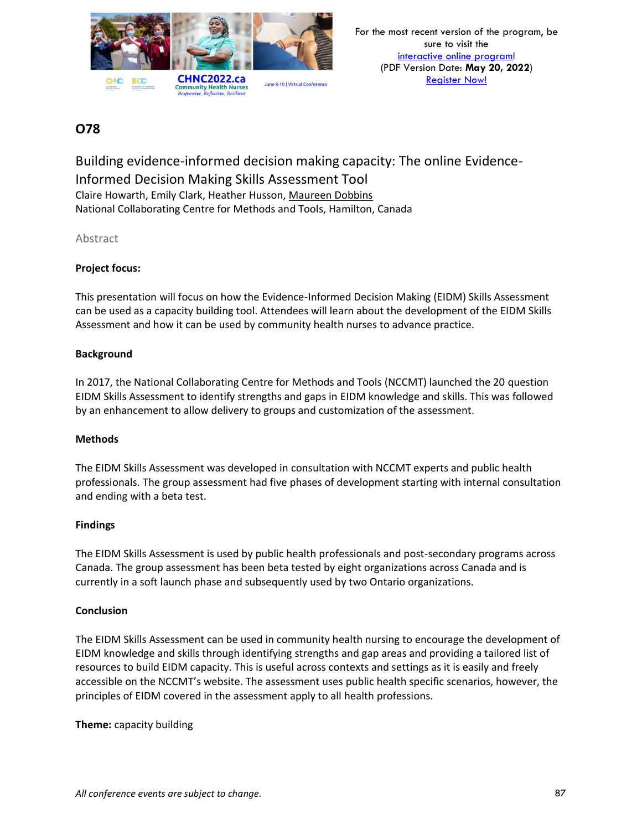

Building evidence-informed decision making capacity: The online Evidence-Informed Decision Making Skills Assessment Tool Claire Howarth, Emily Clark, Heather Husson, Maureen Dobbins National Collaborating Centre for Methods and Tools, Hamilton, Canada

### Abstract

### **Project focus:**

This presentation will focus on how the Evidence-Informed Decision Making (EIDM) Skills Assessment can be used as a capacity building tool. Attendees will learn about the development of the EIDM Skills Assessment and how it can be used by community health nurses to advance practice.

#### **Background**

In 2017, the National Collaborating Centre for Methods and Tools (NCCMT) launched the 20 question EIDM Skills Assessment to identify strengths and gaps in EIDM knowledge and skills. This was followed by an enhancement to allow delivery to groups and customization of the assessment.

#### **Methods**

The EIDM Skills Assessment was developed in consultation with NCCMT experts and public health professionals. The group assessment had five phases of development starting with internal consultation and ending with a beta test.

#### **Findings**

The EIDM Skills Assessment is used by public health professionals and post-secondary programs across Canada. The group assessment has been beta tested by eight organizations across Canada and is currently in a soft launch phase and subsequently used by two Ontario organizations.

#### **Conclusion**

The EIDM Skills Assessment can be used in community health nursing to encourage the development of EIDM knowledge and skills through identifying strengths and gap areas and providing a tailored list of resources to build EIDM capacity. This is useful across contexts and settings as it is easily and freely accessible on the NCCMT's website. The assessment uses public health specific scenarios, however, the principles of EIDM covered in the assessment apply to all health professions.

**Theme:** capacity building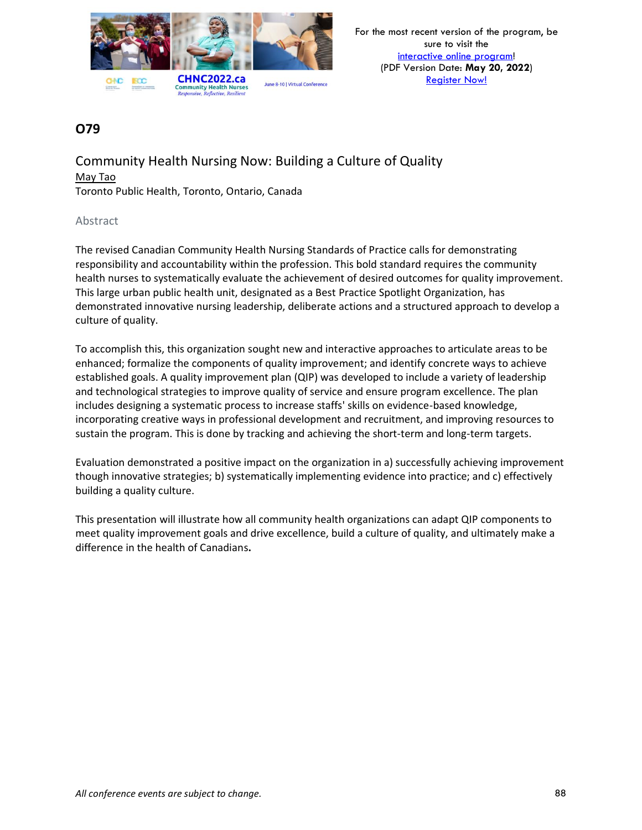

Community Health Nursing Now: Building a Culture of Quality May Tao Toronto Public Health, Toronto, Ontario, Canada

### Abstract

The revised Canadian Community Health Nursing Standards of Practice calls for demonstrating responsibility and accountability within the profession. This bold standard requires the community health nurses to systematically evaluate the achievement of desired outcomes for quality improvement. This large urban public health unit, designated as a Best Practice Spotlight Organization, has demonstrated innovative nursing leadership, deliberate actions and a structured approach to develop a culture of quality.

To accomplish this, this organization sought new and interactive approaches to articulate areas to be enhanced; formalize the components of quality improvement; and identify concrete ways to achieve established goals. A quality improvement plan (QIP) was developed to include a variety of leadership and technological strategies to improve quality of service and ensure program excellence. The plan includes designing a systematic process to increase staffs' skills on evidence-based knowledge, incorporating creative ways in professional development and recruitment, and improving resources to sustain the program. This is done by tracking and achieving the short-term and long-term targets.

Evaluation demonstrated a positive impact on the organization in a) successfully achieving improvement though innovative strategies; b) systematically implementing evidence into practice; and c) effectively building a quality culture.

This presentation will illustrate how all community health organizations can adapt QIP components to meet quality improvement goals and drive excellence, build a culture of quality, and ultimately make a difference in the health of Canadians**.**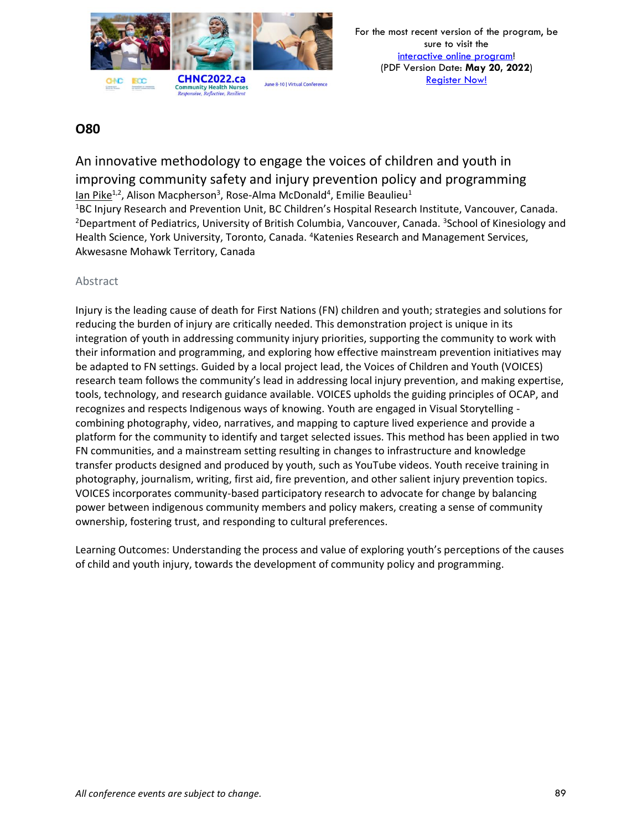

# An innovative methodology to engage the voices of children and youth in improving community safety and injury prevention policy and programming lan Pike<sup>1,2</sup>, Alison Macpherson<sup>3</sup>, Rose-Alma McDonald<sup>4</sup>, Emilie Beaulieu<sup>1</sup>

<sup>1</sup>BC Injury Research and Prevention Unit, BC Children's Hospital Research Institute, Vancouver, Canada. <sup>2</sup>Department of Pediatrics, University of British Columbia, Vancouver, Canada. <sup>3</sup>School of Kinesiology and Health Science, York University, Toronto, Canada. <sup>4</sup>Katenies Research and Management Services, Akwesasne Mohawk Territory, Canada

### Abstract

Injury is the leading cause of death for First Nations (FN) children and youth; strategies and solutions for reducing the burden of injury are critically needed. This demonstration project is unique in its integration of youth in addressing community injury priorities, supporting the community to work with their information and programming, and exploring how effective mainstream prevention initiatives may be adapted to FN settings. Guided by a local project lead, the Voices of Children and Youth (VOICES) research team follows the community's lead in addressing local injury prevention, and making expertise, tools, technology, and research guidance available. VOICES upholds the guiding principles of OCAP, and recognizes and respects Indigenous ways of knowing. Youth are engaged in Visual Storytelling combining photography, video, narratives, and mapping to capture lived experience and provide a platform for the community to identify and target selected issues. This method has been applied in two FN communities, and a mainstream setting resulting in changes to infrastructure and knowledge transfer products designed and produced by youth, such as YouTube videos. Youth receive training in photography, journalism, writing, first aid, fire prevention, and other salient injury prevention topics. VOICES incorporates community-based participatory research to advocate for change by balancing power between indigenous community members and policy makers, creating a sense of community ownership, fostering trust, and responding to cultural preferences.

Learning Outcomes: Understanding the process and value of exploring youth's perceptions of the causes of child and youth injury, towards the development of community policy and programming.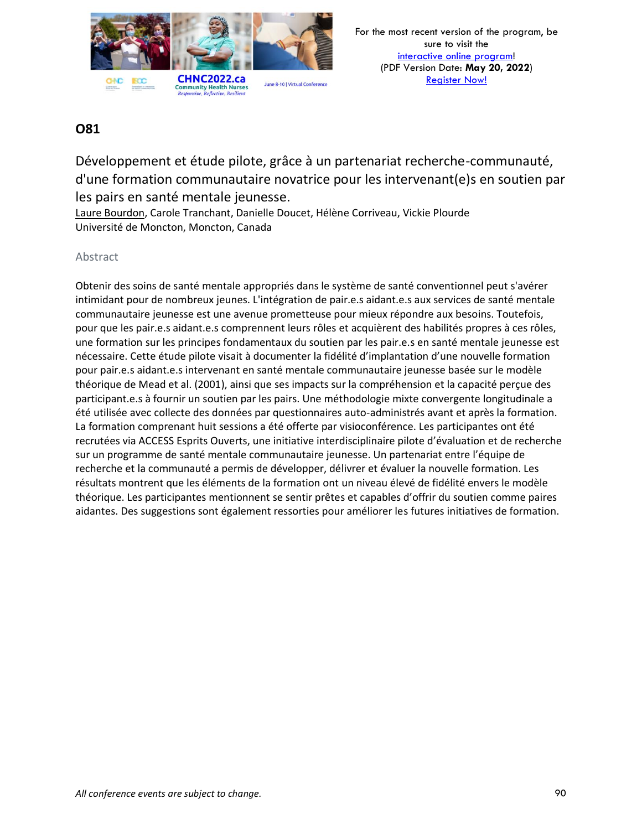

Développement et étude pilote, grâce à un partenariat recherche-communauté, d'une formation communautaire novatrice pour les intervenant(e)s en soutien par les pairs en santé mentale jeunesse.

Laure Bourdon, Carole Tranchant, Danielle Doucet, Hélène Corriveau, Vickie Plourde Université de Moncton, Moncton, Canada

### Abstract

Obtenir des soins de santé mentale appropriés dans le système de santé conventionnel peut s'avérer intimidant pour de nombreux jeunes. L'intégration de pair.e.s aidant.e.s aux services de santé mentale communautaire jeunesse est une avenue prometteuse pour mieux répondre aux besoins. Toutefois, pour que les pair.e.s aidant.e.s comprennent leurs rôles et acquièrent des habilités propres à ces rôles, une formation sur les principes fondamentaux du soutien par les pair.e.s en santé mentale jeunesse est nécessaire. Cette étude pilote visait à documenter la fidélité d'implantation d'une nouvelle formation pour pair.e.s aidant.e.s intervenant en santé mentale communautaire jeunesse basée sur le modèle théorique de Mead et al. (2001), ainsi que ses impacts sur la compréhension et la capacité perçue des participant.e.s à fournir un soutien par les pairs. Une méthodologie mixte convergente longitudinale a été utilisée avec collecte des données par questionnaires auto-administrés avant et après la formation. La formation comprenant huit sessions a été offerte par visioconférence. Les participantes ont été recrutées via ACCESS Esprits Ouverts, une initiative interdisciplinaire pilote d'évaluation et de recherche sur un programme de santé mentale communautaire jeunesse. Un partenariat entre l'équipe de recherche et la communauté a permis de développer, délivrer et évaluer la nouvelle formation. Les résultats montrent que les éléments de la formation ont un niveau élevé de fidélité envers le modèle théorique. Les participantes mentionnent se sentir prêtes et capables d'offrir du soutien comme paires aidantes. Des suggestions sont également ressorties pour améliorer les futures initiatives de formation.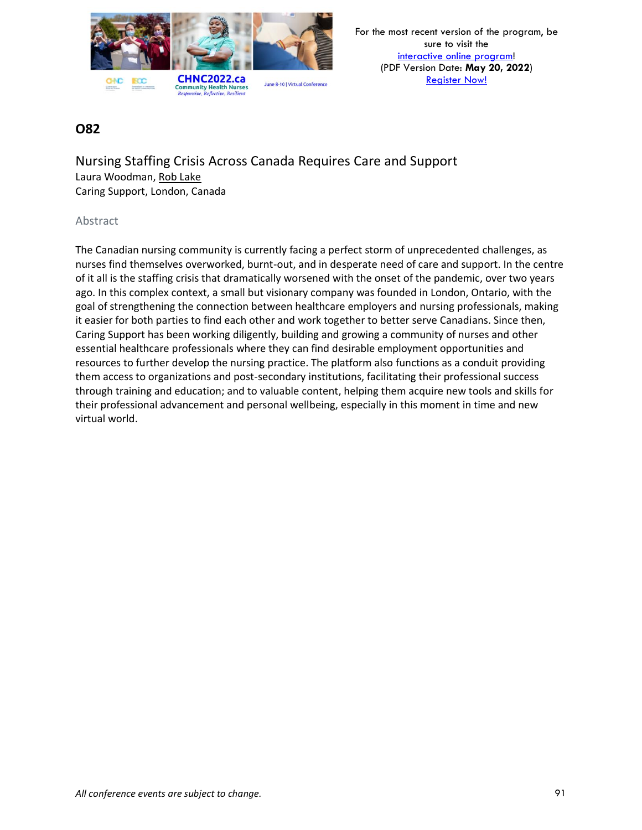

### **O82**

Nursing Staffing Crisis Across Canada Requires Care and Support Laura Woodman, Rob Lake Caring Support, London, Canada

#### Abstract

The Canadian nursing community is currently facing a perfect storm of unprecedented challenges, as nurses find themselves overworked, burnt-out, and in desperate need of care and support. In the centre of it all is the staffing crisis that dramatically worsened with the onset of the pandemic, over two years ago. In this complex context, a small but visionary company was founded in London, Ontario, with the goal of strengthening the connection between healthcare employers and nursing professionals, making it easier for both parties to find each other and work together to better serve Canadians. Since then, Caring Support has been working diligently, building and growing a community of nurses and other essential healthcare professionals where they can find desirable employment opportunities and resources to further develop the nursing practice. The platform also functions as a conduit providing them access to organizations and post-secondary institutions, facilitating their professional success through training and education; and to valuable content, helping them acquire new tools and skills for their professional advancement and personal wellbeing, especially in this moment in time and new virtual world.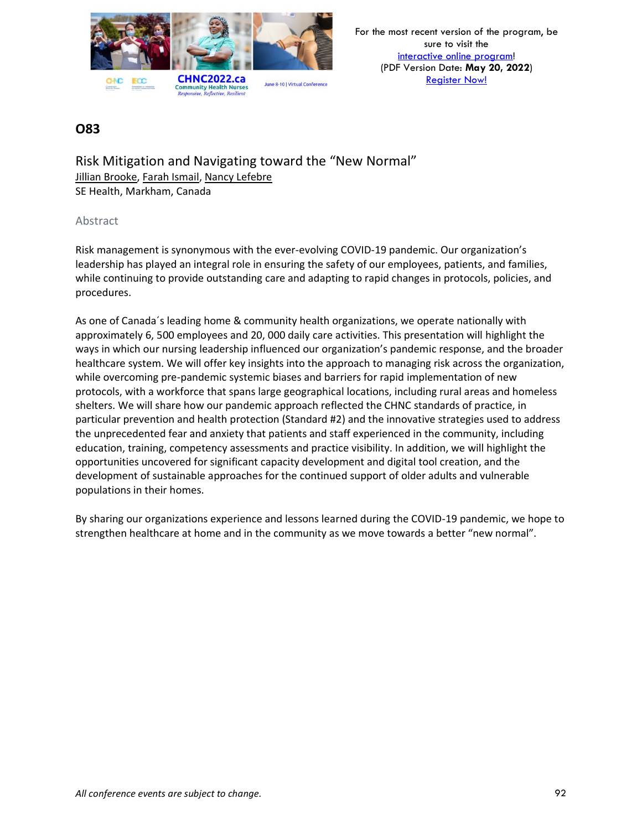

Risk Mitigation and Navigating toward the "New Normal" Jillian Brooke, Farah Ismail, Nancy Lefebre SE Health, Markham, Canada

#### Abstract

Risk management is synonymous with the ever-evolving COVID-19 pandemic. Our organization's leadership has played an integral role in ensuring the safety of our employees, patients, and families, while continuing to provide outstanding care and adapting to rapid changes in protocols, policies, and procedures.

As one of Canada´s leading home & community health organizations, we operate nationally with approximately 6, 500 employees and 20, 000 daily care activities. This presentation will highlight the ways in which our nursing leadership influenced our organization's pandemic response, and the broader healthcare system. We will offer key insights into the approach to managing risk across the organization, while overcoming pre-pandemic systemic biases and barriers for rapid implementation of new protocols, with a workforce that spans large geographical locations, including rural areas and homeless shelters. We will share how our pandemic approach reflected the CHNC standards of practice, in particular prevention and health protection (Standard #2) and the innovative strategies used to address the unprecedented fear and anxiety that patients and staff experienced in the community, including education, training, competency assessments and practice visibility. In addition, we will highlight the opportunities uncovered for significant capacity development and digital tool creation, and the development of sustainable approaches for the continued support of older adults and vulnerable populations in their homes.

By sharing our organizations experience and lessons learned during the COVID-19 pandemic, we hope to strengthen healthcare at home and in the community as we move towards a better "new normal".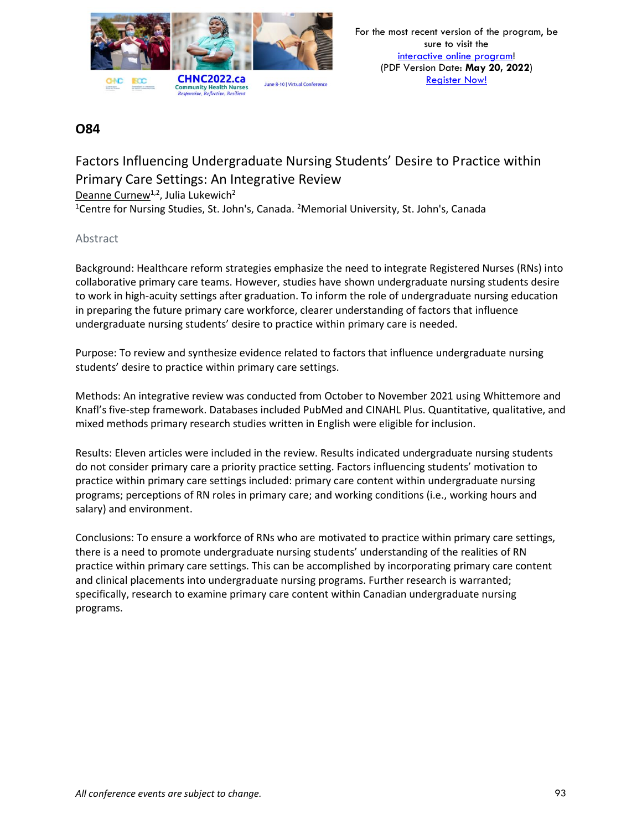

# Factors Influencing Undergraduate Nursing Students' Desire to Practice within Primary Care Settings: An Integrative Review

Deanne Curnew<sup>1,2</sup>, Julia Lukewich<sup>2</sup>

<sup>1</sup>Centre for Nursing Studies, St. John's, Canada. <sup>2</sup>Memorial University, St. John's, Canada

### Abstract

Background: Healthcare reform strategies emphasize the need to integrate Registered Nurses (RNs) into collaborative primary care teams. However, studies have shown undergraduate nursing students desire to work in high-acuity settings after graduation. To inform the role of undergraduate nursing education in preparing the future primary care workforce, clearer understanding of factors that influence undergraduate nursing students' desire to practice within primary care is needed.

Purpose: To review and synthesize evidence related to factors that influence undergraduate nursing students' desire to practice within primary care settings.

Methods: An integrative review was conducted from October to November 2021 using Whittemore and Knafl's five-step framework. Databases included PubMed and CINAHL Plus. Quantitative, qualitative, and mixed methods primary research studies written in English were eligible for inclusion.

Results: Eleven articles were included in the review. Results indicated undergraduate nursing students do not consider primary care a priority practice setting. Factors influencing students' motivation to practice within primary care settings included: primary care content within undergraduate nursing programs; perceptions of RN roles in primary care; and working conditions (i.e., working hours and salary) and environment.

Conclusions: To ensure a workforce of RNs who are motivated to practice within primary care settings, there is a need to promote undergraduate nursing students' understanding of the realities of RN practice within primary care settings. This can be accomplished by incorporating primary care content and clinical placements into undergraduate nursing programs. Further research is warranted; specifically, research to examine primary care content within Canadian undergraduate nursing programs.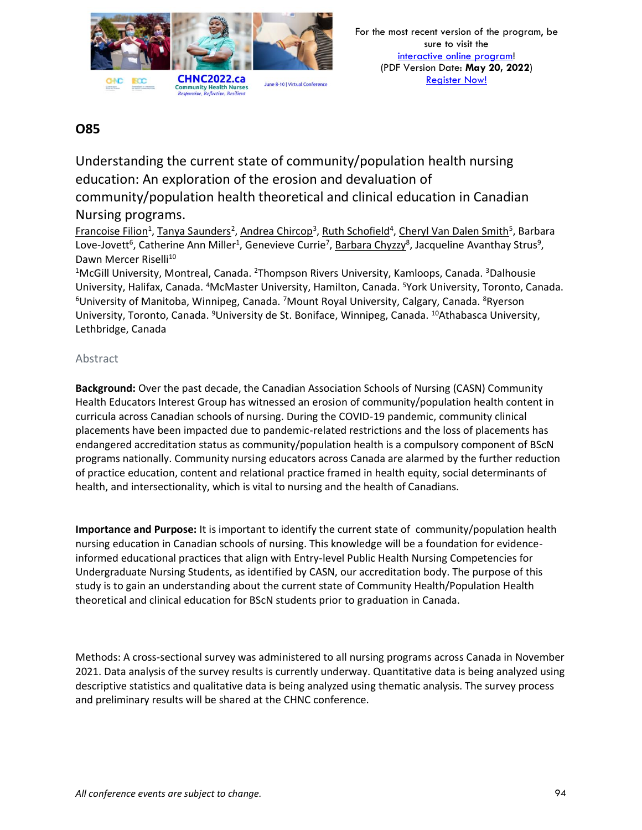

Understanding the current state of community/population health nursing education: An exploration of the erosion and devaluation of community/population health theoretical and clinical education in Canadian Nursing programs.

Francoise Filion<sup>1</sup>, Tanya Saunders<sup>2</sup>, Andrea Chircop<sup>3</sup>, Ruth Schofield<sup>4</sup>, Cheryl Van Dalen Smith<sup>5</sup>, Barbara Love-Jovett<sup>6</sup>, Catherine Ann Miller<sup>1</sup>, Genevieve Currie<sup>7</sup>, <u>Barbara Chyzzy</u><sup>8</sup>, Jacqueline Avanthay Strus<sup>9</sup>, Dawn Mercer Riselli<sup>10</sup>

<sup>1</sup>McGill University, Montreal, Canada. <sup>2</sup>Thompson Rivers University, Kamloops, Canada. <sup>3</sup>Dalhousie University, Halifax, Canada. <sup>4</sup>McMaster University, Hamilton, Canada. <sup>5</sup>York University, Toronto, Canada.  $6$ University of Manitoba, Winnipeg, Canada. *7*Mount Royal University, Calgary, Canada.  $8$ Ryerson University, Toronto, Canada. <sup>9</sup>University de St. Boniface, Winnipeg, Canada. <sup>10</sup>Athabasca University, Lethbridge, Canada

### Abstract

**Background:** Over the past decade, the Canadian Association Schools of Nursing (CASN) Community Health Educators Interest Group has witnessed an erosion of community/population health content in curricula across Canadian schools of nursing. During the COVID-19 pandemic, community clinical placements have been impacted due to pandemic-related restrictions and the loss of placements has endangered accreditation status as community/population health is a compulsory component of BScN programs nationally. Community nursing educators across Canada are alarmed by the further reduction of practice education, content and relational practice framed in health equity, social determinants of health, and intersectionality, which is vital to nursing and the health of Canadians.

**Importance and Purpose:** It is important to identify the current state of community/population health nursing education in Canadian schools of nursing. This knowledge will be a foundation for evidenceinformed educational practices that align with Entry-level Public Health Nursing Competencies for Undergraduate Nursing Students, as identified by CASN, our accreditation body. The purpose of this study is to gain an understanding about the current state of Community Health/Population Health theoretical and clinical education for BScN students prior to graduation in Canada.

Methods: A cross-sectional survey was administered to all nursing programs across Canada in November 2021. Data analysis of the survey results is currently underway. Quantitative data is being analyzed using descriptive statistics and qualitative data is being analyzed using thematic analysis. The survey process and preliminary results will be shared at the CHNC conference.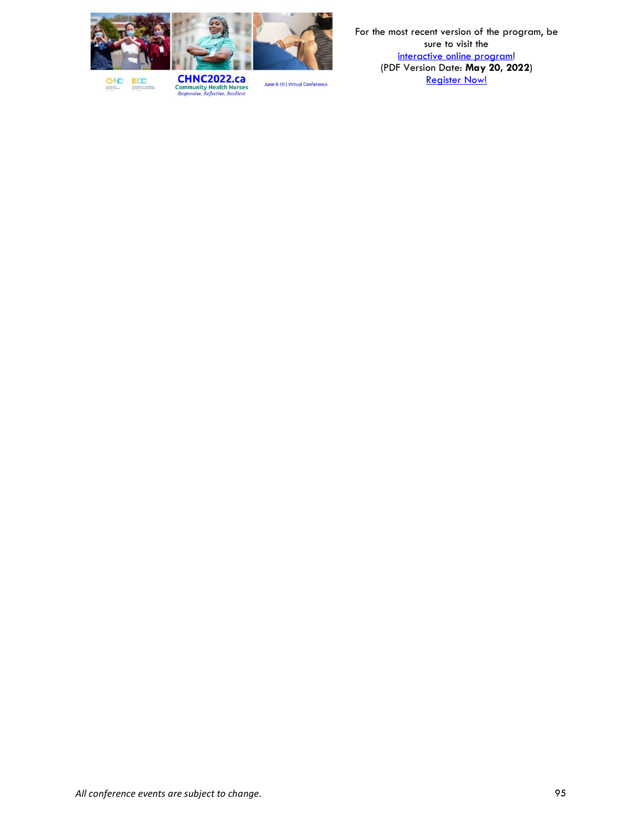

**BCC GNC Democratics** 

**CHNC2022.ca**<br>Community Health Nurses<br>*Responsive, Reflective, Resilient*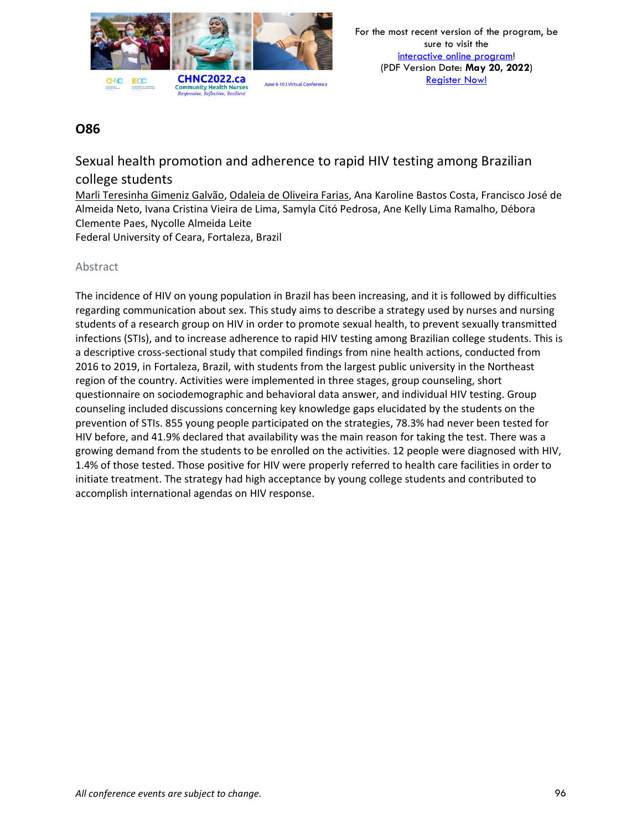

Sexual health promotion and adherence to rapid HIV testing among Brazilian college students

Marli Teresinha Gimeniz Galvão, Odaleia de Oliveira Farias, Ana Karoline Bastos Costa, Francisco José de Almeida Neto, Ivana Cristina Vieira de Lima, Samyla Citó Pedrosa, Ane Kelly Lima Ramalho, Débora Clemente Paes, Nycolle Almeida Leite

Federal University of Ceara, Fortaleza, Brazil

### Abstract

The incidence of HIV on young population in Brazil has been increasing, and it is followed by difficulties regarding communication about sex. This study aims to describe a strategy used by nurses and nursing students of a research group on HIV in order to promote sexual health, to prevent sexually transmitted infections (STIs), and to increase adherence to rapid HIV testing among Brazilian college students. This is a descriptive cross-sectional study that compiled findings from nine health actions, conducted from 2016 to 2019, in Fortaleza, Brazil, with students from the largest public university in the Northeast region of the country. Activities were implemented in three stages, group counseling, short questionnaire on sociodemographic and behavioral data answer, and individual HIV testing. Group counseling included discussions concerning key knowledge gaps elucidated by the students on the prevention of STIs. 855 young people participated on the strategies, 78.3% had never been tested for HIV before, and 41.9% declared that availability was the main reason for taking the test. There was a growing demand from the students to be enrolled on the activities. 12 people were diagnosed with HIV, 1.4% of those tested. Those positive for HIV were properly referred to health care facilities in order to initiate treatment. The strategy had high acceptance by young college students and contributed to accomplish international agendas on HIV response.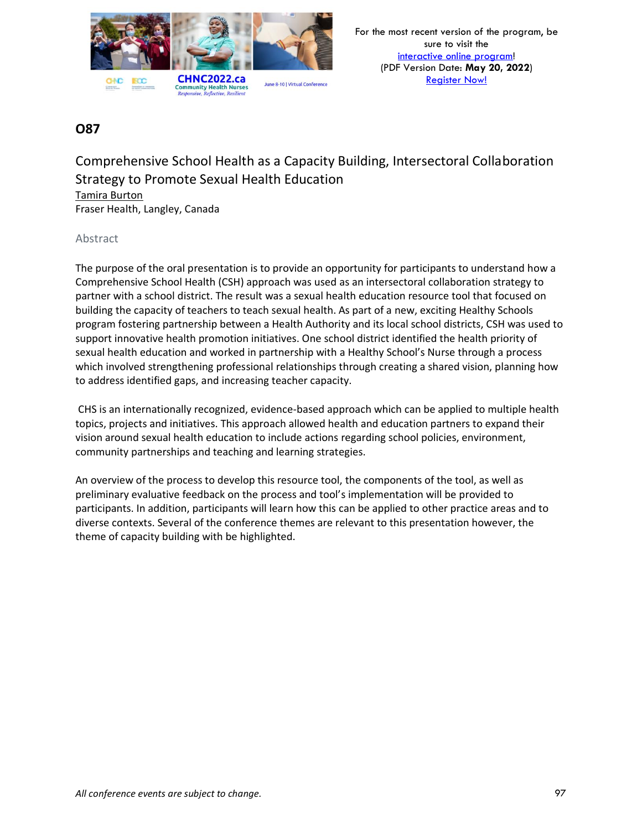

### Comprehensive School Health as a Capacity Building, Intersectoral Collaboration Strategy to Promote Sexual Health Education Tamira Burton

Fraser Health, Langley, Canada

### Abstract

The purpose of the oral presentation is to provide an opportunity for participants to understand how a Comprehensive School Health (CSH) approach was used as an intersectoral collaboration strategy to partner with a school district. The result was a sexual health education resource tool that focused on building the capacity of teachers to teach sexual health. As part of a new, exciting Healthy Schools program fostering partnership between a Health Authority and its local school districts, CSH was used to support innovative health promotion initiatives. One school district identified the health priority of sexual health education and worked in partnership with a Healthy School's Nurse through a process which involved strengthening professional relationships through creating a shared vision, planning how to address identified gaps, and increasing teacher capacity.

CHS is an internationally recognized, evidence-based approach which can be applied to multiple health topics, projects and initiatives. This approach allowed health and education partners to expand their vision around sexual health education to include actions regarding school policies, environment, community partnerships and teaching and learning strategies.

An overview of the process to develop this resource tool, the components of the tool, as well as preliminary evaluative feedback on the process and tool's implementation will be provided to participants. In addition, participants will learn how this can be applied to other practice areas and to diverse contexts. Several of the conference themes are relevant to this presentation however, the theme of capacity building with be highlighted.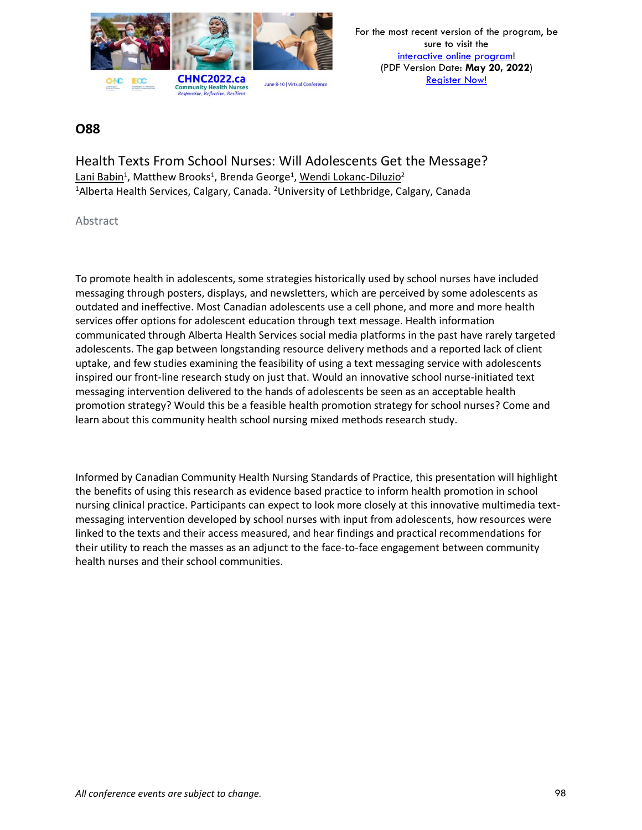

### **O88**

Health Texts From School Nurses: Will Adolescents Get the Message? Lani Babin<sup>1</sup>, Matthew Brooks<sup>1</sup>, Brenda George<sup>1</sup>, <u>Wendi Lokanc-Diluzio</u><sup>2</sup> <sup>1</sup>Alberta Health Services, Calgary, Canada. <sup>2</sup>University of Lethbridge, Calgary, Canada

#### Abstract

To promote health in adolescents, some strategies historically used by school nurses have included messaging through posters, displays, and newsletters, which are perceived by some adolescents as outdated and ineffective. Most Canadian adolescents use a cell phone, and more and more health services offer options for adolescent education through text message. Health information communicated through Alberta Health Services social media platforms in the past have rarely targeted adolescents. The gap between longstanding resource delivery methods and a reported lack of client uptake, and few studies examining the feasibility of using a text messaging service with adolescents inspired our front-line research study on just that. Would an innovative school nurse-initiated text messaging intervention delivered to the hands of adolescents be seen as an acceptable health promotion strategy? Would this be a feasible health promotion strategy for school nurses? Come and learn about this community health school nursing mixed methods research study.

Informed by Canadian Community Health Nursing Standards of Practice, this presentation will highlight the benefits of using this research as evidence based practice to inform health promotion in school nursing clinical practice. Participants can expect to look more closely at this innovative multimedia textmessaging intervention developed by school nurses with input from adolescents, how resources were linked to the texts and their access measured, and hear findings and practical recommendations for their utility to reach the masses as an adjunct to the face-to-face engagement between community health nurses and their school communities.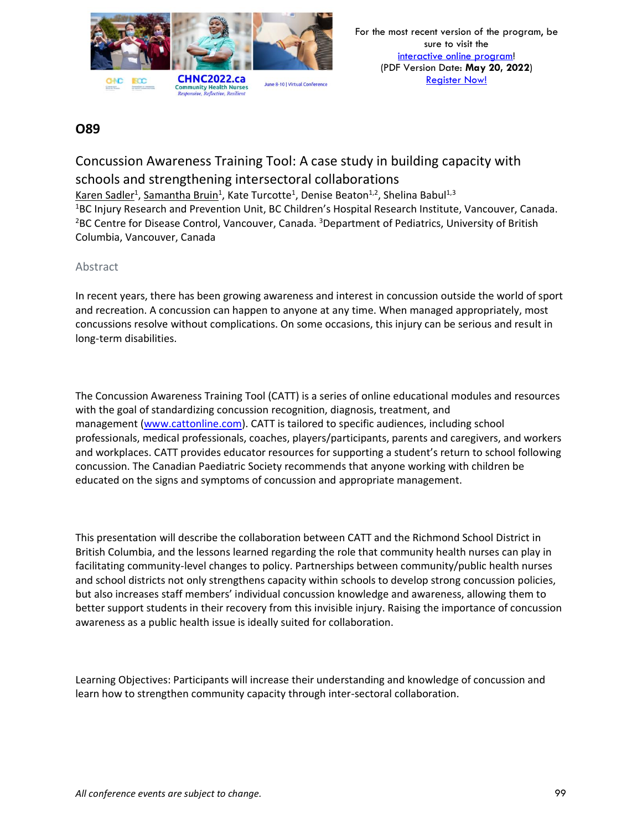

# Concussion Awareness Training Tool: A case study in building capacity with schools and strengthening intersectoral collaborations

Karen Sadler<sup>1</sup>, Samantha Bruin<sup>1</sup>, Kate Turcotte<sup>1</sup>, Denise Beaton<sup>1,2</sup>, Shelina Babul<sup>1,3</sup> <sup>1</sup>BC Injury Research and Prevention Unit, BC Children's Hospital Research Institute, Vancouver, Canada. <sup>2</sup>BC Centre for Disease Control, Vancouver, Canada. <sup>3</sup>Department of Pediatrics, University of British Columbia, Vancouver, Canada

### Abstract

In recent years, there has been growing awareness and interest in concussion outside the world of sport and recreation. A concussion can happen to anyone at any time. When managed appropriately, most concussions resolve without complications. On some occasions, this injury can be serious and result in long-term disabilities.

The Concussion Awareness Training Tool (CATT) is a series of online educational modules and resources with the goal of standardizing concussion recognition, diagnosis, treatment, and management [\(www.cattonline.com\)](http://www.cattonline.com/). CATT is tailored to specific audiences, including school professionals, medical professionals, coaches, players/participants, parents and caregivers, and workers and workplaces. CATT provides educator resources for supporting a student's return to school following concussion. The Canadian Paediatric Society recommends that anyone working with children be educated on the signs and symptoms of concussion and appropriate management.

This presentation will describe the collaboration between CATT and the Richmond School District in British Columbia, and the lessons learned regarding the role that community health nurses can play in facilitating community-level changes to policy. Partnerships between community/public health nurses and school districts not only strengthens capacity within schools to develop strong concussion policies, but also increases staff members' individual concussion knowledge and awareness, allowing them to better support students in their recovery from this invisible injury. Raising the importance of concussion awareness as a public health issue is ideally suited for collaboration.

Learning Objectives: Participants will increase their understanding and knowledge of concussion and learn how to strengthen community capacity through inter-sectoral collaboration.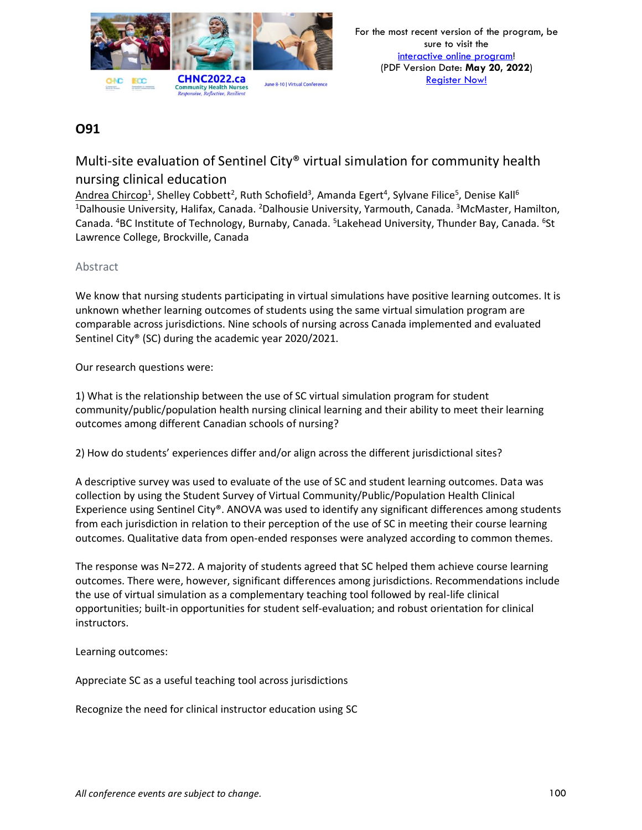

# Multi-site evaluation of Sentinel City® virtual simulation for community health nursing clinical education

Andrea Chircop<sup>1</sup>, Shelley Cobbett<sup>2</sup>, Ruth Schofield<sup>3</sup>, Amanda Egert<sup>4</sup>, Sylvane Filice<sup>5</sup>, Denise Kall<sup>6</sup> <sup>1</sup>Dalhousie University, Halifax, Canada. <sup>2</sup>Dalhousie University, Yarmouth, Canada. <sup>3</sup>McMaster, Hamilton, Canada. <sup>4</sup>BC Institute of Technology, Burnaby, Canada. <sup>5</sup>Lakehead University, Thunder Bay, Canada. <sup>6</sup>St Lawrence College, Brockville, Canada

### Abstract

We know that nursing students participating in virtual simulations have positive learning outcomes. It is unknown whether learning outcomes of students using the same virtual simulation program are comparable across jurisdictions. Nine schools of nursing across Canada implemented and evaluated Sentinel City® (SC) during the academic year 2020/2021.

Our research questions were:

1) What is the relationship between the use of SC virtual simulation program for student community/public/population health nursing clinical learning and their ability to meet their learning outcomes among different Canadian schools of nursing?

2) How do students' experiences differ and/or align across the different jurisdictional sites?

A descriptive survey was used to evaluate of the use of SC and student learning outcomes. Data was collection by using the Student Survey of Virtual Community/Public/Population Health Clinical Experience using Sentinel City®. ANOVA was used to identify any significant differences among students from each jurisdiction in relation to their perception of the use of SC in meeting their course learning outcomes. Qualitative data from open-ended responses were analyzed according to common themes.

The response was N=272. A majority of students agreed that SC helped them achieve course learning outcomes. There were, however, significant differences among jurisdictions. Recommendations include the use of virtual simulation as a complementary teaching tool followed by real-life clinical opportunities; built-in opportunities for student self-evaluation; and robust orientation for clinical instructors.

Learning outcomes:

Appreciate SC as a useful teaching tool across jurisdictions

Recognize the need for clinical instructor education using SC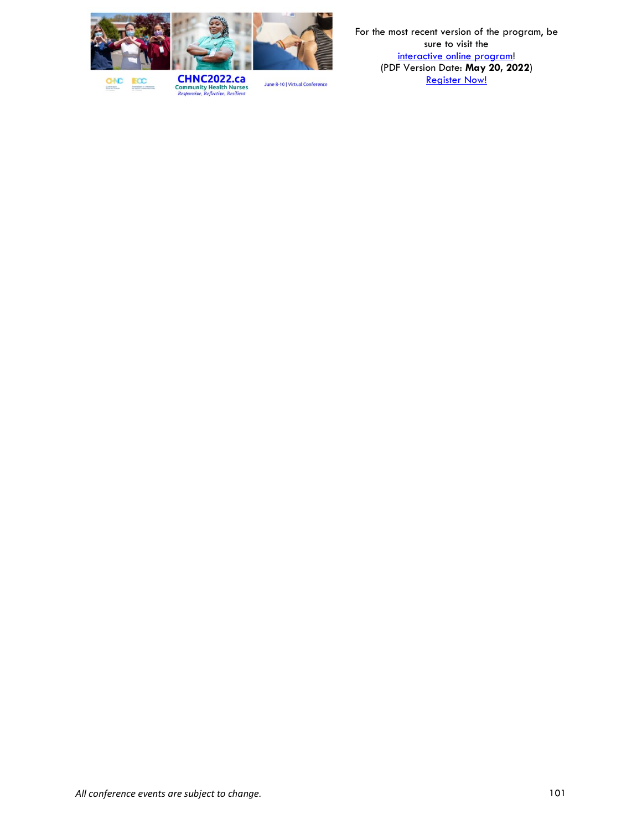

**BCC GNC** 

**CHNC2022.ca**<br>Community Health Nurses<br>*Responsive, Reflective, Resilient*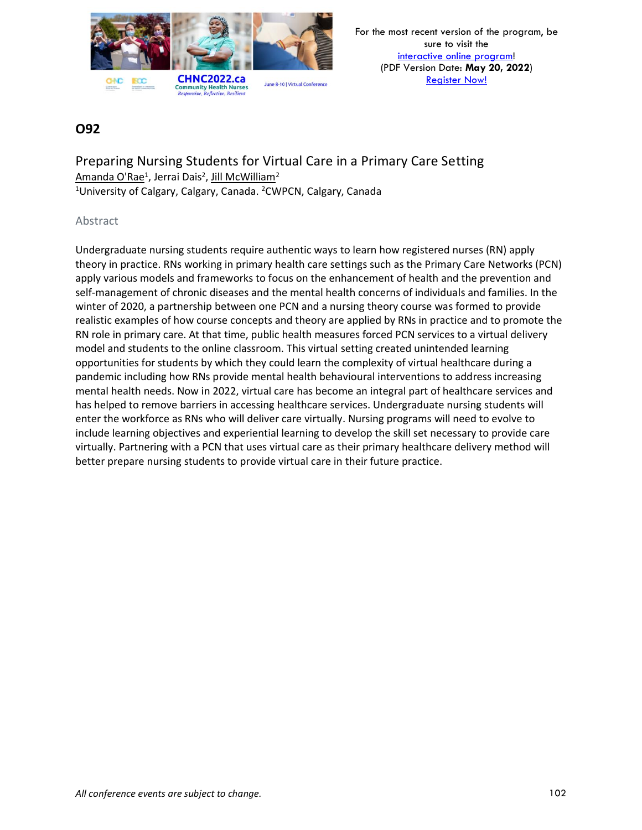

### **O92**

Preparing Nursing Students for Virtual Care in a Primary Care Setting <u>Amanda O'Rae<sup>1</sup>, Jerrai Dais<sup>2</sup>, Jill McWilliam<sup>2</sup></u> <sup>1</sup>University of Calgary, Calgary, Canada. <sup>2</sup>CWPCN, Calgary, Canada

### Abstract

Undergraduate nursing students require authentic ways to learn how registered nurses (RN) apply theory in practice. RNs working in primary health care settings such as the Primary Care Networks (PCN) apply various models and frameworks to focus on the enhancement of health and the prevention and self-management of chronic diseases and the mental health concerns of individuals and families. In the winter of 2020, a partnership between one PCN and a nursing theory course was formed to provide realistic examples of how course concepts and theory are applied by RNs in practice and to promote the RN role in primary care. At that time, public health measures forced PCN services to a virtual delivery model and students to the online classroom. This virtual setting created unintended learning opportunities for students by which they could learn the complexity of virtual healthcare during a pandemic including how RNs provide mental health behavioural interventions to address increasing mental health needs. Now in 2022, virtual care has become an integral part of healthcare services and has helped to remove barriers in accessing healthcare services. Undergraduate nursing students will enter the workforce as RNs who will deliver care virtually. Nursing programs will need to evolve to include learning objectives and experiential learning to develop the skill set necessary to provide care virtually. Partnering with a PCN that uses virtual care as their primary healthcare delivery method will better prepare nursing students to provide virtual care in their future practice.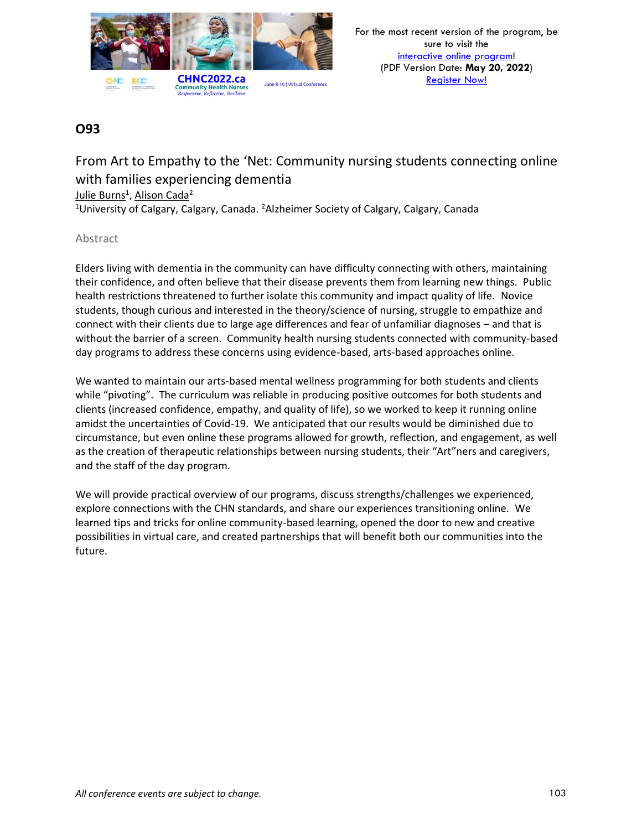

From Art to Empathy to the 'Net: Community nursing students connecting online with families experiencing dementia

<u>Julie Burns<sup>1</sup>, Alison Cada<sup>2</sup></u>

<sup>1</sup>University of Calgary, Calgary, Canada. <sup>2</sup>Alzheimer Society of Calgary, Calgary, Canada

### Abstract

Elders living with dementia in the community can have difficulty connecting with others, maintaining their confidence, and often believe that their disease prevents them from learning new things. Public health restrictions threatened to further isolate this community and impact quality of life. Novice students, though curious and interested in the theory/science of nursing, struggle to empathize and connect with their clients due to large age differences and fear of unfamiliar diagnoses – and that is without the barrier of a screen. Community health nursing students connected with community-based day programs to address these concerns using evidence-based, arts-based approaches online.

We wanted to maintain our arts-based mental wellness programming for both students and clients while "pivoting". The curriculum was reliable in producing positive outcomes for both students and clients (increased confidence, empathy, and quality of life), so we worked to keep it running online amidst the uncertainties of Covid-19. We anticipated that our results would be diminished due to circumstance, but even online these programs allowed for growth, reflection, and engagement, as well as the creation of therapeutic relationships between nursing students, their "Art"ners and caregivers, and the staff of the day program.

We will provide practical overview of our programs, discuss strengths/challenges we experienced, explore connections with the CHN standards, and share our experiences transitioning online. We learned tips and tricks for online community-based learning, opened the door to new and creative possibilities in virtual care, and created partnerships that will benefit both our communities into the future.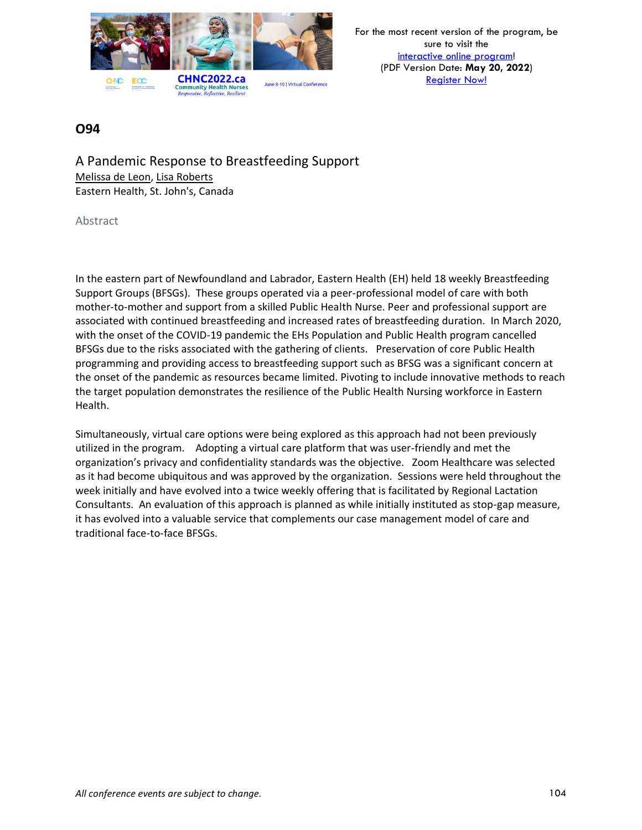

### **O94**

A Pandemic Response to Breastfeeding Support Melissa de Leon, Lisa Roberts Eastern Health, St. John's, Canada

Abstract

In the eastern part of Newfoundland and Labrador, Eastern Health (EH) held 18 weekly Breastfeeding Support Groups (BFSGs). These groups operated via a peer-professional model of care with both mother-to-mother and support from a skilled Public Health Nurse. Peer and professional support are associated with continued breastfeeding and increased rates of breastfeeding duration. In March 2020, with the onset of the COVID-19 pandemic the EHs Population and Public Health program cancelled BFSGs due to the risks associated with the gathering of clients. Preservation of core Public Health programming and providing access to breastfeeding support such as BFSG was a significant concern at the onset of the pandemic as resources became limited. Pivoting to include innovative methods to reach the target population demonstrates the resilience of the Public Health Nursing workforce in Eastern Health.

Simultaneously, virtual care options were being explored as this approach had not been previously utilized in the program. Adopting a virtual care platform that was user-friendly and met the organization's privacy and confidentiality standards was the objective. Zoom Healthcare was selected as it had become ubiquitous and was approved by the organization. Sessions were held throughout the week initially and have evolved into a twice weekly offering that is facilitated by Regional Lactation Consultants. An evaluation of this approach is planned as while initially instituted as stop-gap measure, it has evolved into a valuable service that complements our case management model of care and traditional face-to-face BFSGs.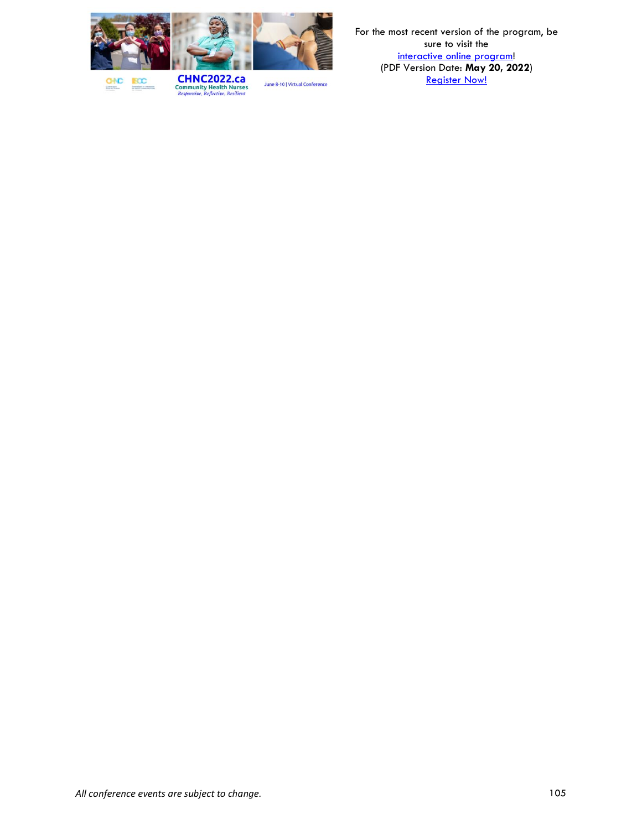

**BCC GNC** 

**CHNC2022.ca**<br>Community Health Nurses<br>*Responsive, Reflective, Resilient*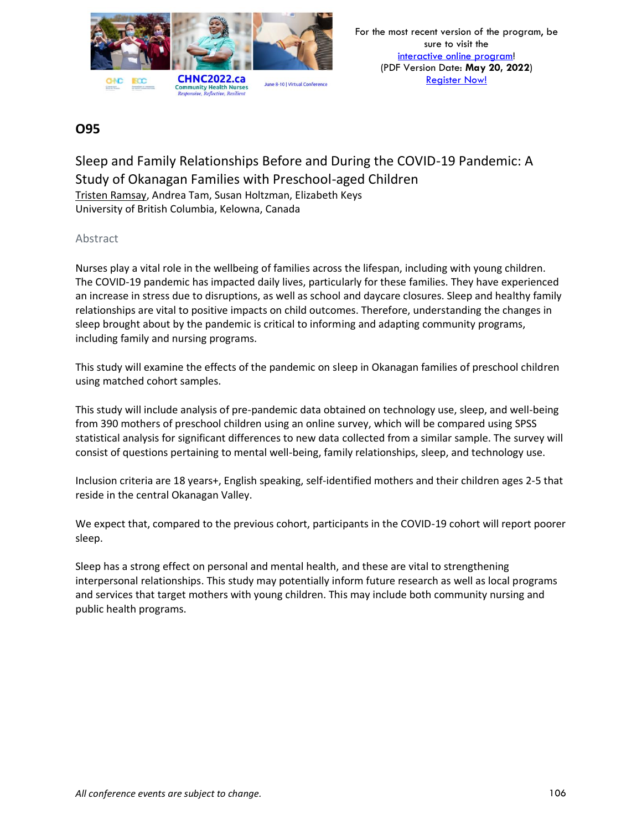

### Sleep and Family Relationships Before and During the COVID-19 Pandemic: A Study of Okanagan Families with Preschool-aged Children Tristen Ramsay, Andrea Tam, Susan Holtzman, Elizabeth Keys University of British Columbia, Kelowna, Canada

### Abstract

Nurses play a vital role in the wellbeing of families across the lifespan, including with young children. The COVID-19 pandemic has impacted daily lives, particularly for these families. They have experienced an increase in stress due to disruptions, as well as school and daycare closures. Sleep and healthy family relationships are vital to positive impacts on child outcomes. Therefore, understanding the changes in sleep brought about by the pandemic is critical to informing and adapting community programs, including family and nursing programs.

This study will examine the effects of the pandemic on sleep in Okanagan families of preschool children using matched cohort samples.

This study will include analysis of pre-pandemic data obtained on technology use, sleep, and well-being from 390 mothers of preschool children using an online survey, which will be compared using SPSS statistical analysis for significant differences to new data collected from a similar sample. The survey will consist of questions pertaining to mental well-being, family relationships, sleep, and technology use.

Inclusion criteria are 18 years+, English speaking, self-identified mothers and their children ages 2-5 that reside in the central Okanagan Valley.

We expect that, compared to the previous cohort, participants in the COVID-19 cohort will report poorer sleep.

Sleep has a strong effect on personal and mental health, and these are vital to strengthening interpersonal relationships. This study may potentially inform future research as well as local programs and services that target mothers with young children. This may include both community nursing and public health programs.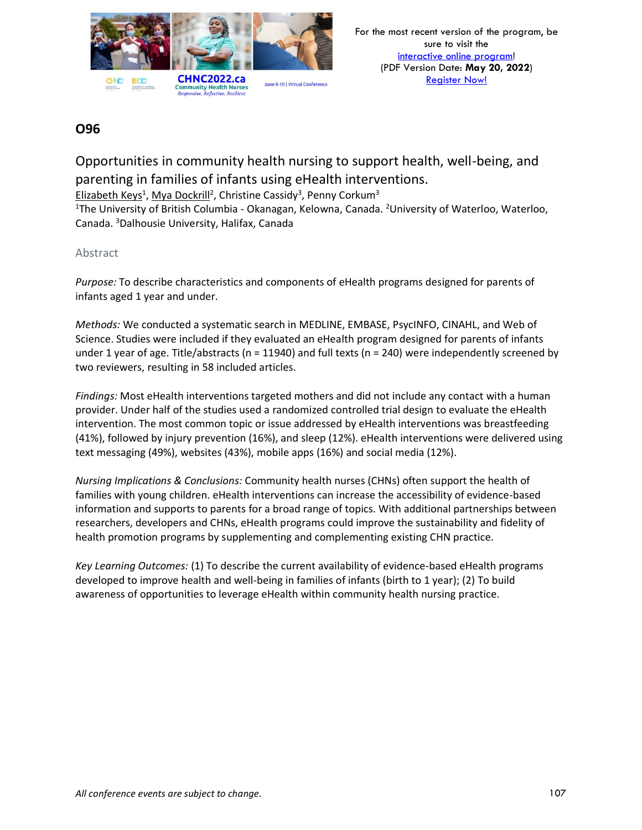

Opportunities in community health nursing to support health, well-being, and parenting in families of infants using eHealth interventions.

Elizabeth Keys<sup>1</sup>, Mya Dockrill<sup>2</sup>, Christine Cassidy<sup>3</sup>, Penny Corkum<sup>3</sup>

<sup>1</sup>The University of British Columbia - Okanagan, Kelowna, Canada. <sup>2</sup>University of Waterloo, Waterloo, Canada. <sup>3</sup>Dalhousie University, Halifax, Canada

### Abstract

*Purpose:* To describe characteristics and components of eHealth programs designed for parents of infants aged 1 year and under.

*Methods:* We conducted a systematic search in MEDLINE, EMBASE, PsycINFO, CINAHL, and Web of Science. Studies were included if they evaluated an eHealth program designed for parents of infants under 1 year of age. Title/abstracts (n = 11940) and full texts (n = 240) were independently screened by two reviewers, resulting in 58 included articles.

*Findings:* Most eHealth interventions targeted mothers and did not include any contact with a human provider. Under half of the studies used a randomized controlled trial design to evaluate the eHealth intervention. The most common topic or issue addressed by eHealth interventions was breastfeeding (41%), followed by injury prevention (16%), and sleep (12%). eHealth interventions were delivered using text messaging (49%), websites (43%), mobile apps (16%) and social media (12%).

*Nursing Implications & Conclusions:* Community health nurses (CHNs) often support the health of families with young children. eHealth interventions can increase the accessibility of evidence-based information and supports to parents for a broad range of topics. With additional partnerships between researchers, developers and CHNs, eHealth programs could improve the sustainability and fidelity of health promotion programs by supplementing and complementing existing CHN practice.

*Key Learning Outcomes:* (1) To describe the current availability of evidence-based eHealth programs developed to improve health and well-being in families of infants (birth to 1 year); (2) To build awareness of opportunities to leverage eHealth within community health nursing practice.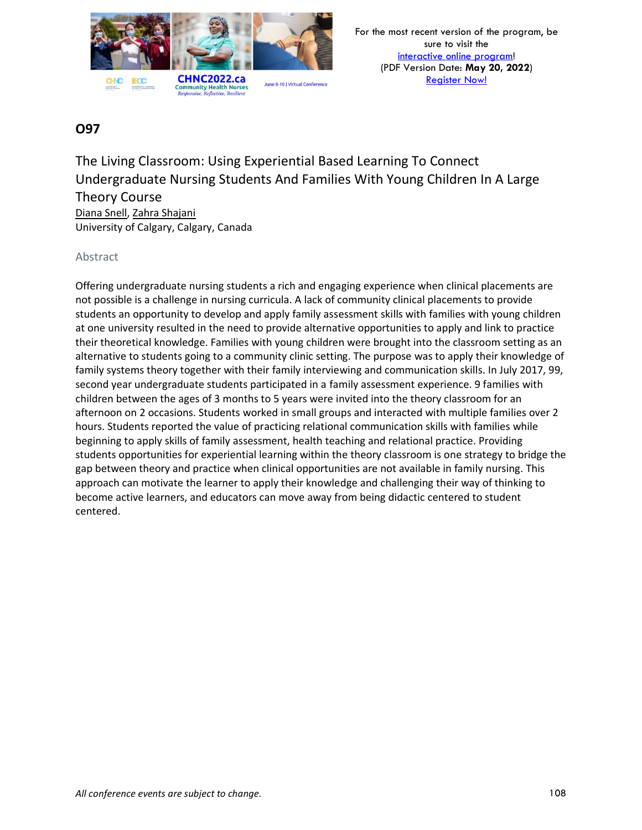

The Living Classroom: Using Experiential Based Learning To Connect Undergraduate Nursing Students And Families With Young Children In A Large Theory Course Diana Snell, Zahra Shajani

University of Calgary, Calgary, Canada

### Abstract

Offering undergraduate nursing students a rich and engaging experience when clinical placements are not possible is a challenge in nursing curricula. A lack of community clinical placements to provide students an opportunity to develop and apply family assessment skills with families with young children at one university resulted in the need to provide alternative opportunities to apply and link to practice their theoretical knowledge. Families with young children were brought into the classroom setting as an alternative to students going to a community clinic setting. The purpose was to apply their knowledge of family systems theory together with their family interviewing and communication skills. In July 2017, 99, second year undergraduate students participated in a family assessment experience. 9 families with children between the ages of 3 months to 5 years were invited into the theory classroom for an afternoon on 2 occasions. Students worked in small groups and interacted with multiple families over 2 hours. Students reported the value of practicing relational communication skills with families while beginning to apply skills of family assessment, health teaching and relational practice. Providing students opportunities for experiential learning within the theory classroom is one strategy to bridge the gap between theory and practice when clinical opportunities are not available in family nursing. This approach can motivate the learner to apply their knowledge and challenging their way of thinking to become active learners, and educators can move away from being didactic centered to student centered.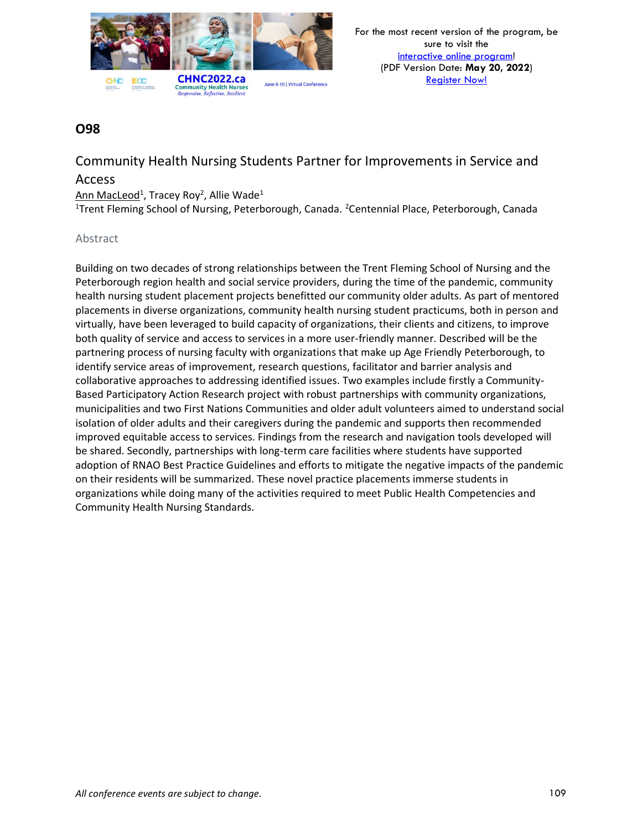

# Community Health Nursing Students Partner for Improvements in Service and

### Access

### Ann MacLeod<sup>1</sup>, Tracey Roy<sup>2</sup>, Allie Wade<sup>1</sup>

<sup>1</sup>Trent Fleming School of Nursing, Peterborough, Canada. <sup>2</sup>Centennial Place, Peterborough, Canada

#### Abstract

Building on two decades of strong relationships between the Trent Fleming School of Nursing and the Peterborough region health and social service providers, during the time of the pandemic, community health nursing student placement projects benefitted our community older adults. As part of mentored placements in diverse organizations, community health nursing student practicums, both in person and virtually, have been leveraged to build capacity of organizations, their clients and citizens, to improve both quality of service and access to services in a more user-friendly manner. Described will be the partnering process of nursing faculty with organizations that make up Age Friendly Peterborough, to identify service areas of improvement, research questions, facilitator and barrier analysis and collaborative approaches to addressing identified issues. Two examples include firstly a Community-Based Participatory Action Research project with robust partnerships with community organizations, municipalities and two First Nations Communities and older adult volunteers aimed to understand social isolation of older adults and their caregivers during the pandemic and supports then recommended improved equitable access to services. Findings from the research and navigation tools developed will be shared. Secondly, partnerships with long-term care facilities where students have supported adoption of RNAO Best Practice Guidelines and efforts to mitigate the negative impacts of the pandemic on their residents will be summarized. These novel practice placements immerse students in organizations while doing many of the activities required to meet Public Health Competencies and Community Health Nursing Standards.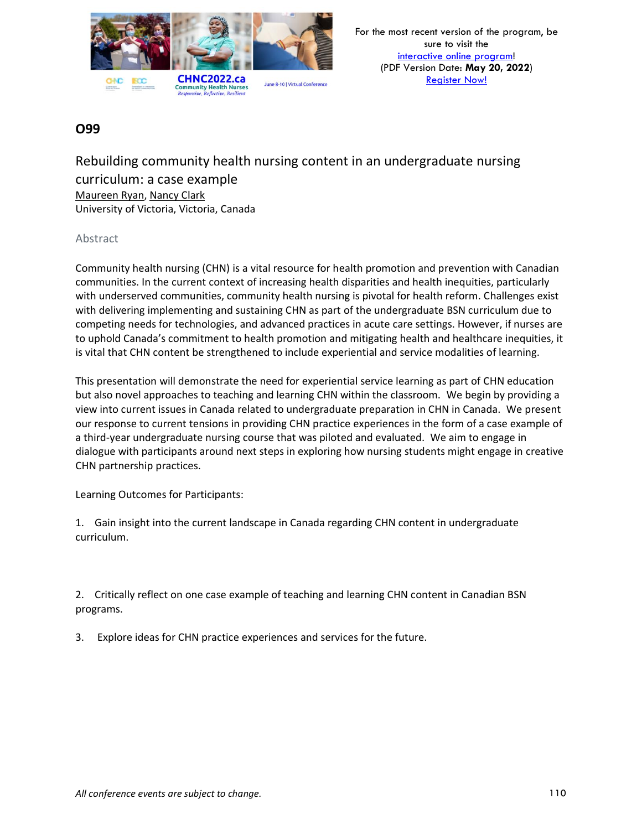

Rebuilding community health nursing content in an undergraduate nursing curriculum: a case example Maureen Ryan, Nancy Clark University of Victoria, Victoria, Canada

#### Abstract

Community health nursing (CHN) is a vital resource for health promotion and prevention with Canadian communities. In the current context of increasing health disparities and health inequities, particularly with underserved communities, community health nursing is pivotal for health reform. Challenges exist with delivering implementing and sustaining CHN as part of the undergraduate BSN curriculum due to competing needs for technologies, and advanced practices in acute care settings. However, if nurses are to uphold Canada's commitment to health promotion and mitigating health and healthcare inequities, it is vital that CHN content be strengthened to include experiential and service modalities of learning.

This presentation will demonstrate the need for experiential service learning as part of CHN education but also novel approaches to teaching and learning CHN within the classroom. We begin by providing a view into current issues in Canada related to undergraduate preparation in CHN in Canada. We present our response to current tensions in providing CHN practice experiences in the form of a case example of a third-year undergraduate nursing course that was piloted and evaluated. We aim to engage in dialogue with participants around next steps in exploring how nursing students might engage in creative CHN partnership practices.

Learning Outcomes for Participants:

1. Gain insight into the current landscape in Canada regarding CHN content in undergraduate curriculum.

2. Critically reflect on one case example of teaching and learning CHN content in Canadian BSN programs.

3. Explore ideas for CHN practice experiences and services for the future.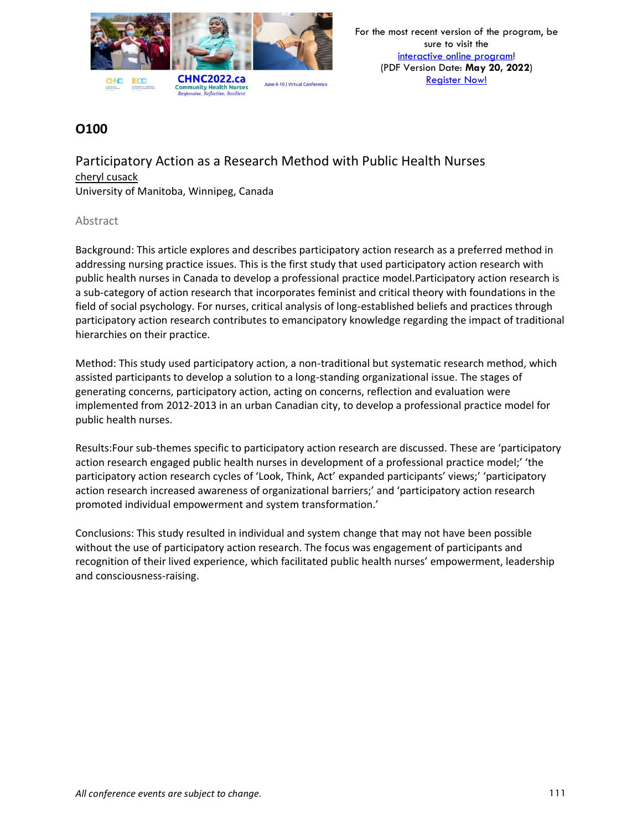

Participatory Action as a Research Method with Public Health Nurses cheryl cusack University of Manitoba, Winnipeg, Canada

#### Abstract

Background: This article explores and describes participatory action research as a preferred method in addressing nursing practice issues. This is the first study that used participatory action research with public health nurses in Canada to develop a professional practice model.Participatory action research is a sub-category of action research that incorporates feminist and critical theory with foundations in the field of social psychology. For nurses, critical analysis of long-established beliefs and practices through participatory action research contributes to emancipatory knowledge regarding the impact of traditional hierarchies on their practice.

Method: This study used participatory action, a non-traditional but systematic research method, which assisted participants to develop a solution to a long-standing organizational issue. The stages of generating concerns, participatory action, acting on concerns, reflection and evaluation were implemented from 2012-2013 in an urban Canadian city, to develop a professional practice model for public health nurses.

Results:Four sub-themes specific to participatory action research are discussed. These are 'participatory action research engaged public health nurses in development of a professional practice model;' 'the participatory action research cycles of 'Look, Think, Act' expanded participants' views;' 'participatory action research increased awareness of organizational barriers;' and 'participatory action research promoted individual empowerment and system transformation.'

Conclusions: This study resulted in individual and system change that may not have been possible without the use of participatory action research. The focus was engagement of participants and recognition of their lived experience, which facilitated public health nurses' empowerment, leadership and consciousness-raising.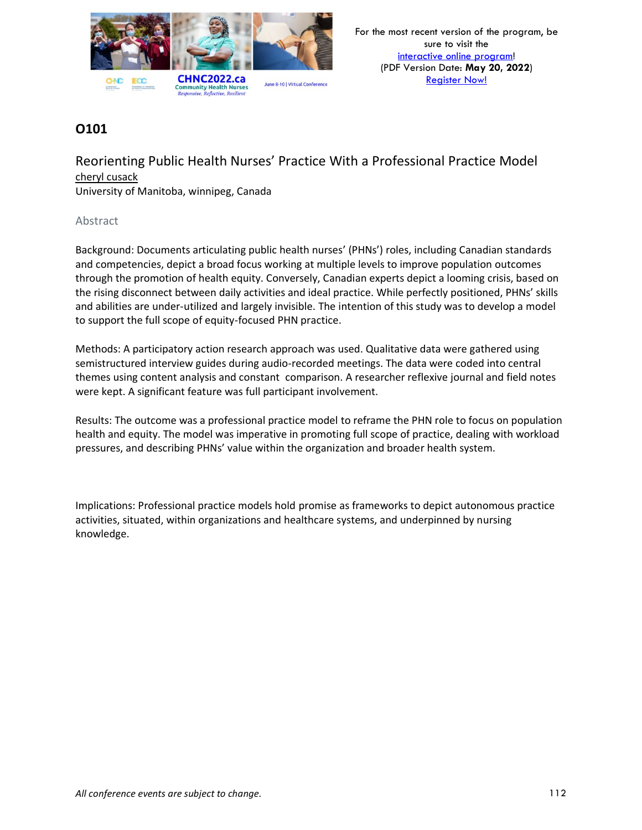

Reorienting Public Health Nurses' Practice With a Professional Practice Model cheryl cusack

University of Manitoba, winnipeg, Canada

#### Abstract

Background: Documents articulating public health nurses' (PHNs') roles, including Canadian standards and competencies, depict a broad focus working at multiple levels to improve population outcomes through the promotion of health equity. Conversely, Canadian experts depict a looming crisis, based on the rising disconnect between daily activities and ideal practice. While perfectly positioned, PHNs' skills and abilities are under-utilized and largely invisible. The intention of this study was to develop a model to support the full scope of equity-focused PHN practice.

Methods: A participatory action research approach was used. Qualitative data were gathered using semistructured interview guides during audio-recorded meetings. The data were coded into central themes using content analysis and constant comparison. A researcher reflexive journal and field notes were kept. A significant feature was full participant involvement.

Results: The outcome was a professional practice model to reframe the PHN role to focus on population health and equity. The model was imperative in promoting full scope of practice, dealing with workload pressures, and describing PHNs' value within the organization and broader health system.

Implications: Professional practice models hold promise as frameworks to depict autonomous practice activities, situated, within organizations and healthcare systems, and underpinned by nursing knowledge.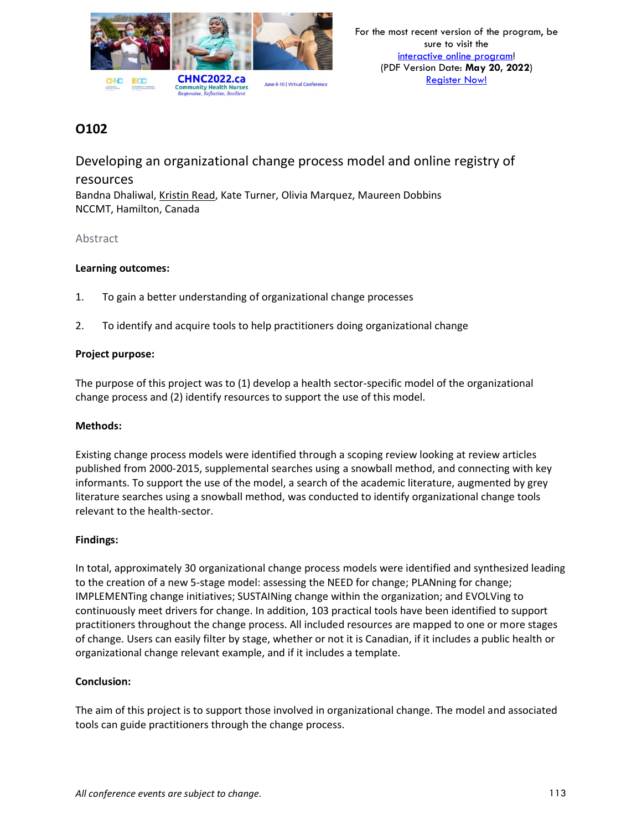

Developing an organizational change process model and online registry of resources Bandna Dhaliwal, Kristin Read, Kate Turner, Olivia Marquez, Maureen Dobbins NCCMT, Hamilton, Canada

#### Abstract

#### **Learning outcomes:**

- 1. To gain a better understanding of organizational change processes
- 2. To identify and acquire tools to help practitioners doing organizational change

#### **Project purpose:**

The purpose of this project was to (1) develop a health sector-specific model of the organizational change process and (2) identify resources to support the use of this model.

#### **Methods:**

Existing change process models were identified through a scoping review looking at review articles published from 2000-2015, supplemental searches using a snowball method, and connecting with key informants. To support the use of the model, a search of the academic literature, augmented by grey literature searches using a snowball method, was conducted to identify organizational change tools relevant to the health-sector.

#### **Findings:**

In total, approximately 30 organizational change process models were identified and synthesized leading to the creation of a new 5-stage model: assessing the NEED for change; PLANning for change; IMPLEMENTing change initiatives; SUSTAINing change within the organization; and EVOLVing to continuously meet drivers for change. In addition, 103 practical tools have been identified to support practitioners throughout the change process. All included resources are mapped to one or more stages of change. Users can easily filter by stage, whether or not it is Canadian, if it includes a public health or organizational change relevant example, and if it includes a template.

#### **Conclusion:**

The aim of this project is to support those involved in organizational change. The model and associated tools can guide practitioners through the change process.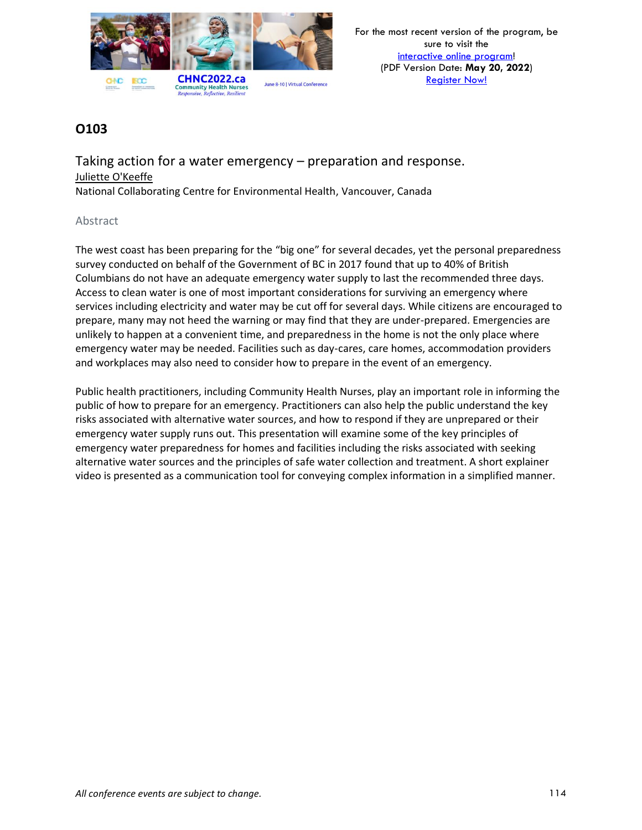

Taking action for a water emergency – preparation and response. Juliette O'Keeffe

National Collaborating Centre for Environmental Health, Vancouver, Canada

#### Abstract

The west coast has been preparing for the "big one" for several decades, yet the personal preparedness survey conducted on behalf of the Government of BC in 2017 found that up to 40% of British Columbians do not have an adequate emergency water supply to last the recommended three days. Access to clean water is one of most important considerations for surviving an emergency where services including electricity and water may be cut off for several days. While citizens are encouraged to prepare, many may not heed the warning or may find that they are under-prepared. Emergencies are unlikely to happen at a convenient time, and preparedness in the home is not the only place where emergency water may be needed. Facilities such as day-cares, care homes, accommodation providers and workplaces may also need to consider how to prepare in the event of an emergency.

Public health practitioners, including Community Health Nurses, play an important role in informing the public of how to prepare for an emergency. Practitioners can also help the public understand the key risks associated with alternative water sources, and how to respond if they are unprepared or their emergency water supply runs out. This presentation will examine some of the key principles of emergency water preparedness for homes and facilities including the risks associated with seeking alternative water sources and the principles of safe water collection and treatment. A short explainer video is presented as a communication tool for conveying complex information in a simplified manner.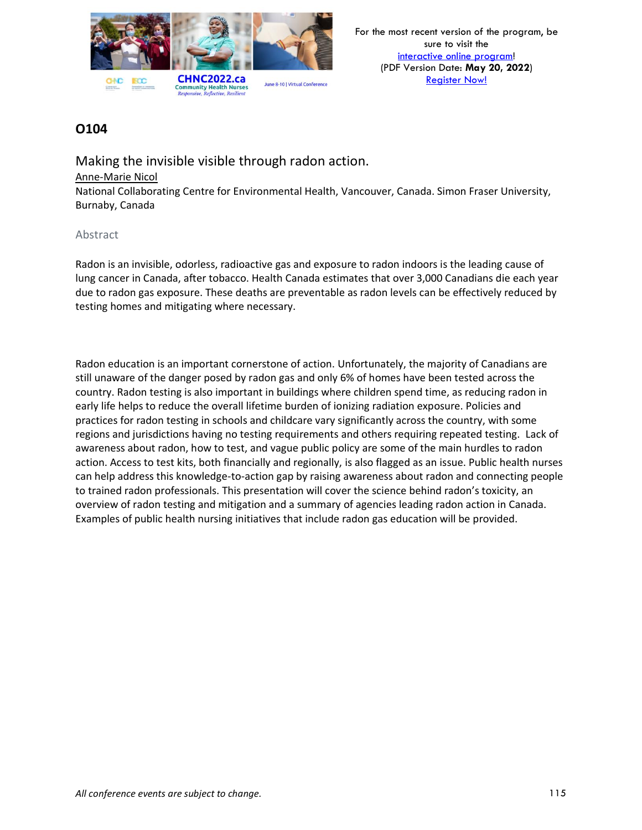

Making the invisible visible through radon action. Anne-Marie Nicol National Collaborating Centre for Environmental Health, Vancouver, Canada. Simon Fraser University, Burnaby, Canada

#### Abstract

Radon is an invisible, odorless, radioactive gas and exposure to radon indoors is the leading cause of lung cancer in Canada, after tobacco. Health Canada estimates that over 3,000 Canadians die each year due to radon gas exposure. These deaths are preventable as radon levels can be effectively reduced by testing homes and mitigating where necessary.

Radon education is an important cornerstone of action. Unfortunately, the majority of Canadians are still unaware of the danger posed by radon gas and only 6% of homes have been tested across the country. Radon testing is also important in buildings where children spend time, as reducing radon in early life helps to reduce the overall lifetime burden of ionizing radiation exposure. Policies and practices for radon testing in schools and childcare vary significantly across the country, with some regions and jurisdictions having no testing requirements and others requiring repeated testing. Lack of awareness about radon, how to test, and vague public policy are some of the main hurdles to radon action. Access to test kits, both financially and regionally, is also flagged as an issue. Public health nurses can help address this knowledge-to-action gap by raising awareness about radon and connecting people to trained radon professionals. This presentation will cover the science behind radon's toxicity, an overview of radon testing and mitigation and a summary of agencies leading radon action in Canada. Examples of public health nursing initiatives that include radon gas education will be provided.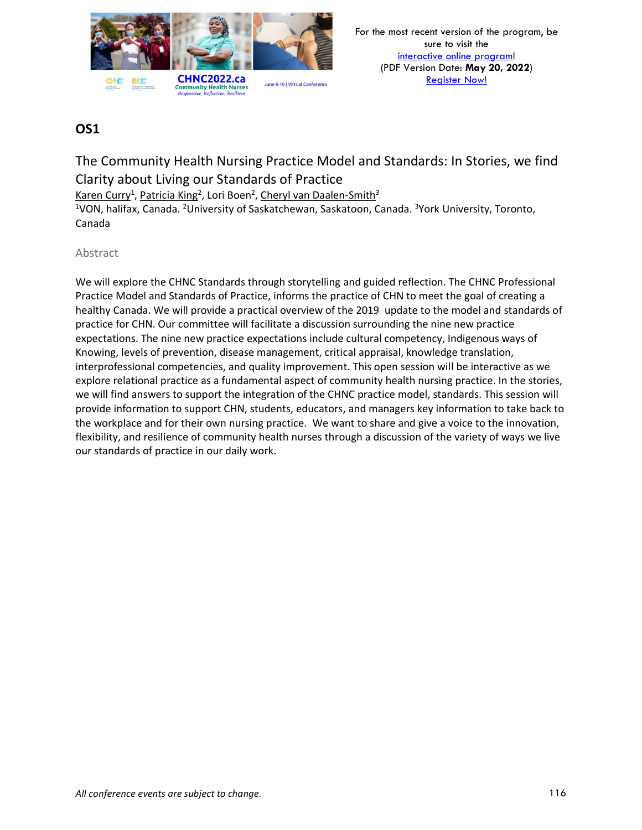

# The Community Health Nursing Practice Model and Standards: In Stories, we find Clarity about Living our Standards of Practice

Karen Curry<sup>1</sup>, Patricia King<sup>2</sup>, Lori Boen<sup>2</sup>, Cheryl van Daalen-Smith<sup>3</sup>

<sup>1</sup>VON, halifax, Canada. <sup>2</sup>University of Saskatchewan, Saskatoon, Canada. <sup>3</sup>York University, Toronto, Canada

### Abstract

We will explore the CHNC Standards through storytelling and guided reflection. The CHNC Professional Practice Model and Standards of Practice, informs the practice of CHN to meet the goal of creating a healthy Canada. We will provide a practical overview of the 2019 update to the model and standards of practice for CHN. Our committee will facilitate a discussion surrounding the nine new practice expectations. The nine new practice expectations include cultural competency, Indigenous ways of Knowing, levels of prevention, disease management, critical appraisal, knowledge translation, interprofessional competencies, and quality improvement. This open session will be interactive as we explore relational practice as a fundamental aspect of community health nursing practice. In the stories, we will find answers to support the integration of the CHNC practice model, standards. This session will provide information to support CHN, students, educators, and managers key information to take back to the workplace and for their own nursing practice. We want to share and give a voice to the innovation, flexibility, and resilience of community health nurses through a discussion of the variety of ways we live our standards of practice in our daily work.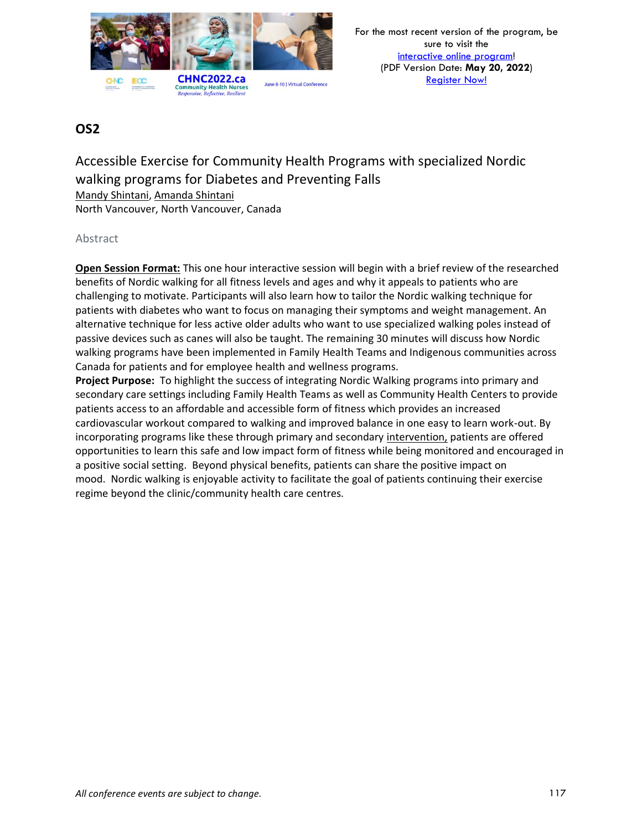

# Accessible Exercise for Community Health Programs with specialized Nordic walking programs for Diabetes and Preventing Falls

Mandy Shintani, Amanda Shintani

North Vancouver, North Vancouver, Canada

#### Abstract

**Open Session Format:** This one hour interactive session will begin with a brief review of the researched benefits of Nordic walking for all fitness levels and ages and why it appeals to patients who are challenging to motivate. Participants will also learn how to tailor the Nordic walking technique for patients with diabetes who want to focus on managing their symptoms and weight management. An alternative technique for less active older adults who want to use specialized walking poles instead of passive devices such as canes will also be taught. The remaining 30 minutes will discuss how Nordic walking programs have been implemented in Family Health Teams and Indigenous communities across Canada for patients and for employee health and wellness programs.

**Project Purpose:** To highlight the success of integrating Nordic Walking programs into primary and secondary care settings including Family Health Teams as well as Community Health Centers to provide patients access to an affordable and accessible form of fitness which provides an increased cardiovascular workout compared to walking and improved balance in one easy to learn work-out. By incorporating programs like these through primary and secondary intervention, patients are offered opportunities to learn this safe and low impact form of fitness while being monitored and encouraged in a positive social setting. Beyond physical benefits, patients can share the positive impact on mood. Nordic walking is enjoyable activity to facilitate the goal of patients continuing their exercise regime beyond the clinic/community health care centres.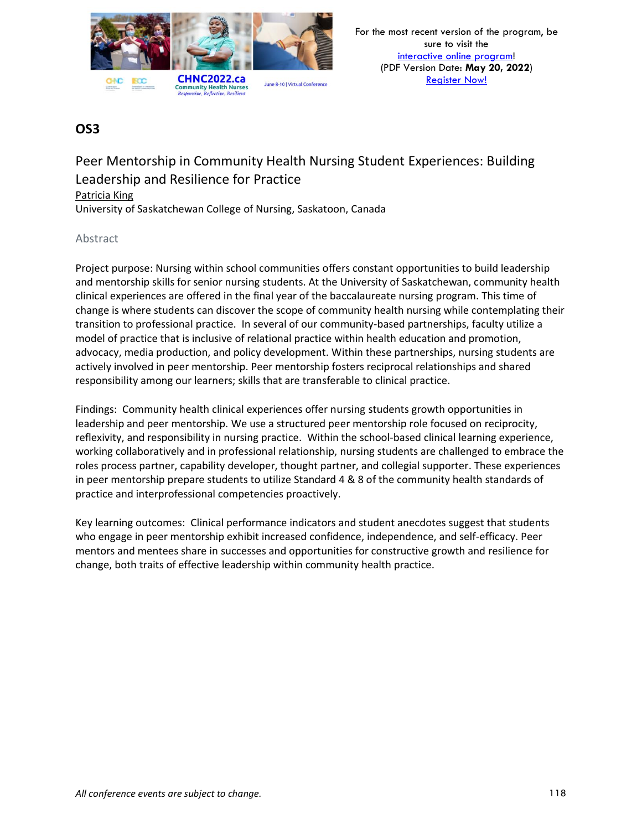

# Peer Mentorship in Community Health Nursing Student Experiences: Building Leadership and Resilience for Practice

#### Patricia King

University of Saskatchewan College of Nursing, Saskatoon, Canada

#### Abstract

Project purpose: Nursing within school communities offers constant opportunities to build leadership and mentorship skills for senior nursing students. At the University of Saskatchewan, community health clinical experiences are offered in the final year of the baccalaureate nursing program. This time of change is where students can discover the scope of community health nursing while contemplating their transition to professional practice. In several of our community-based partnerships, faculty utilize a model of practice that is inclusive of relational practice within health education and promotion, advocacy, media production, and policy development. Within these partnerships, nursing students are actively involved in peer mentorship. Peer mentorship fosters reciprocal relationships and shared responsibility among our learners; skills that are transferable to clinical practice.

Findings: Community health clinical experiences offer nursing students growth opportunities in leadership and peer mentorship. We use a structured peer mentorship role focused on reciprocity, reflexivity, and responsibility in nursing practice. Within the school-based clinical learning experience, working collaboratively and in professional relationship, nursing students are challenged to embrace the roles process partner, capability developer, thought partner, and collegial supporter. These experiences in peer mentorship prepare students to utilize Standard 4 & 8 of the community health standards of practice and interprofessional competencies proactively.

Key learning outcomes: Clinical performance indicators and student anecdotes suggest that students who engage in peer mentorship exhibit increased confidence, independence, and self-efficacy. Peer mentors and mentees share in successes and opportunities for constructive growth and resilience for change, both traits of effective leadership within community health practice.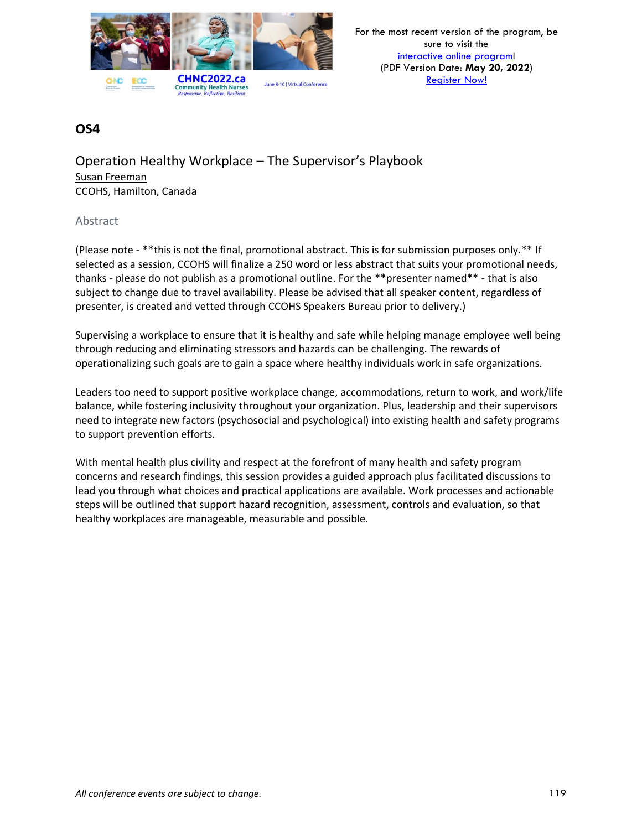

Operation Healthy Workplace – The Supervisor's Playbook Susan Freeman CCOHS, Hamilton, Canada

#### Abstract

(Please note - \*\*this is not the final, promotional abstract. This is for submission purposes only.\*\* If selected as a session, CCOHS will finalize a 250 word or less abstract that suits your promotional needs, thanks - please do not publish as a promotional outline. For the \*\*presenter named\*\* - that is also subject to change due to travel availability. Please be advised that all speaker content, regardless of presenter, is created and vetted through CCOHS Speakers Bureau prior to delivery.)

Supervising a workplace to ensure that it is healthy and safe while helping manage employee well being through reducing and eliminating stressors and hazards can be challenging. The rewards of operationalizing such goals are to gain a space where healthy individuals work in safe organizations.

Leaders too need to support positive workplace change, accommodations, return to work, and work/life balance, while fostering inclusivity throughout your organization. Plus, leadership and their supervisors need to integrate new factors (psychosocial and psychological) into existing health and safety programs to support prevention efforts.

With mental health plus civility and respect at the forefront of many health and safety program concerns and research findings, this session provides a guided approach plus facilitated discussions to lead you through what choices and practical applications are available. Work processes and actionable steps will be outlined that support hazard recognition, assessment, controls and evaluation, so that healthy workplaces are manageable, measurable and possible.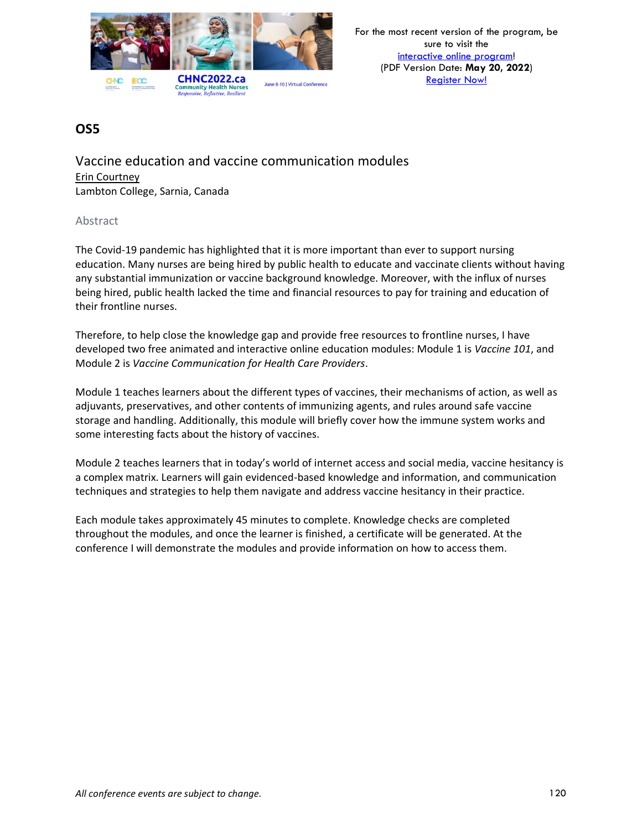

Vaccine education and vaccine communication modules Erin Courtney Lambton College, Sarnia, Canada

#### Abstract

The Covid-19 pandemic has highlighted that it is more important than ever to support nursing education. Many nurses are being hired by public health to educate and vaccinate clients without having any substantial immunization or vaccine background knowledge. Moreover, with the influx of nurses being hired, public health lacked the time and financial resources to pay for training and education of their frontline nurses.

Therefore, to help close the knowledge gap and provide free resources to frontline nurses, I have developed two free animated and interactive online education modules: Module 1 is *Vaccine 101*, and Module 2 is *Vaccine Communication for Health Care Providers*.

Module 1 teaches learners about the different types of vaccines, their mechanisms of action, as well as adjuvants, preservatives, and other contents of immunizing agents, and rules around safe vaccine storage and handling. Additionally, this module will briefly cover how the immune system works and some interesting facts about the history of vaccines.

Module 2 teaches learners that in today's world of internet access and social media, vaccine hesitancy is a complex matrix. Learners will gain evidenced-based knowledge and information, and communication techniques and strategies to help them navigate and address vaccine hesitancy in their practice.

Each module takes approximately 45 minutes to complete. Knowledge checks are completed throughout the modules, and once the learner is finished, a certificate will be generated. At the conference I will demonstrate the modules and provide information on how to access them.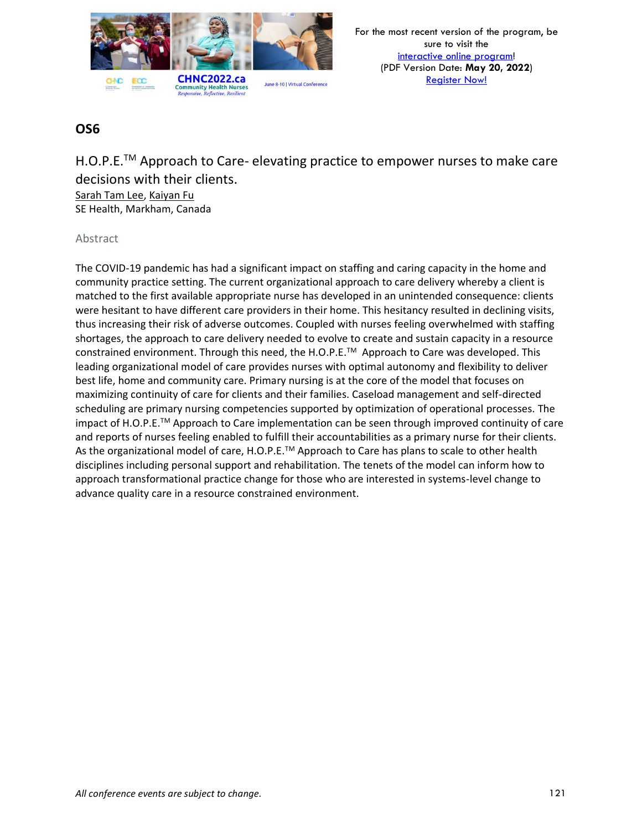

H.O.P.E.<sup>™</sup> Approach to Care- elevating practice to empower nurses to make care decisions with their clients.

Sarah Tam Lee, Kaiyan Fu SE Health, Markham, Canada

#### Abstract

The COVID-19 pandemic has had a significant impact on staffing and caring capacity in the home and community practice setting. The current organizational approach to care delivery whereby a client is matched to the first available appropriate nurse has developed in an unintended consequence: clients were hesitant to have different care providers in their home. This hesitancy resulted in declining visits, thus increasing their risk of adverse outcomes. Coupled with nurses feeling overwhelmed with staffing shortages, the approach to care delivery needed to evolve to create and sustain capacity in a resource constrained environment. Through this need, the H.O.P.E.TM Approach to Care was developed. This leading organizational model of care provides nurses with optimal autonomy and flexibility to deliver best life, home and community care. Primary nursing is at the core of the model that focuses on maximizing continuity of care for clients and their families. Caseload management and self-directed scheduling are primary nursing competencies supported by optimization of operational processes. The impact of H.O.P.E.TM Approach to Care implementation can be seen through improved continuity of care and reports of nurses feeling enabled to fulfill their accountabilities as a primary nurse for their clients. As the organizational model of care, H.O.P.E.<sup>TM</sup> Approach to Care has plans to scale to other health disciplines including personal support and rehabilitation. The tenets of the model can inform how to approach transformational practice change for those who are interested in systems-level change to advance quality care in a resource constrained environment.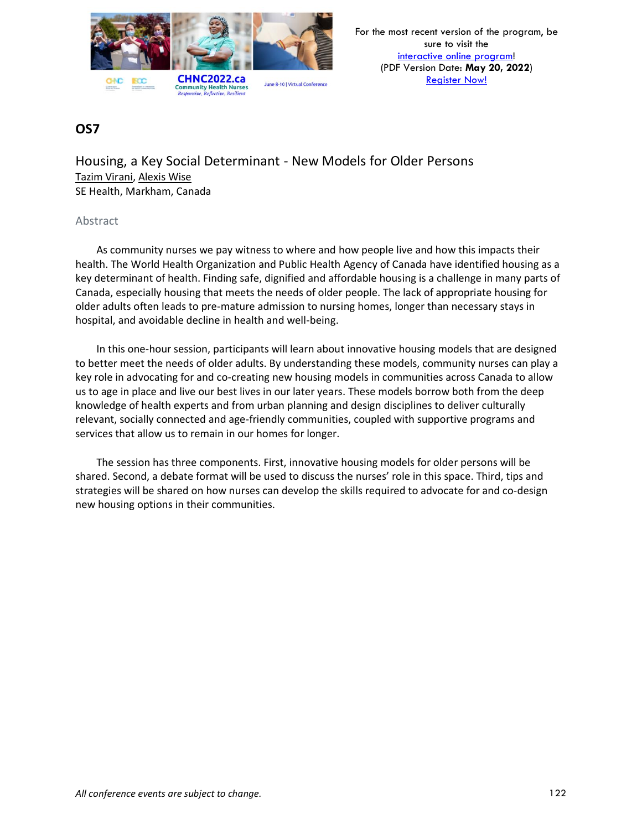

Housing, a Key Social Determinant - New Models for Older Persons Tazim Virani, Alexis Wise SE Health, Markham, Canada

#### Abstract

As community nurses we pay witness to where and how people live and how this impacts their health. The World Health Organization and Public Health Agency of Canada have identified housing as a key determinant of health. Finding safe, dignified and affordable housing is a challenge in many parts of Canada, especially housing that meets the needs of older people. The lack of appropriate housing for older adults often leads to pre-mature admission to nursing homes, longer than necessary stays in hospital, and avoidable decline in health and well-being.

In this one-hour session, participants will learn about innovative housing models that are designed to better meet the needs of older adults. By understanding these models, community nurses can play a key role in advocating for and co-creating new housing models in communities across Canada to allow us to age in place and live our best lives in our later years. These models borrow both from the deep knowledge of health experts and from urban planning and design disciplines to deliver culturally relevant, socially connected and age-friendly communities, coupled with supportive programs and services that allow us to remain in our homes for longer.

The session has three components. First, innovative housing models for older persons will be shared. Second, a debate format will be used to discuss the nurses' role in this space. Third, tips and strategies will be shared on how nurses can develop the skills required to advocate for and co-design new housing options in their communities.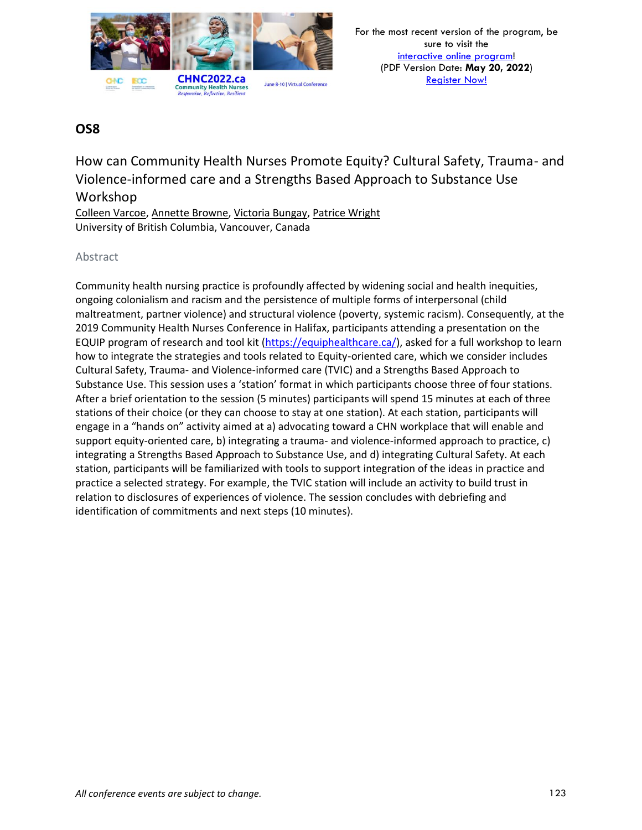

How can Community Health Nurses Promote Equity? Cultural Safety, Trauma- and Violence-informed care and a Strengths Based Approach to Substance Use Workshop

Colleen Varcoe, Annette Browne, Victoria Bungay, Patrice Wright University of British Columbia, Vancouver, Canada

### Abstract

Community health nursing practice is profoundly affected by widening social and health inequities, ongoing colonialism and racism and the persistence of multiple forms of interpersonal (child maltreatment, partner violence) and structural violence (poverty, systemic racism). Consequently, at the 2019 Community Health Nurses Conference in Halifax, participants attending a presentation on the EQUIP program of research and tool kit [\(https://equiphealthcare.ca/\)](https://equiphealthcare.ca/), asked for a full workshop to learn how to integrate the strategies and tools related to Equity-oriented care, which we consider includes Cultural Safety, Trauma- and Violence-informed care (TVIC) and a Strengths Based Approach to Substance Use. This session uses a 'station' format in which participants choose three of four stations. After a brief orientation to the session (5 minutes) participants will spend 15 minutes at each of three stations of their choice (or they can choose to stay at one station). At each station, participants will engage in a "hands on" activity aimed at a) advocating toward a CHN workplace that will enable and support equity-oriented care, b) integrating a trauma- and violence-informed approach to practice, c) integrating a Strengths Based Approach to Substance Use, and d) integrating Cultural Safety. At each station, participants will be familiarized with tools to support integration of the ideas in practice and practice a selected strategy. For example, the TVIC station will include an activity to build trust in relation to disclosures of experiences of violence. The session concludes with debriefing and identification of commitments and next steps (10 minutes).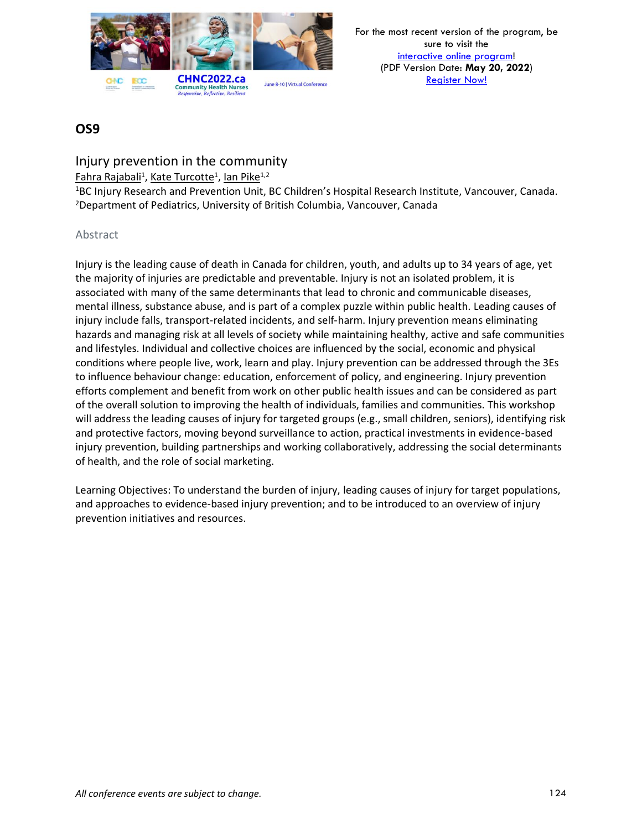

For the most recent version of the program, be sure to visit the [interactive online program!](https://virtual.oxfordabstracts.com/#/event/1204/program) (PDF Version Date: **May 20, 2022**) [Register Now!](https://chnc2022.ca/registration)

### **OS9**

Injury prevention in the community

<u>Fahra Rajabali<sup>1</sup>, Kate Turcotte<sup>1</sup>, lan Pike<sup>1,2</sup></u>

<sup>1</sup>BC Injury Research and Prevention Unit, BC Children's Hospital Research Institute, Vancouver, Canada. <sup>2</sup>Department of Pediatrics, University of British Columbia, Vancouver, Canada

#### Abstract

Injury is the leading cause of death in Canada for children, youth, and adults up to 34 years of age, yet the majority of injuries are predictable and preventable. Injury is not an isolated problem, it is associated with many of the same determinants that lead to chronic and communicable diseases, mental illness, substance abuse, and is part of a complex puzzle within public health. Leading causes of injury include falls, transport-related incidents, and self-harm. Injury prevention means eliminating hazards and managing risk at all levels of society while maintaining healthy, active and safe communities and lifestyles. Individual and collective choices are influenced by the social, economic and physical conditions where people live, work, learn and play. Injury prevention can be addressed through the 3Es to influence behaviour change: education, enforcement of policy, and engineering. Injury prevention efforts complement and benefit from work on other public health issues and can be considered as part of the overall solution to improving the health of individuals, families and communities. This workshop will address the leading causes of injury for targeted groups (e.g., small children, seniors), identifying risk and protective factors, moving beyond surveillance to action, practical investments in evidence-based injury prevention, building partnerships and working collaboratively, addressing the social determinants of health, and the role of social marketing.

Learning Objectives: To understand the burden of injury, leading causes of injury for target populations, and approaches to evidence-based injury prevention; and to be introduced to an overview of injury prevention initiatives and resources.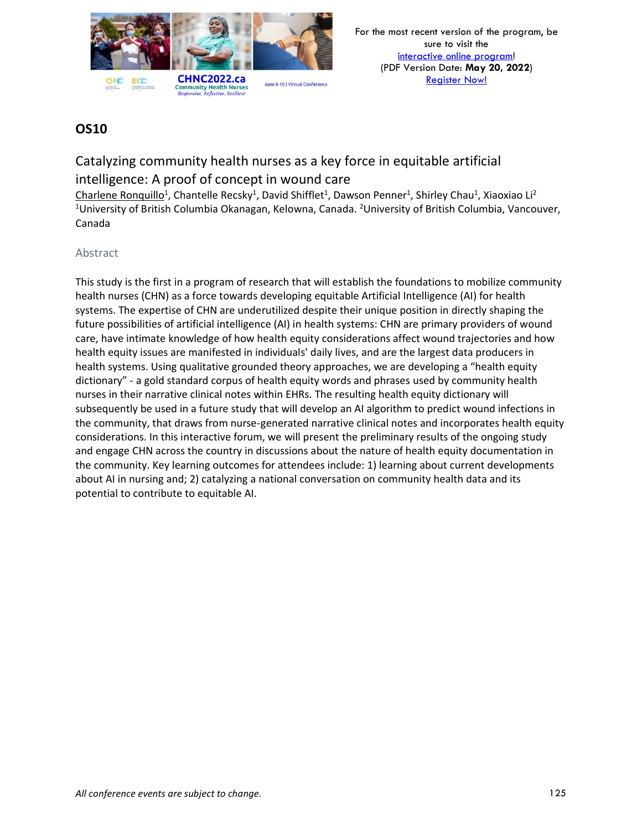

# Catalyzing community health nurses as a key force in equitable artificial intelligence: A proof of concept in wound care

Charlene Ronquillo<sup>1</sup>, Chantelle Recsky<sup>1</sup>, David Shifflet<sup>1</sup>, Dawson Penner<sup>1</sup>, Shirley Chau<sup>1</sup>, Xiaoxiao Li<sup>2</sup> <sup>1</sup>University of British Columbia Okanagan, Kelowna, Canada. <sup>2</sup>University of British Columbia, Vancouver, Canada

### Abstract

This study is the first in a program of research that will establish the foundations to mobilize community health nurses (CHN) as a force towards developing equitable Artificial Intelligence (AI) for health systems. The expertise of CHN are underutilized despite their unique position in directly shaping the future possibilities of artificial intelligence (AI) in health systems: CHN are primary providers of wound care, have intimate knowledge of how health equity considerations affect wound trajectories and how health equity issues are manifested in individuals' daily lives, and are the largest data producers in health systems. Using qualitative grounded theory approaches, we are developing a "health equity dictionary" - a gold standard corpus of health equity words and phrases used by community health nurses in their narrative clinical notes within EHRs. The resulting health equity dictionary will subsequently be used in a future study that will develop an AI algorithm to predict wound infections in the community, that draws from nurse-generated narrative clinical notes and incorporates health equity considerations. In this interactive forum, we will present the preliminary results of the ongoing study and engage CHN across the country in discussions about the nature of health equity documentation in the community. Key learning outcomes for attendees include: 1) learning about current developments about AI in nursing and; 2) catalyzing a national conversation on community health data and its potential to contribute to equitable AI.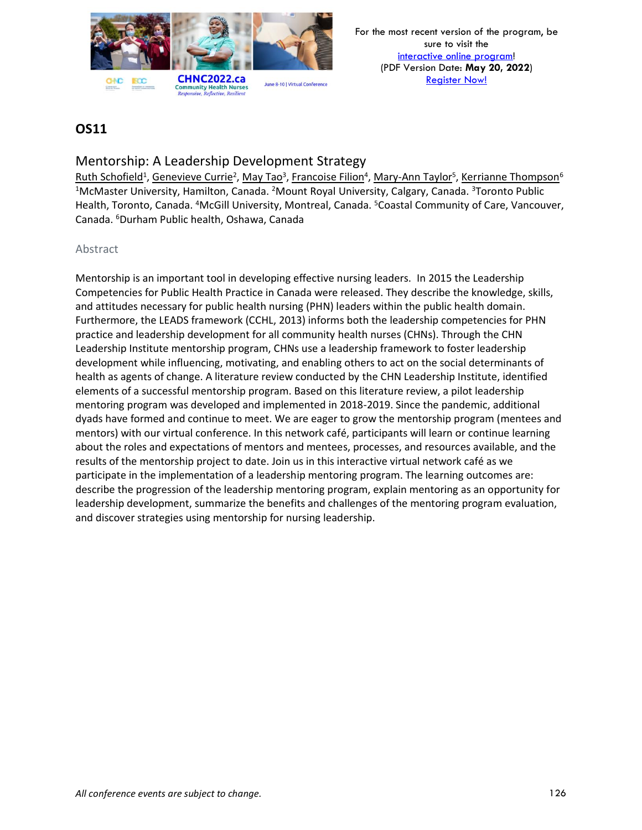

### Mentorship: A Leadership Development Strategy

Ruth Schofield<sup>1</sup>, Genevieve Currie<sup>2</sup>, May Tao<sup>3</sup>, Francoise Filion<sup>4</sup>, Mary-Ann Taylor<sup>5</sup>, Kerrianne Thompson<sup>6</sup> <sup>1</sup>McMaster University, Hamilton, Canada. <sup>2</sup>Mount Royal University, Calgary, Canada. <sup>3</sup>Toronto Public Health, Toronto, Canada. <sup>4</sup>McGill University, Montreal, Canada. <sup>5</sup>Coastal Community of Care, Vancouver, Canada. <sup>6</sup>Durham Public health, Oshawa, Canada

#### Abstract

Mentorship is an important tool in developing effective nursing leaders. In 2015 the Leadership Competencies for Public Health Practice in Canada were released. They describe the knowledge, skills, and attitudes necessary for public health nursing (PHN) leaders within the public health domain. Furthermore, the LEADS framework (CCHL, 2013) informs both the leadership competencies for PHN practice and leadership development for all community health nurses (CHNs). Through the CHN Leadership Institute mentorship program, CHNs use a leadership framework to foster leadership development while influencing, motivating, and enabling others to act on the social determinants of health as agents of change. A literature review conducted by the CHN Leadership Institute, identified elements of a successful mentorship program. Based on this literature review, a pilot leadership mentoring program was developed and implemented in 2018-2019. Since the pandemic, additional dyads have formed and continue to meet. We are eager to grow the mentorship program (mentees and mentors) with our virtual conference. In this network café, participants will learn or continue learning about the roles and expectations of mentors and mentees, processes, and resources available, and the results of the mentorship project to date. Join us in this interactive virtual network café as we participate in the implementation of a leadership mentoring program. The learning outcomes are: describe the progression of the leadership mentoring program, explain mentoring as an opportunity for leadership development, summarize the benefits and challenges of the mentoring program evaluation, and discover strategies using mentorship for nursing leadership.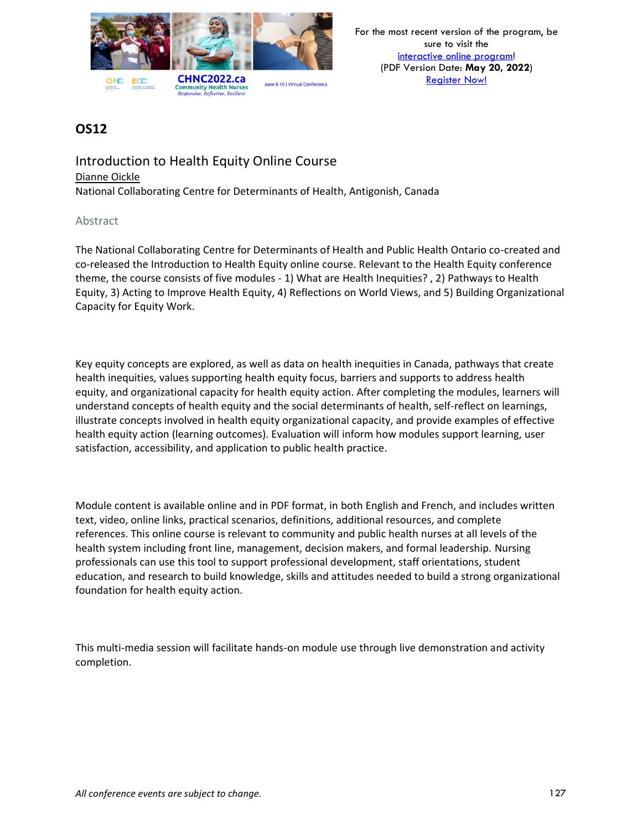

### Introduction to Health Equity Online Course Dianne Oickle National Collaborating Centre for Determinants of Health, Antigonish, Canada

#### Abstract

The National Collaborating Centre for Determinants of Health and Public Health Ontario co-created and co-released the Introduction to Health Equity online course. Relevant to the Health Equity conference theme, the course consists of five modules - 1) What are Health Inequities? , 2) Pathways to Health Equity, 3) Acting to Improve Health Equity, 4) Reflections on World Views, and 5) Building Organizational Capacity for Equity Work.

Key equity concepts are explored, as well as data on health inequities in Canada, pathways that create health inequities, values supporting health equity focus, barriers and supports to address health equity, and organizational capacity for health equity action. After completing the modules, learners will understand concepts of health equity and the social determinants of health, self-reflect on learnings, illustrate concepts involved in health equity organizational capacity, and provide examples of effective health equity action (learning outcomes). Evaluation will inform how modules support learning, user satisfaction, accessibility, and application to public health practice.

Module content is available online and in PDF format, in both English and French, and includes written text, video, online links, practical scenarios, definitions, additional resources, and complete references. This online course is relevant to community and public health nurses at all levels of the health system including front line, management, decision makers, and formal leadership. Nursing professionals can use this tool to support professional development, staff orientations, student education, and research to build knowledge, skills and attitudes needed to build a strong organizational foundation for health equity action.

This multi-media session will facilitate hands-on module use through live demonstration and activity completion.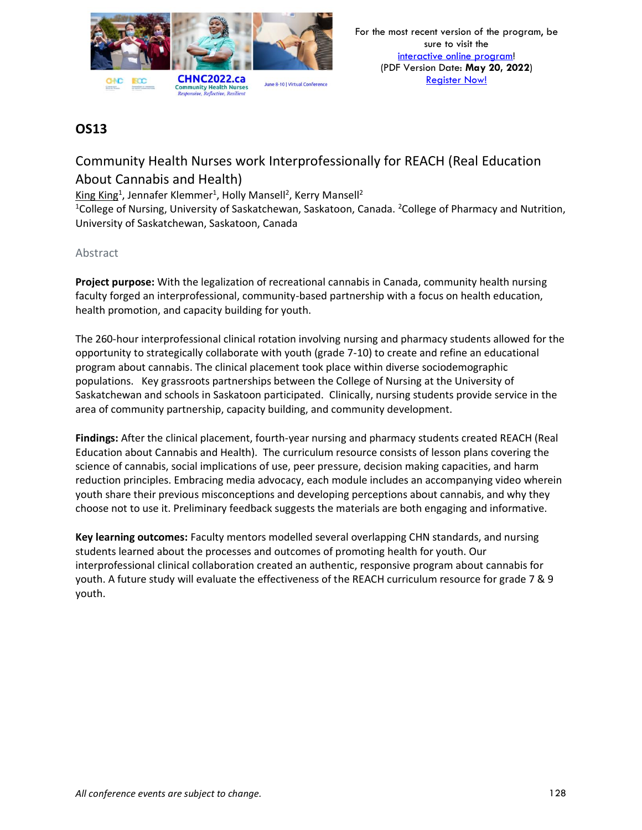

# Community Health Nurses work Interprofessionally for REACH (Real Education About Cannabis and Health)

King King<sup>1</sup>, Jennafer Klemmer<sup>1</sup>, Holly Mansell<sup>2</sup>, Kerry Mansell<sup>2</sup>

<sup>1</sup>College of Nursing, University of Saskatchewan, Saskatoon, Canada. <sup>2</sup>College of Pharmacy and Nutrition, University of Saskatchewan, Saskatoon, Canada

#### Abstract

**Project purpose:** With the legalization of recreational cannabis in Canada, community health nursing faculty forged an interprofessional, community-based partnership with a focus on health education, health promotion, and capacity building for youth.

The 260-hour interprofessional clinical rotation involving nursing and pharmacy students allowed for the opportunity to strategically collaborate with youth (grade 7-10) to create and refine an educational program about cannabis. The clinical placement took place within diverse sociodemographic populations. Key grassroots partnerships between the College of Nursing at the University of Saskatchewan and schools in Saskatoon participated. Clinically, nursing students provide service in the area of community partnership, capacity building, and community development.

**Findings:** After the clinical placement, fourth-year nursing and pharmacy students created REACH (Real Education about Cannabis and Health). The curriculum resource consists of lesson plans covering the science of cannabis, social implications of use, peer pressure, decision making capacities, and harm reduction principles. Embracing media advocacy, each module includes an accompanying video wherein youth share their previous misconceptions and developing perceptions about cannabis, and why they choose not to use it. Preliminary feedback suggests the materials are both engaging and informative.

**Key learning outcomes:** Faculty mentors modelled several overlapping CHN standards, and nursing students learned about the processes and outcomes of promoting health for youth. Our interprofessional clinical collaboration created an authentic, responsive program about cannabis for youth. A future study will evaluate the effectiveness of the REACH curriculum resource for grade 7 & 9 youth.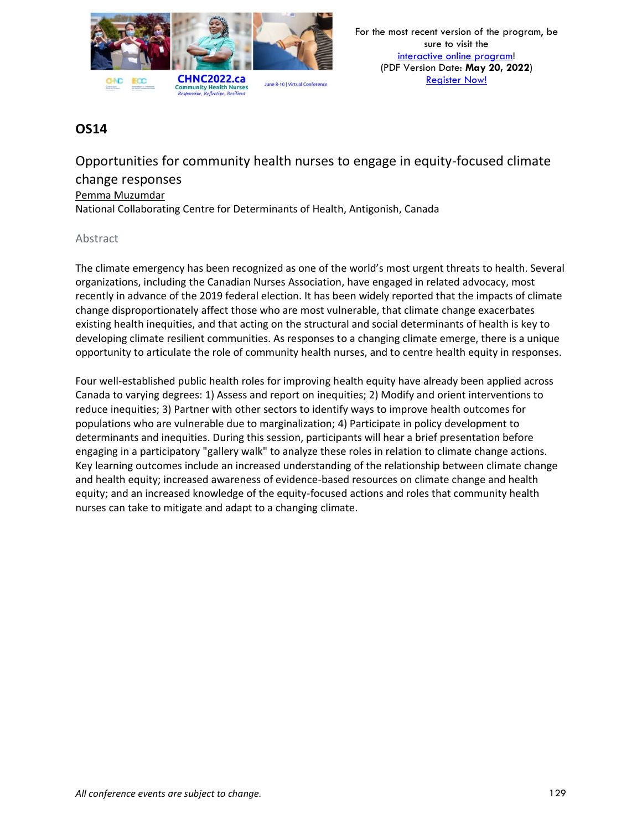

Opportunities for community health nurses to engage in equity-focused climate change responses Pemma Muzumdar National Collaborating Centre for Determinants of Health, Antigonish, Canada

#### Abstract

The climate emergency has been recognized as one of the world's most urgent threats to health. Several organizations, including the Canadian Nurses Association, have engaged in related advocacy, most recently in advance of the 2019 federal election. It has been widely reported that the impacts of climate change disproportionately affect those who are most vulnerable, that climate change exacerbates existing health inequities, and that acting on the structural and social determinants of health is key to developing climate resilient communities. As responses to a changing climate emerge, there is a unique opportunity to articulate the role of community health nurses, and to centre health equity in responses.

Four well-established public health roles for improving health equity have already been applied across Canada to varying degrees: 1) Assess and report on inequities; 2) Modify and orient interventions to reduce inequities; 3) Partner with other sectors to identify ways to improve health outcomes for populations who are vulnerable due to marginalization; 4) Participate in policy development to determinants and inequities. During this session, participants will hear a brief presentation before engaging in a participatory "gallery walk" to analyze these roles in relation to climate change actions. Key learning outcomes include an increased understanding of the relationship between climate change and health equity; increased awareness of evidence-based resources on climate change and health equity; and an increased knowledge of the equity-focused actions and roles that community health nurses can take to mitigate and adapt to a changing climate.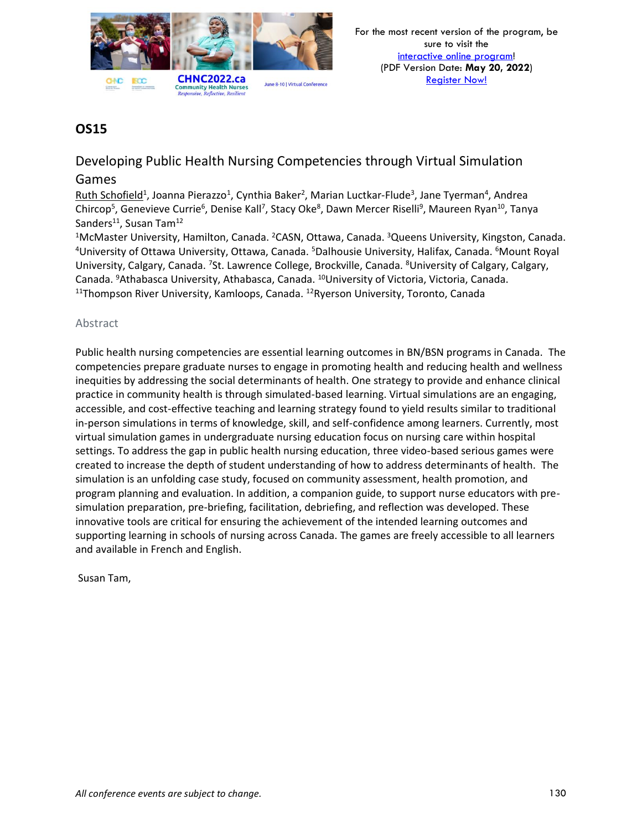

Developing Public Health Nursing Competencies through Virtual Simulation

### Games

Ruth Schofield<sup>1</sup>, Joanna Pierazzo<sup>1</sup>, Cynthia Baker<sup>2</sup>, Marian Luctkar-Flude<sup>3</sup>, Jane Tyerman<sup>4</sup>, Andrea Chircop<sup>5</sup>, Genevieve Currie<sup>6</sup>, Denise Kall<sup>7</sup>, Stacy Oke<sup>8</sup>, Dawn Mercer Riselli<sup>9</sup>, Maureen Ryan<sup>10</sup>, Tanya Sanders<sup>11</sup>, Susan Tam<sup>12</sup>

<sup>1</sup>McMaster University, Hamilton, Canada. <sup>2</sup>CASN, Ottawa, Canada. <sup>3</sup>Queens University, Kingston, Canada. <sup>4</sup>University of Ottawa University, Ottawa, Canada. <sup>5</sup>Dalhousie University, Halifax, Canada. <sup>6</sup>Mount Royal University, Calgary, Canada. <sup>7</sup>St. Lawrence College, Brockville, Canada. <sup>8</sup>University of Calgary, Calgary, Canada. <sup>9</sup>Athabasca University, Athabasca, Canada. <sup>10</sup>University of Victoria, Victoria, Canada. <sup>11</sup>Thompson River University, Kamloops, Canada. <sup>12</sup>Ryerson University, Toronto, Canada

#### Abstract

Public health nursing competencies are essential learning outcomes in BN/BSN programs in Canada. The competencies prepare graduate nurses to engage in promoting health and reducing health and wellness inequities by addressing the social determinants of health. One strategy to provide and enhance clinical practice in community health is through simulated-based learning. Virtual simulations are an engaging, accessible, and cost-effective teaching and learning strategy found to yield results similar to traditional in-person simulations in terms of knowledge, skill, and self-confidence among learners. Currently, most virtual simulation games in undergraduate nursing education focus on nursing care within hospital settings. To address the gap in public health nursing education, three video-based serious games were created to increase the depth of student understanding of how to address determinants of health. The simulation is an unfolding case study, focused on community assessment, health promotion, and program planning and evaluation. In addition, a companion guide, to support nurse educators with presimulation preparation, pre-briefing, facilitation, debriefing, and reflection was developed. These innovative tools are critical for ensuring the achievement of the intended learning outcomes and supporting learning in schools of nursing across Canada. The games are freely accessible to all learners and available in French and English.

Susan Tam,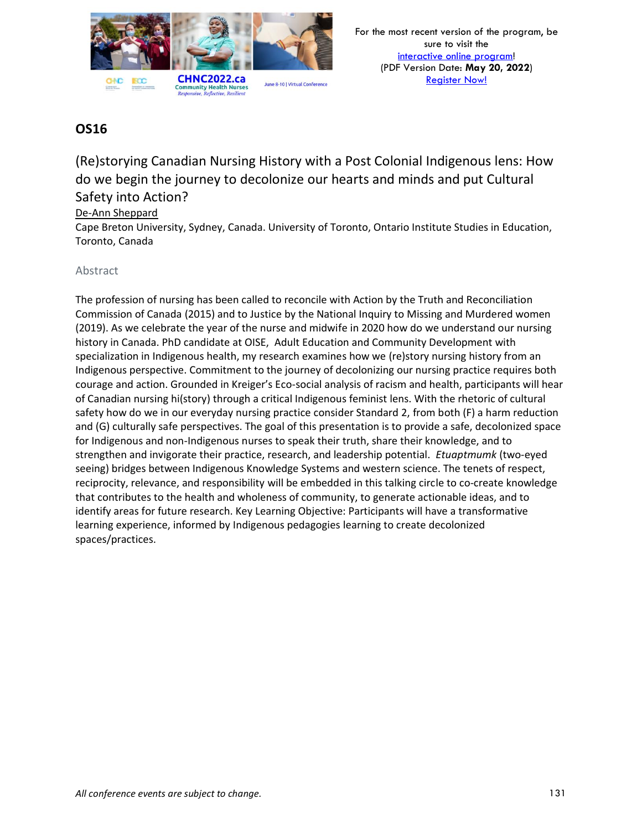

(Re)storying Canadian Nursing History with a Post Colonial Indigenous lens: How do we begin the journey to decolonize our hearts and minds and put Cultural Safety into Action?

De-Ann Sheppard

Cape Breton University, Sydney, Canada. University of Toronto, Ontario Institute Studies in Education, Toronto, Canada

### Abstract

The profession of nursing has been called to reconcile with Action by the Truth and Reconciliation Commission of Canada (2015) and to Justice by the National Inquiry to Missing and Murdered women (2019). As we celebrate the year of the nurse and midwife in 2020 how do we understand our nursing history in Canada. PhD candidate at OISE, Adult Education and Community Development with specialization in Indigenous health, my research examines how we (re)story nursing history from an Indigenous perspective. Commitment to the journey of decolonizing our nursing practice requires both courage and action. Grounded in Kreiger's Eco-social analysis of racism and health, participants will hear of Canadian nursing hi(story) through a critical Indigenous feminist lens. With the rhetoric of cultural safety how do we in our everyday nursing practice consider Standard 2, from both (F) a harm reduction and (G) culturally safe perspectives. The goal of this presentation is to provide a safe, decolonized space for Indigenous and non-Indigenous nurses to speak their truth, share their knowledge, and to strengthen and invigorate their practice, research, and leadership potential. *Etuaptmumk* (two-eyed seeing) bridges between Indigenous Knowledge Systems and western science. The tenets of respect, reciprocity, relevance, and responsibility will be embedded in this talking circle to co-create knowledge that contributes to the health and wholeness of community, to generate actionable ideas, and to identify areas for future research. Key Learning Objective: Participants will have a transformative learning experience, informed by Indigenous pedagogies learning to create decolonized spaces/practices.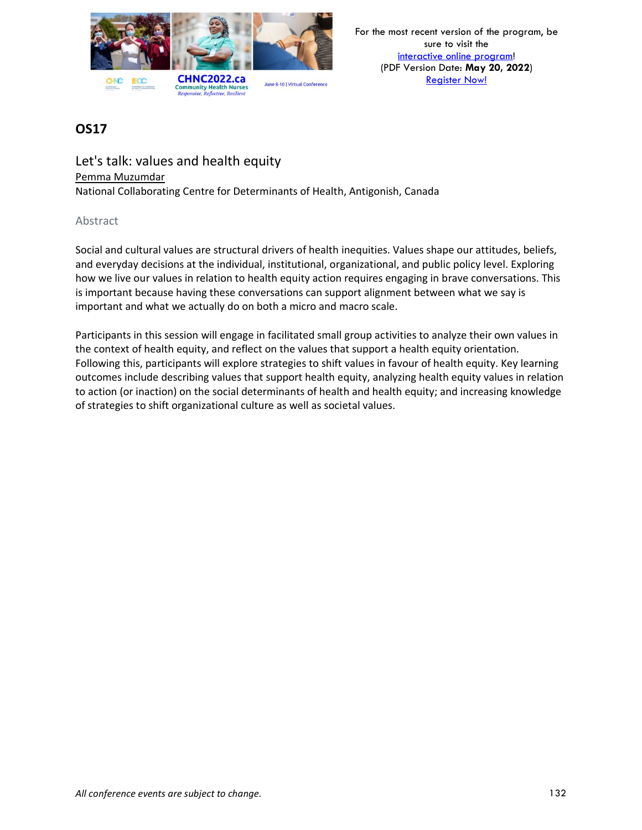

Let's talk: values and health equity Pemma Muzumdar National Collaborating Centre for Determinants of Health, Antigonish, Canada

#### Abstract

Social and cultural values are structural drivers of health inequities. Values shape our attitudes, beliefs, and everyday decisions at the individual, institutional, organizational, and public policy level. Exploring how we live our values in relation to health equity action requires engaging in brave conversations. This is important because having these conversations can support alignment between what we say is important and what we actually do on both a micro and macro scale.

Participants in this session will engage in facilitated small group activities to analyze their own values in the context of health equity, and reflect on the values that support a health equity orientation. Following this, participants will explore strategies to shift values in favour of health equity. Key learning outcomes include describing values that support health equity, analyzing health equity values in relation to action (or inaction) on the social determinants of health and health equity; and increasing knowledge of strategies to shift organizational culture as well as societal values.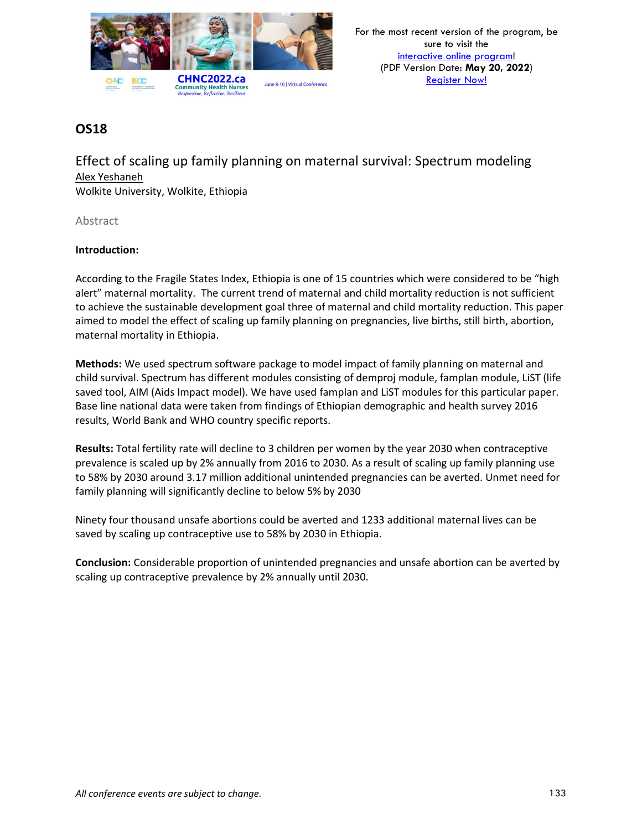

Effect of scaling up family planning on maternal survival: Spectrum modeling Alex Yeshaneh Wolkite University, Wolkite, Ethiopia

Abstract

#### **Introduction:**

According to the Fragile States Index, Ethiopia is one of 15 countries which were considered to be "high alert" maternal mortality. The current trend of maternal and child mortality reduction is not sufficient to achieve the sustainable development goal three of maternal and child mortality reduction. This paper aimed to model the effect of scaling up family planning on pregnancies, live births, still birth, abortion, maternal mortality in Ethiopia.

**Methods:** We used spectrum software package to model impact of family planning on maternal and child survival. Spectrum has different modules consisting of demproj module, famplan module, LiST (life saved tool, AIM (Aids Impact model). We have used famplan and LiST modules for this particular paper. Base line national data were taken from findings of Ethiopian demographic and health survey 2016 results, World Bank and WHO country specific reports.

**Results:** Total fertility rate will decline to 3 children per women by the year 2030 when contraceptive prevalence is scaled up by 2% annually from 2016 to 2030. As a result of scaling up family planning use to 58% by 2030 around 3.17 million additional unintended pregnancies can be averted. Unmet need for family planning will significantly decline to below 5% by 2030

Ninety four thousand unsafe abortions could be averted and 1233 additional maternal lives can be saved by scaling up contraceptive use to 58% by 2030 in Ethiopia.

**Conclusion:** Considerable proportion of unintended pregnancies and unsafe abortion can be averted by scaling up contraceptive prevalence by 2% annually until 2030.